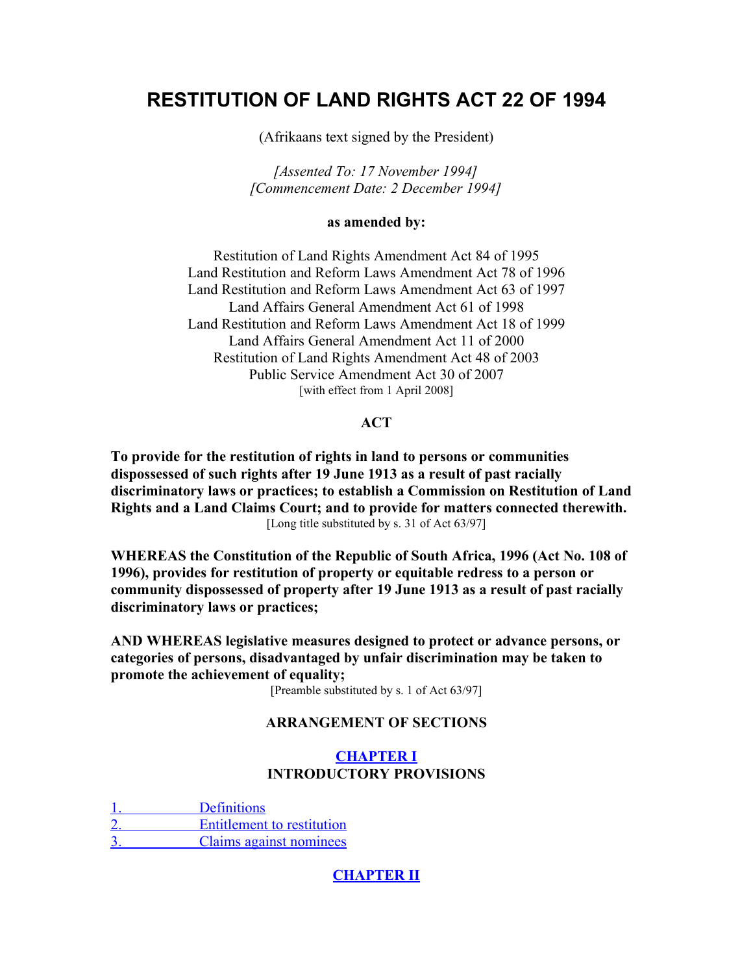# **RESTITUTION OF LAND RIGHTS ACT 22 OF 1994**

(Afrikaans text signed by the President)

*[Assented To: 17 November 1994] [Commencement Date: 2 December 1994]*

#### **as amended by:**

Restitution of Land Rights Amendment Act 84 of 1995 Land Restitution and Reform Laws Amendment Act 78 of 1996 Land Restitution and Reform Laws Amendment Act 63 of 1997 Land Affairs General Amendment Act 61 of 1998 Land Restitution and Reform Laws Amendment Act 18 of 1999 Land Affairs General Amendment Act 11 of 2000 Restitution of Land Rights Amendment Act 48 of 2003 Public Service Amendment Act 30 of 2007 [with effect from 1 April 2008]

#### **ACT**

**To provide for the restitution of rights in land to persons or communities dispossessed of such rights after 19 June 1913 as a result of past racially discriminatory laws or practices; to establish a Commission on Restitution of Land Rights and a Land Claims Court; and to provide for matters connected therewith.** [Long title substituted by s. 31 of Act 63/97]

**WHEREAS the Constitution of the Republic of South Africa, 1996 (Act No. 108 of 1996), provides for restitution of property or equitable redress to a person or community dispossessed of property after 19 June 1913 as a result of past racially discriminatory laws or practices;**

**AND WHEREAS legislative measures designed to protect or advance persons, or categories of persons, disadvantaged by unfair discrimination may be taken to promote the achievement of equality;**

[Preamble substituted by s. 1 of Act 63/97]

#### **ARRANGEMENT OF SECTIONS**

# **[CHAPTER I](http://search.sabinet.co.za/netlawpdf/netlaw/RESTITUTION%20OF%20LAND%20RIGHTS%20ACT.htm#chapter1%23chapter1) INTRODUCTORY PROVISIONS**

Definitions  [2. Entitlement to restitution](http://search.sabinet.co.za/netlawpdf/netlaw/RESTITUTION%20OF%20LAND%20RIGHTS%20ACT.htm#section2%23section2) Claims against nominees

# **[CHAPTER II](http://search.sabinet.co.za/netlawpdf/netlaw/RESTITUTION%20OF%20LAND%20RIGHTS%20ACT.htm#chapter2%23chapter2)**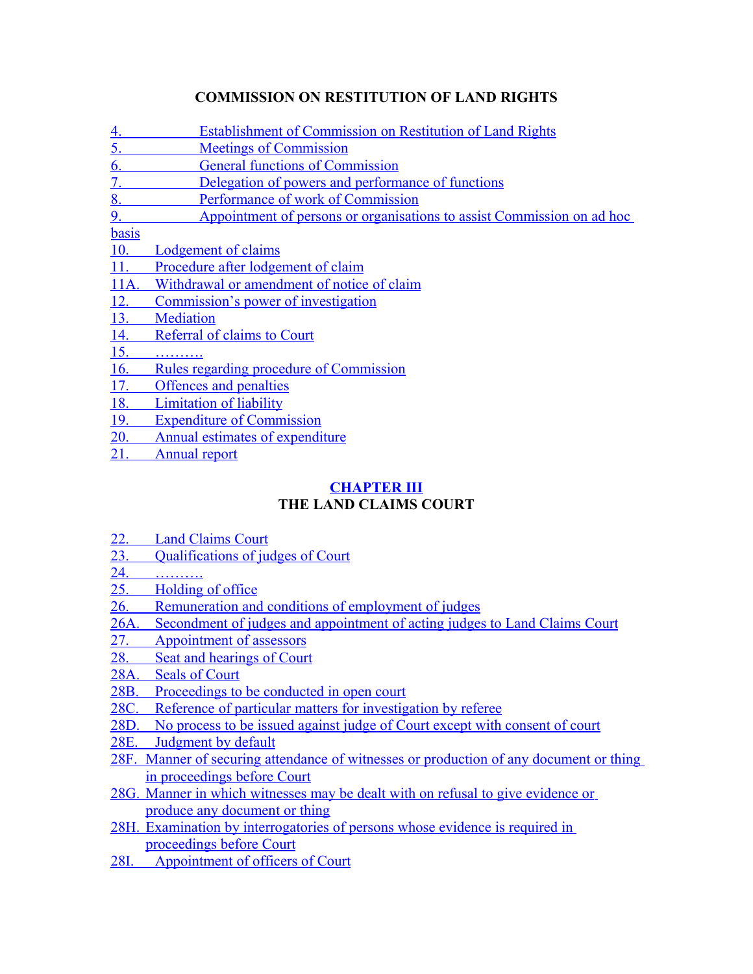# **COMMISSION ON RESTITUTION OF LAND RIGHTS**

 [4. Establishment of Commission on Restitution of Land Rights](http://search.sabinet.co.za/netlawpdf/netlaw/RESTITUTION%20OF%20LAND%20RIGHTS%20ACT.htm#section4%23section4)  [5. Meetings of Commission](http://search.sabinet.co.za/netlawpdf/netlaw/RESTITUTION%20OF%20LAND%20RIGHTS%20ACT.htm#section5%23section5)  [6. General functions of Commission](http://search.sabinet.co.za/netlawpdf/netlaw/RESTITUTION%20OF%20LAND%20RIGHTS%20ACT.htm#section6%23section6)  [7. Delegation of powers and performance of functions](http://search.sabinet.co.za/netlawpdf/netlaw/RESTITUTION%20OF%20LAND%20RIGHTS%20ACT.htm#section7%23section7)  [8. Performance of work of Commission](http://search.sabinet.co.za/netlawpdf/netlaw/RESTITUTION%20OF%20LAND%20RIGHTS%20ACT.htm#section8%23section8)  [9. Appointment of persons or organisations to assist Commission on ad hoc](http://search.sabinet.co.za/netlawpdf/netlaw/RESTITUTION%20OF%20LAND%20RIGHTS%20ACT.htm#section9%23section9) [basis](http://search.sabinet.co.za/netlawpdf/netlaw/RESTITUTION%20OF%20LAND%20RIGHTS%20ACT.htm#section9%23section9)  [10. Lodgement of claims](http://search.sabinet.co.za/netlawpdf/netlaw/RESTITUTION%20OF%20LAND%20RIGHTS%20ACT.htm#section10%23section10)  [11. Procedure after lodgement of claim](http://search.sabinet.co.za/netlawpdf/netlaw/RESTITUTION%20OF%20LAND%20RIGHTS%20ACT.htm#section11%23section11)  [11A. Withdrawal or amendment of notice of claim](http://search.sabinet.co.za/netlawpdf/netlaw/RESTITUTION%20OF%20LAND%20RIGHTS%20ACT.htm#section11A%23section11A)  [12. Commission's power of investigation](http://search.sabinet.co.za/netlawpdf/netlaw/RESTITUTION%20OF%20LAND%20RIGHTS%20ACT.htm#section12%23section12)  [13. Mediation](http://search.sabinet.co.za/netlawpdf/netlaw/RESTITUTION%20OF%20LAND%20RIGHTS%20ACT.htm#section13%23section13)  [14. Referral of claims to Court](http://search.sabinet.co.za/netlawpdf/netlaw/RESTITUTION%20OF%20LAND%20RIGHTS%20ACT.htm#section14%23section14)  [15. ……….](http://search.sabinet.co.za/netlawpdf/netlaw/RESTITUTION%20OF%20LAND%20RIGHTS%20ACT.htm#section15%23section15)  [16. Rules regarding procedure of Commission](http://search.sabinet.co.za/netlawpdf/netlaw/RESTITUTION%20OF%20LAND%20RIGHTS%20ACT.htm#section16%23section16)  [17. Offences and penalties](http://search.sabinet.co.za/netlawpdf/netlaw/RESTITUTION%20OF%20LAND%20RIGHTS%20ACT.htm#section17%23section17)  [18. Limitation of liability](http://search.sabinet.co.za/netlawpdf/netlaw/RESTITUTION%20OF%20LAND%20RIGHTS%20ACT.htm#section18%23section18)  [19. Expenditure of Commission](http://search.sabinet.co.za/netlawpdf/netlaw/RESTITUTION%20OF%20LAND%20RIGHTS%20ACT.htm#section19%23section19)  [20. Annual estimates of expenditure](http://search.sabinet.co.za/netlawpdf/netlaw/RESTITUTION%20OF%20LAND%20RIGHTS%20ACT.htm#section20%23section20)  [21. Annual report](http://search.sabinet.co.za/netlawpdf/netlaw/RESTITUTION%20OF%20LAND%20RIGHTS%20ACT.htm#section21%23section21)

# **[CHAPTER III](http://search.sabinet.co.za/netlawpdf/netlaw/RESTITUTION%20OF%20LAND%20RIGHTS%20ACT.htm#chapter3%23chapter3) THE LAND CLAIMS COURT**

- [22. Land Claims Court](http://search.sabinet.co.za/netlawpdf/netlaw/RESTITUTION%20OF%20LAND%20RIGHTS%20ACT.htm#section22%23section22)
- [23. Qualifications of judges of Court](http://search.sabinet.co.za/netlawpdf/netlaw/RESTITUTION%20OF%20LAND%20RIGHTS%20ACT.htm#section23%23section23)
- [24. ……….](http://search.sabinet.co.za/netlawpdf/netlaw/RESTITUTION%20OF%20LAND%20RIGHTS%20ACT.htm#section24%23section24)
- [25. Holding of office](http://search.sabinet.co.za/netlawpdf/netlaw/RESTITUTION%20OF%20LAND%20RIGHTS%20ACT.htm#section25%23section25)
- [26. Remuneration and conditions of employment of judges](http://search.sabinet.co.za/netlawpdf/netlaw/RESTITUTION%20OF%20LAND%20RIGHTS%20ACT.htm#section26%23section26)
- [26A. Secondment of judges and appointment of acting judges to Land Claims Court](http://search.sabinet.co.za/netlawpdf/netlaw/RESTITUTION%20OF%20LAND%20RIGHTS%20ACT.htm#section26A%23section26A)
- [27. Appointment of assessors](http://search.sabinet.co.za/netlawpdf/netlaw/RESTITUTION%20OF%20LAND%20RIGHTS%20ACT.htm#section27%23section27)
- [28. Seat and hearings of Court](http://search.sabinet.co.za/netlawpdf/netlaw/RESTITUTION%20OF%20LAND%20RIGHTS%20ACT.htm#section28%23section28)
- [28A. Seals of Court](http://search.sabinet.co.za/netlawpdf/netlaw/RESTITUTION%20OF%20LAND%20RIGHTS%20ACT.htm#section28A%23section28A)
- [28B. Proceedings to be conducted in open court](http://search.sabinet.co.za/netlawpdf/netlaw/RESTITUTION%20OF%20LAND%20RIGHTS%20ACT.htm#section28B%23section28B)
- [28C. Reference of particular matters for investigation by referee](http://search.sabinet.co.za/netlawpdf/netlaw/RESTITUTION%20OF%20LAND%20RIGHTS%20ACT.htm#section28C%23section28C)
- [28D. No process to be issued against judge of Court except with consent of court](http://search.sabinet.co.za/netlawpdf/netlaw/RESTITUTION%20OF%20LAND%20RIGHTS%20ACT.htm#section28D%23section28D)
- [28E. Judgment by default](http://search.sabinet.co.za/netlawpdf/netlaw/RESTITUTION%20OF%20LAND%20RIGHTS%20ACT.htm#section28E%23section28E)
- [28F. Manner of securing attendance of witnesses or production of any document or thing](http://search.sabinet.co.za/netlawpdf/netlaw/RESTITUTION%20OF%20LAND%20RIGHTS%20ACT.htm#section28F%23section28F) [in proceedings before Court](http://search.sabinet.co.za/netlawpdf/netlaw/RESTITUTION%20OF%20LAND%20RIGHTS%20ACT.htm#section28F%23section28F)
- [28G. Manner in which witnesses may be dealt with on refusal to give evidence or](http://search.sabinet.co.za/netlawpdf/netlaw/RESTITUTION%20OF%20LAND%20RIGHTS%20ACT.htm#section28G%23section28G) [produce any document or thing](http://search.sabinet.co.za/netlawpdf/netlaw/RESTITUTION%20OF%20LAND%20RIGHTS%20ACT.htm#section28G%23section28G)
- [28H. Examination by interrogatories of persons whose evidence is required in](http://search.sabinet.co.za/netlawpdf/netlaw/RESTITUTION%20OF%20LAND%20RIGHTS%20ACT.htm#section28H%23section28H) [proceedings before Court](http://search.sabinet.co.za/netlawpdf/netlaw/RESTITUTION%20OF%20LAND%20RIGHTS%20ACT.htm#section28H%23section28H)
- [28I. Appointment of officers of Court](http://search.sabinet.co.za/netlawpdf/netlaw/RESTITUTION%20OF%20LAND%20RIGHTS%20ACT.htm#section28I%23section28I)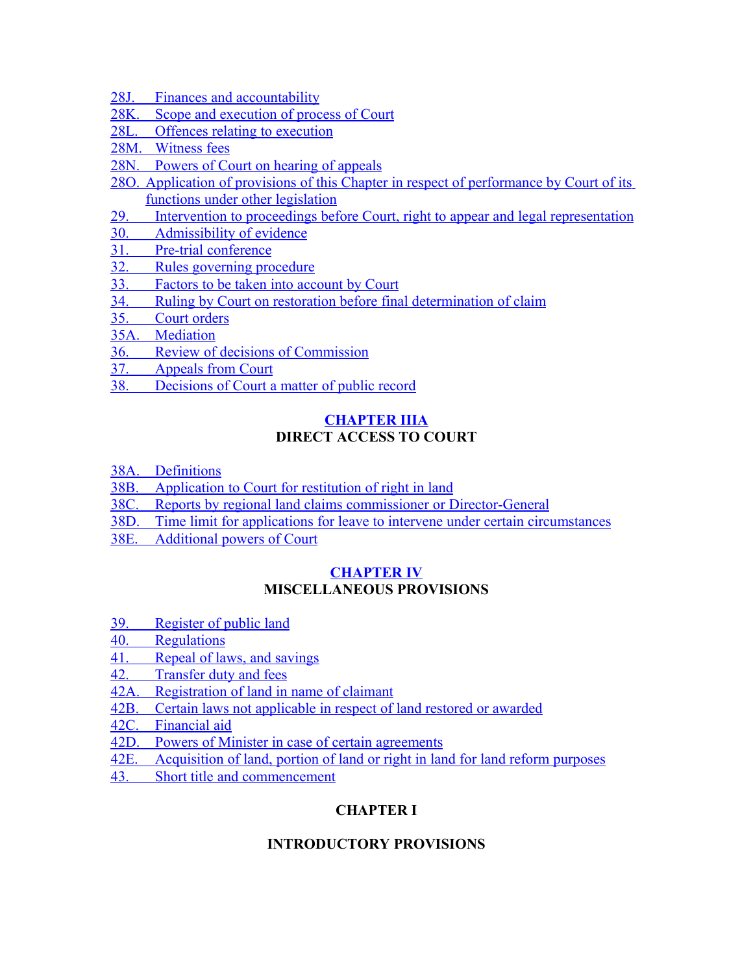- [28J. Finances and accountability](http://search.sabinet.co.za/netlawpdf/netlaw/RESTITUTION%20OF%20LAND%20RIGHTS%20ACT.htm#section28J%23section28J)
- 28K. Scope and execution of process of Court
- [28L. Offences relating to execution](http://search.sabinet.co.za/netlawpdf/netlaw/RESTITUTION%20OF%20LAND%20RIGHTS%20ACT.htm#section28L%23section28L)
- [28M. Witness fees](http://search.sabinet.co.za/netlawpdf/netlaw/RESTITUTION%20OF%20LAND%20RIGHTS%20ACT.htm#section28M%23section28M)
- [28N. Powers of Court on hearing of appeals](http://search.sabinet.co.za/netlawpdf/netlaw/RESTITUTION%20OF%20LAND%20RIGHTS%20ACT.htm#section28N%23section28N)
- [28O. Application of provisions of this Chapter in respect of performance by Court of its](http://search.sabinet.co.za/netlawpdf/netlaw/RESTITUTION%20OF%20LAND%20RIGHTS%20ACT.htm#section28O%23section28O) [functions under other legislation](http://search.sabinet.co.za/netlawpdf/netlaw/RESTITUTION%20OF%20LAND%20RIGHTS%20ACT.htm#section28O%23section28O)
- [29. Intervention to proceedings before Court, right to appear and legal representation](http://search.sabinet.co.za/netlawpdf/netlaw/RESTITUTION%20OF%20LAND%20RIGHTS%20ACT.htm#section29%23section29)
- [30. Admissibility of evidence](http://search.sabinet.co.za/netlawpdf/netlaw/RESTITUTION%20OF%20LAND%20RIGHTS%20ACT.htm#section30%23section30)
- [31. Pre-trial conference](http://search.sabinet.co.za/netlawpdf/netlaw/RESTITUTION%20OF%20LAND%20RIGHTS%20ACT.htm#section31%23section31)
- [32. Rules governing procedure](http://search.sabinet.co.za/netlawpdf/netlaw/RESTITUTION%20OF%20LAND%20RIGHTS%20ACT.htm#section32%23section32)
- [33. Factors to be taken into account by Court](http://search.sabinet.co.za/netlawpdf/netlaw/RESTITUTION%20OF%20LAND%20RIGHTS%20ACT.htm#section33%23section33)
- [34. Ruling by Court on restoration before final determination of claim](http://search.sabinet.co.za/netlawpdf/netlaw/RESTITUTION%20OF%20LAND%20RIGHTS%20ACT.htm#section34%23section34)
- [35. Court orders](http://search.sabinet.co.za/netlawpdf/netlaw/RESTITUTION%20OF%20LAND%20RIGHTS%20ACT.htm#section35%23section35)
- [35A. Mediation](http://search.sabinet.co.za/netlawpdf/netlaw/RESTITUTION%20OF%20LAND%20RIGHTS%20ACT.htm#section35A%23section35A)
- [36. Review of decisions of Commission](http://search.sabinet.co.za/netlawpdf/netlaw/RESTITUTION%20OF%20LAND%20RIGHTS%20ACT.htm#section36%23section36)
- [37. Appeals from Court](http://search.sabinet.co.za/netlawpdf/netlaw/RESTITUTION%20OF%20LAND%20RIGHTS%20ACT.htm#section37%23section37)
- [38. Decisions of Court a matter of public record](http://search.sabinet.co.za/netlawpdf/netlaw/RESTITUTION%20OF%20LAND%20RIGHTS%20ACT.htm#section38%23section38)

# **[CHAPTER IIIA](http://search.sabinet.co.za/netlawpdf/netlaw/RESTITUTION%20OF%20LAND%20RIGHTS%20ACT.htm#chapter3A%23chapter3A) DIRECT ACCESS TO COURT**

- [38A. Definitions](http://search.sabinet.co.za/netlawpdf/netlaw/RESTITUTION%20OF%20LAND%20RIGHTS%20ACT.htm#section38A%23section38A)
- [38B. Application to Court for restitution of right in land](http://search.sabinet.co.za/netlawpdf/netlaw/RESTITUTION%20OF%20LAND%20RIGHTS%20ACT.htm#section38B%23section38B)
- [38C. Reports by regional land claims commissioner or Director-General](http://search.sabinet.co.za/netlawpdf/netlaw/RESTITUTION%20OF%20LAND%20RIGHTS%20ACT.htm#section38C%23section38C)
- [38D. Time limit for applications for leave to intervene under certain circumstances](http://search.sabinet.co.za/netlawpdf/netlaw/RESTITUTION%20OF%20LAND%20RIGHTS%20ACT.htm#section38D%23section38D)
- [38E. Additional powers of Court](http://search.sabinet.co.za/netlawpdf/netlaw/RESTITUTION%20OF%20LAND%20RIGHTS%20ACT.htm#section38E%23section38E)

# **[CHAPTER IV](http://search.sabinet.co.za/netlawpdf/netlaw/RESTITUTION%20OF%20LAND%20RIGHTS%20ACT.htm#chapter4%23chapter4) MISCELLANEOUS PROVISIONS**

- [39. Register of public land](http://search.sabinet.co.za/netlawpdf/netlaw/RESTITUTION%20OF%20LAND%20RIGHTS%20ACT.htm#section39%23section39)
- [40. Regulations](http://search.sabinet.co.za/netlawpdf/netlaw/RESTITUTION%20OF%20LAND%20RIGHTS%20ACT.htm#section40%23section40)
- [41. Repeal of laws, and savings](http://search.sabinet.co.za/netlawpdf/netlaw/RESTITUTION%20OF%20LAND%20RIGHTS%20ACT.htm#section41%23section41)
- [42. Transfer duty and fees](http://search.sabinet.co.za/netlawpdf/netlaw/RESTITUTION%20OF%20LAND%20RIGHTS%20ACT.htm#section42%23section42)
- [42A. Registration of land in name of claimant](http://search.sabinet.co.za/netlawpdf/netlaw/RESTITUTION%20OF%20LAND%20RIGHTS%20ACT.htm#section42A%23section42A)
- [42B. Certain laws not applicable in respect of land restored or awarded](http://search.sabinet.co.za/netlawpdf/netlaw/RESTITUTION%20OF%20LAND%20RIGHTS%20ACT.htm#section42B%23section42B)
- [42C. Financial aid](http://search.sabinet.co.za/netlawpdf/netlaw/RESTITUTION%20OF%20LAND%20RIGHTS%20ACT.htm#section42C%23section42C)
- [42D. Powers of Minister in case of certain agreements](http://search.sabinet.co.za/netlawpdf/netlaw/RESTITUTION%20OF%20LAND%20RIGHTS%20ACT.htm#section42D%23section42D)
- [42E. Acquisition of land, portion of land or right in land for land reform purposes](http://search.sabinet.co.za/netlawpdf/netlaw/RESTITUTION%20OF%20LAND%20RIGHTS%20ACT.htm#section42E%23section42E)
- [43. Short title and commencement](http://search.sabinet.co.za/netlawpdf/netlaw/RESTITUTION%20OF%20LAND%20RIGHTS%20ACT.htm#section43%23section43)

# **CHAPTER I**

# **INTRODUCTORY PROVISIONS**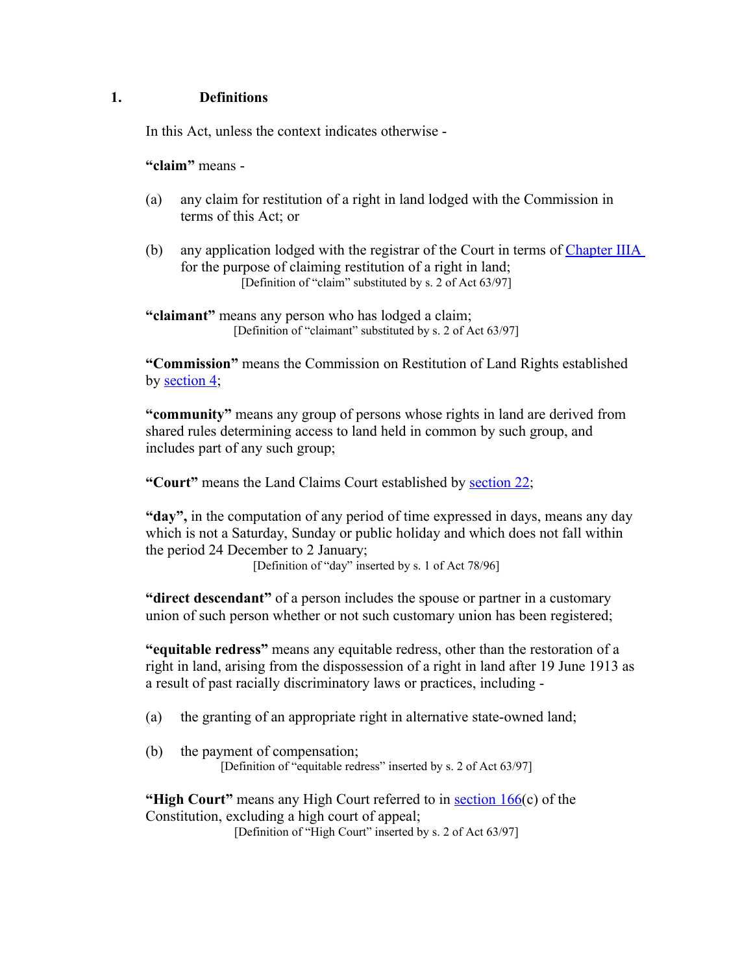# **1. Definitions**

In this Act, unless the context indicates otherwise -

**"claim"** means -

- (a) any claim for restitution of a right in land lodged with the Commission in terms of this Act; or
- (b) any application lodged with the registrar of the Court in terms of [Chapter IIIA](http://search.sabinet.co.za/netlawpdf/netlaw/RESTITUTION%20OF%20LAND%20RIGHTS%20ACT.htm#chapter3A%23chapter3A) for the purpose of claiming restitution of a right in land; [Definition of "claim" substituted by s. 2 of Act 63/97]

**"claimant"** means any person who has lodged a claim; [Definition of "claimant" substituted by s. 2 of Act 63/97]

**"Commission"** means the Commission on Restitution of Land Rights established by [section 4;](http://search.sabinet.co.za/netlawpdf/netlaw/RESTITUTION%20OF%20LAND%20RIGHTS%20ACT.htm#section4%23section4)

**"community"** means any group of persons whose rights in land are derived from shared rules determining access to land held in common by such group, and includes part of any such group;

**"Court"** means the Land Claims Court established by [section 22;](http://search.sabinet.co.za/netlawpdf/netlaw/RESTITUTION%20OF%20LAND%20RIGHTS%20ACT.htm#section22%23section22)

**"day",** in the computation of any period of time expressed in days, means any day which is not a Saturday, Sunday or public holiday and which does not fall within the period 24 December to 2 January;

[Definition of "day" inserted by s. 1 of Act 78/96]

**"direct descendant"** of a person includes the spouse or partner in a customary union of such person whether or not such customary union has been registered;

**"equitable redress"** means any equitable redress, other than the restoration of a right in land, arising from the dispossession of a right in land after 19 June 1913 as a result of past racially discriminatory laws or practices, including -

- (a) the granting of an appropriate right in alternative state-owned land;
- (b) the payment of compensation; [Definition of "equitable redress" inserted by s. 2 of Act 63/97]

**"High Court"** means any High Court referred to in [section 166\(](http://search.sabinet.co.za/netlawpdf/netlaw/CONSTITUTION%20OF%20THE%20REPUBLIC%20OF%20SOUTH%20AFRICA.htm#section166)c) of the Constitution, excluding a high court of appeal;

[Definition of "High Court" inserted by s. 2 of Act 63/97]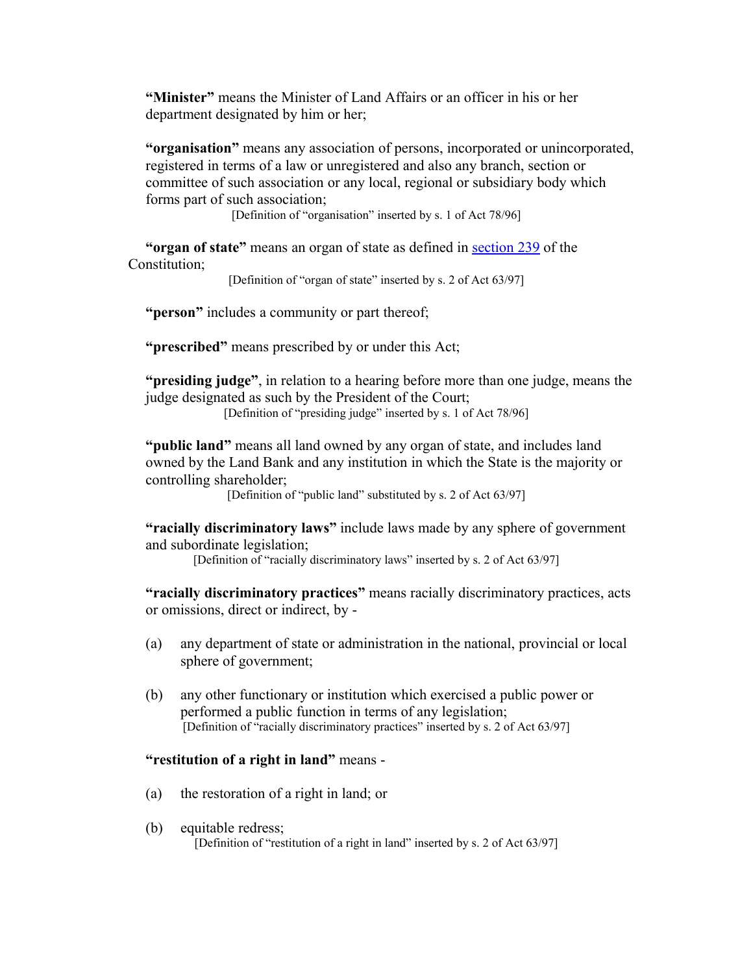**"Minister"** means the Minister of Land Affairs or an officer in his or her department designated by him or her;

**"organisation"** means any association of persons, incorporated or unincorporated, registered in terms of a law or unregistered and also any branch, section or committee of such association or any local, regional or subsidiary body which forms part of such association;

[Definition of "organisation" inserted by s. 1 of Act 78/96]

**"organ of state"** means an organ of state as defined in [section 239](http://search.sabinet.co.za/netlawpdf/netlaw/CONSTITUTION%20OF%20THE%20REPUBLIC%20OF%20SOUTH%20AFRICA.htm#section239) of the Constitution;

[Definition of "organ of state" inserted by s. 2 of Act 63/97]

**"person"** includes a community or part thereof;

**"prescribed"** means prescribed by or under this Act;

**"presiding judge"**, in relation to a hearing before more than one judge, means the judge designated as such by the President of the Court;

[Definition of "presiding judge" inserted by s. 1 of Act 78/96]

**"public land"** means all land owned by any organ of state, and includes land owned by the Land Bank and any institution in which the State is the majority or controlling shareholder;

[Definition of "public land" substituted by s. 2 of Act 63/97]

**"racially discriminatory laws"** include laws made by any sphere of government and subordinate legislation;

[Definition of "racially discriminatory laws" inserted by s. 2 of Act 63/97]

**"racially discriminatory practices"** means racially discriminatory practices, acts or omissions, direct or indirect, by -

- (a) any department of state or administration in the national, provincial or local sphere of government;
- (b) any other functionary or institution which exercised a public power or performed a public function in terms of any legislation; [Definition of "racially discriminatory practices" inserted by s. 2 of Act 63/97]

#### **"restitution of a right in land"** means -

- (a) the restoration of a right in land; or
- (b) equitable redress; [Definition of "restitution of a right in land" inserted by s. 2 of Act 63/97]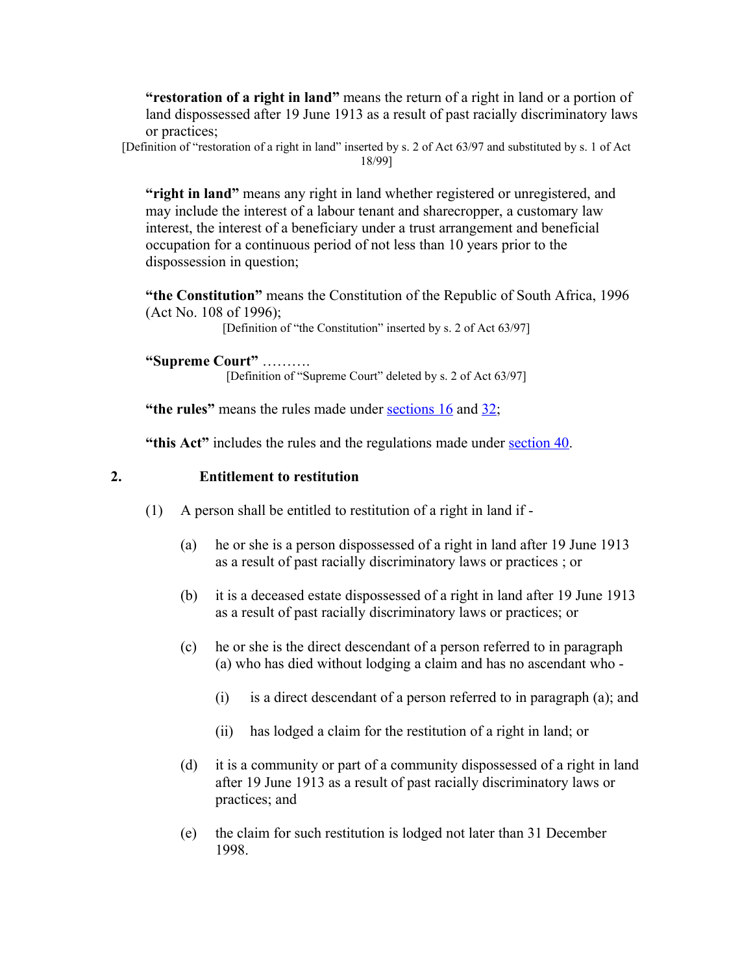**"restoration of a right in land"** means the return of a right in land or a portion of land dispossessed after 19 June 1913 as a result of past racially discriminatory laws or practices;

[Definition of "restoration of a right in land" inserted by s. 2 of Act 63/97 and substituted by s. 1 of Act 18/99]

**"right in land"** means any right in land whether registered or unregistered, and may include the interest of a labour tenant and sharecropper, a customary law interest, the interest of a beneficiary under a trust arrangement and beneficial occupation for a continuous period of not less than 10 years prior to the dispossession in question;

**"the Constitution"** means the Constitution of the Republic of South Africa, 1996 (Act No. 108 of 1996);

[Definition of "the Constitution" inserted by s. 2 of Act 63/97]

**"Supreme Court"** ……….

[Definition of "Supreme Court" deleted by s. 2 of Act 63/97]

**"the rules"** means the rules made under **sections** 16 and [32;](http://search.sabinet.co.za/netlawpdf/netlaw/RESTITUTION%20OF%20LAND%20RIGHTS%20ACT.htm#section32%23section32)

**"this Act"** includes the rules and the regulations made under [section 40.](http://search.sabinet.co.za/netlawpdf/netlaw/RESTITUTION%20OF%20LAND%20RIGHTS%20ACT.htm#section40%23section40)

# **2. Entitlement to restitution**

- (1) A person shall be entitled to restitution of a right in land if
	- (a) he or she is a person dispossessed of a right in land after 19 June 1913 as a result of past racially discriminatory laws or practices ; or
	- (b) it is a deceased estate dispossessed of a right in land after 19 June 1913 as a result of past racially discriminatory laws or practices; or
	- (c) he or she is the direct descendant of a person referred to in paragraph (a) who has died without lodging a claim and has no ascendant who -
		- (i) is a direct descendant of a person referred to in paragraph (a); and
		- (ii) has lodged a claim for the restitution of a right in land; or
	- (d) it is a community or part of a community dispossessed of a right in land after 19 June 1913 as a result of past racially discriminatory laws or practices; and
	- (e) the claim for such restitution is lodged not later than 31 December 1998.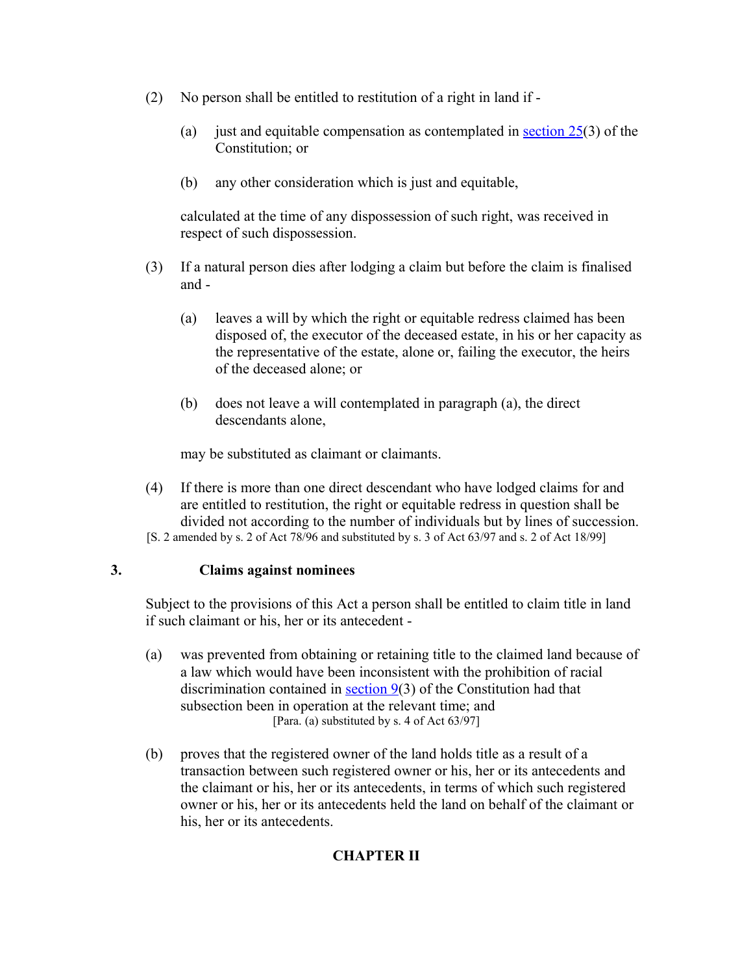- (2) No person shall be entitled to restitution of a right in land if
	- (a) just and equitable compensation as contemplated in section  $25(3)$  of the Constitution; or
	- (b) any other consideration which is just and equitable,

calculated at the time of any dispossession of such right, was received in respect of such dispossession.

- (3) If a natural person dies after lodging a claim but before the claim is finalised and -
	- (a) leaves a will by which the right or equitable redress claimed has been disposed of, the executor of the deceased estate, in his or her capacity as the representative of the estate, alone or, failing the executor, the heirs of the deceased alone; or
	- (b) does not leave a will contemplated in paragraph (a), the direct descendants alone,

may be substituted as claimant or claimants.

(4) If there is more than one direct descendant who have lodged claims for and are entitled to restitution, the right or equitable redress in question shall be divided not according to the number of individuals but by lines of succession. [S. 2 amended by s. 2 of Act 78/96 and substituted by s. 3 of Act 63/97 and s. 2 of Act 18/99]

### **3. Claims against nominees**

Subject to the provisions of this Act a person shall be entitled to claim title in land if such claimant or his, her or its antecedent -

- (a) was prevented from obtaining or retaining title to the claimed land because of a law which would have been inconsistent with the prohibition of racial discrimination contained in section  $9(3)$  of the Constitution had that subsection been in operation at the relevant time; and [Para. (a) substituted by s. 4 of Act 63/97]
- (b) proves that the registered owner of the land holds title as a result of a transaction between such registered owner or his, her or its antecedents and the claimant or his, her or its antecedents, in terms of which such registered owner or his, her or its antecedents held the land on behalf of the claimant or his, her or its antecedents.

# **CHAPTER II**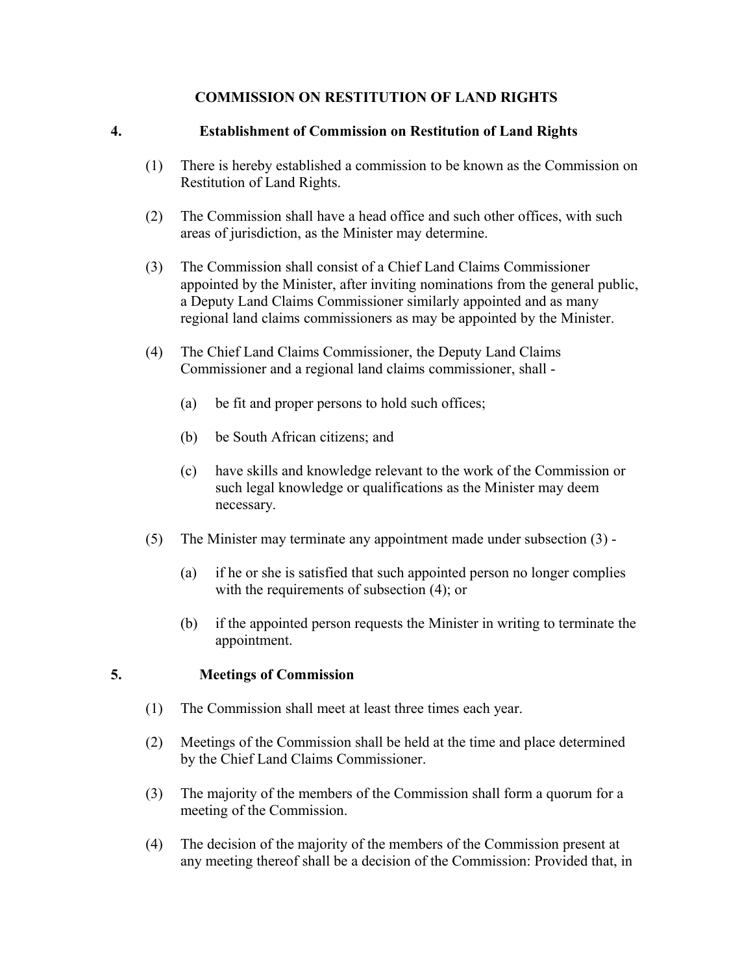# **COMMISSION ON RESTITUTION OF LAND RIGHTS**

# **4. Establishment of Commission on Restitution of Land Rights**

- (1) There is hereby established a commission to be known as the Commission on Restitution of Land Rights.
- (2) The Commission shall have a head office and such other offices, with such areas of jurisdiction, as the Minister may determine.
- (3) The Commission shall consist of a Chief Land Claims Commissioner appointed by the Minister, after inviting nominations from the general public, a Deputy Land Claims Commissioner similarly appointed and as many regional land claims commissioners as may be appointed by the Minister.
- (4) The Chief Land Claims Commissioner, the Deputy Land Claims Commissioner and a regional land claims commissioner, shall -
	- (a) be fit and proper persons to hold such offices;
	- (b) be South African citizens; and
	- (c) have skills and knowledge relevant to the work of the Commission or such legal knowledge or qualifications as the Minister may deem necessary.
- (5) The Minister may terminate any appointment made under subsection (3)
	- (a) if he or she is satisfied that such appointed person no longer complies with the requirements of subsection  $(4)$ ; or
	- (b) if the appointed person requests the Minister in writing to terminate the appointment.

### **5. Meetings of Commission**

- (1) The Commission shall meet at least three times each year.
- (2) Meetings of the Commission shall be held at the time and place determined by the Chief Land Claims Commissioner.
- (3) The majority of the members of the Commission shall form a quorum for a meeting of the Commission.
- (4) The decision of the majority of the members of the Commission present at any meeting thereof shall be a decision of the Commission: Provided that, in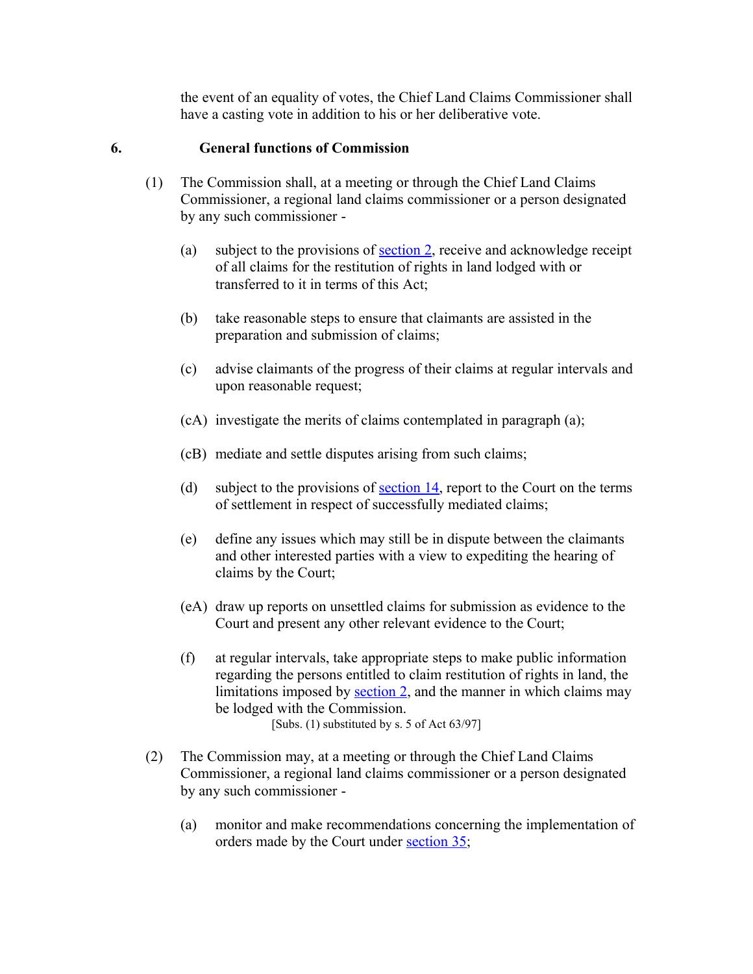the event of an equality of votes, the Chief Land Claims Commissioner shall have a casting vote in addition to his or her deliberative vote.

# **6. General functions of Commission**

- (1) The Commission shall, at a meeting or through the Chief Land Claims Commissioner, a regional land claims commissioner or a person designated by any such commissioner -
	- (a) subject to the provisions of [section 2,](http://search.sabinet.co.za/netlawpdf/netlaw/RESTITUTION%20OF%20LAND%20RIGHTS%20ACT.htm#section2%23section2) receive and acknowledge receipt of all claims for the restitution of rights in land lodged with or transferred to it in terms of this Act;
	- (b) take reasonable steps to ensure that claimants are assisted in the preparation and submission of claims;
	- (c) advise claimants of the progress of their claims at regular intervals and upon reasonable request;
	- (cA) investigate the merits of claims contemplated in paragraph (a);
	- (cB) mediate and settle disputes arising from such claims;
	- (d) subject to the provisions of <u>section 14</u>, report to the Court on the terms of settlement in respect of successfully mediated claims;
	- (e) define any issues which may still be in dispute between the claimants and other interested parties with a view to expediting the hearing of claims by the Court;
	- (eA) draw up reports on unsettled claims for submission as evidence to the Court and present any other relevant evidence to the Court;
	- (f) at regular intervals, take appropriate steps to make public information regarding the persons entitled to claim restitution of rights in land, the limitations imposed by [section 2,](http://search.sabinet.co.za/netlawpdf/netlaw/RESTITUTION%20OF%20LAND%20RIGHTS%20ACT.htm#section2%23section2) and the manner in which claims may be lodged with the Commission. [Subs. (1) substituted by s. 5 of Act 63/97]
- (2) The Commission may, at a meeting or through the Chief Land Claims Commissioner, a regional land claims commissioner or a person designated by any such commissioner -
	- (a) monitor and make recommendations concerning the implementation of orders made by the Court under [section 35;](http://search.sabinet.co.za/netlawpdf/netlaw/RESTITUTION%20OF%20LAND%20RIGHTS%20ACT.htm#section35%23section35)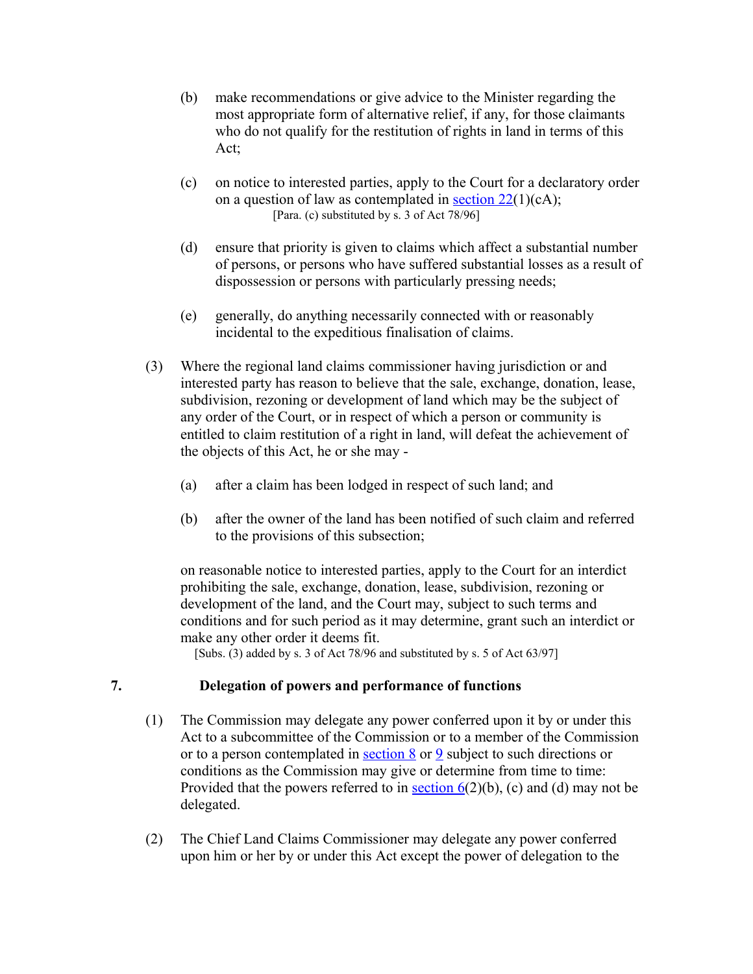- (b) make recommendations or give advice to the Minister regarding the most appropriate form of alternative relief, if any, for those claimants who do not qualify for the restitution of rights in land in terms of this Act;
- (c) on notice to interested parties, apply to the Court for a declaratory order on a question of law as contemplated in section  $22(1)(c)$ ; [Para. (c) substituted by s. 3 of Act 78/96]
- (d) ensure that priority is given to claims which affect a substantial number of persons, or persons who have suffered substantial losses as a result of dispossession or persons with particularly pressing needs;
- (e) generally, do anything necessarily connected with or reasonably incidental to the expeditious finalisation of claims.
- (3) Where the regional land claims commissioner having jurisdiction or and interested party has reason to believe that the sale, exchange, donation, lease, subdivision, rezoning or development of land which may be the subject of any order of the Court, or in respect of which a person or community is entitled to claim restitution of a right in land, will defeat the achievement of the objects of this Act, he or she may -
	- (a) after a claim has been lodged in respect of such land; and
	- (b) after the owner of the land has been notified of such claim and referred to the provisions of this subsection;

on reasonable notice to interested parties, apply to the Court for an interdict prohibiting the sale, exchange, donation, lease, subdivision, rezoning or development of the land, and the Court may, subject to such terms and conditions and for such period as it may determine, grant such an interdict or make any other order it deems fit.

[Subs. (3) added by s. 3 of Act 78/96 and substituted by s. 5 of Act 63/97]

# **7. Delegation of powers and performance of functions**

- (1) The Commission may delegate any power conferred upon it by or under this Act to a subcommittee of the Commission or to a member of the Commission or to a person contemplated in [section 8](http://search.sabinet.co.za/netlawpdf/netlaw/RESTITUTION%20OF%20LAND%20RIGHTS%20ACT.htm#section8%23section8) or [9](http://search.sabinet.co.za/netlawpdf/netlaw/RESTITUTION%20OF%20LAND%20RIGHTS%20ACT.htm#section9%23section9) subject to such directions or conditions as the Commission may give or determine from time to time: Provided that the powers referred to in section  $6(2)(b)$ , (c) and (d) may not be delegated.
- (2) The Chief Land Claims Commissioner may delegate any power conferred upon him or her by or under this Act except the power of delegation to the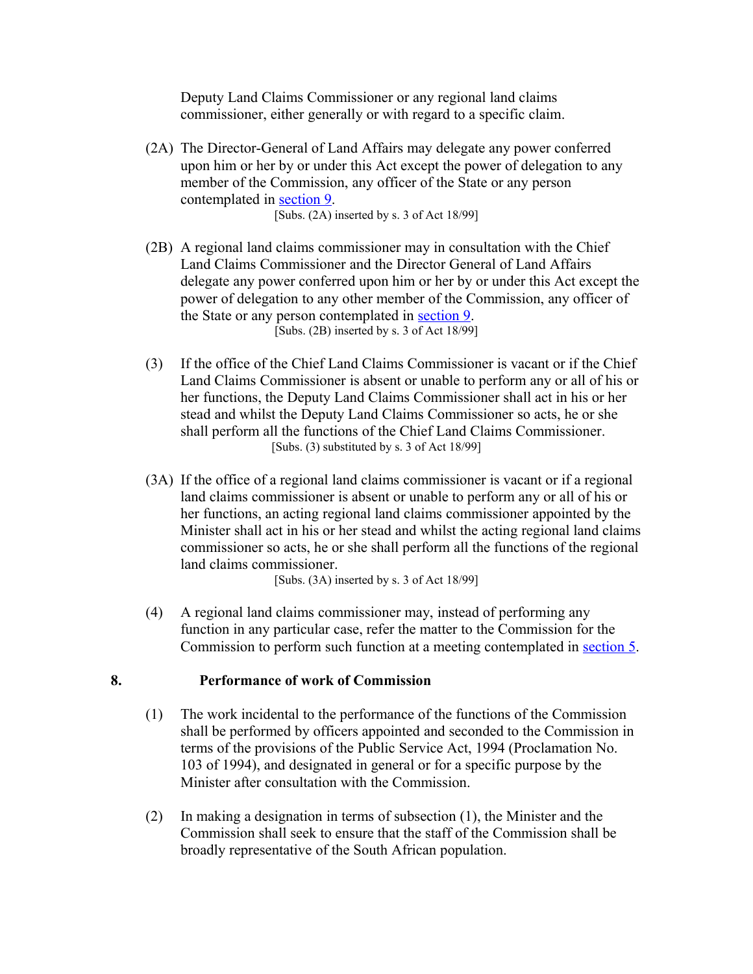Deputy Land Claims Commissioner or any regional land claims commissioner, either generally or with regard to a specific claim.

(2A) The Director-General of Land Affairs may delegate any power conferred upon him or her by or under this Act except the power of delegation to any member of the Commission, any officer of the State or any person contemplated in [section 9.](http://search.sabinet.co.za/netlawpdf/netlaw/RESTITUTION%20OF%20LAND%20RIGHTS%20ACT.htm#section9%23section9)

[Subs. (2A) inserted by s. 3 of Act 18/99]

- (2B) A regional land claims commissioner may in consultation with the Chief Land Claims Commissioner and the Director General of Land Affairs delegate any power conferred upon him or her by or under this Act except the power of delegation to any other member of the Commission, any officer of the State or any person contemplated in [section 9.](http://search.sabinet.co.za/netlawpdf/netlaw/RESTITUTION%20OF%20LAND%20RIGHTS%20ACT.htm#section9%23section9) [Subs. (2B) inserted by s. 3 of Act 18/99]
- (3) If the office of the Chief Land Claims Commissioner is vacant or if the Chief Land Claims Commissioner is absent or unable to perform any or all of his or her functions, the Deputy Land Claims Commissioner shall act in his or her stead and whilst the Deputy Land Claims Commissioner so acts, he or she shall perform all the functions of the Chief Land Claims Commissioner. [Subs. (3) substituted by s. 3 of Act 18/99]
- (3A) If the office of a regional land claims commissioner is vacant or if a regional land claims commissioner is absent or unable to perform any or all of his or her functions, an acting regional land claims commissioner appointed by the Minister shall act in his or her stead and whilst the acting regional land claims commissioner so acts, he or she shall perform all the functions of the regional land claims commissioner.

[Subs. (3A) inserted by s. 3 of Act 18/99]

(4) A regional land claims commissioner may, instead of performing any function in any particular case, refer the matter to the Commission for the Commission to perform such function at a meeting contemplated in [section 5.](http://search.sabinet.co.za/netlawpdf/netlaw/RESTITUTION%20OF%20LAND%20RIGHTS%20ACT.htm#section5%23section5)

# **8. Performance of work of Commission**

- (1) The work incidental to the performance of the functions of the Commission shall be performed by officers appointed and seconded to the Commission in terms of the provisions of the Public Service Act, 1994 (Proclamation No. 103 of 1994), and designated in general or for a specific purpose by the Minister after consultation with the Commission.
- (2) In making a designation in terms of subsection (1), the Minister and the Commission shall seek to ensure that the staff of the Commission shall be broadly representative of the South African population.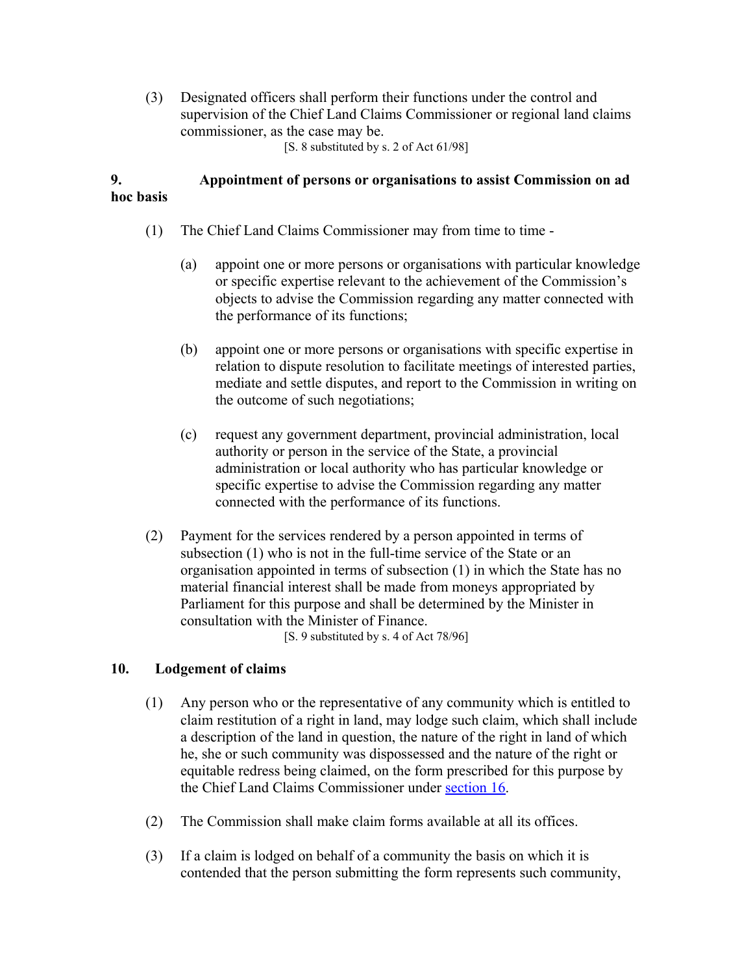(3) Designated officers shall perform their functions under the control and supervision of the Chief Land Claims Commissioner or regional land claims commissioner, as the case may be.

[S. 8 substituted by s. 2 of Act 61/98]

# **9. Appointment of persons or organisations to assist Commission on ad hoc basis**

- (1) The Chief Land Claims Commissioner may from time to time
	- (a) appoint one or more persons or organisations with particular knowledge or specific expertise relevant to the achievement of the Commission's objects to advise the Commission regarding any matter connected with the performance of its functions;
	- (b) appoint one or more persons or organisations with specific expertise in relation to dispute resolution to facilitate meetings of interested parties, mediate and settle disputes, and report to the Commission in writing on the outcome of such negotiations;
	- (c) request any government department, provincial administration, local authority or person in the service of the State, a provincial administration or local authority who has particular knowledge or specific expertise to advise the Commission regarding any matter connected with the performance of its functions.
- (2) Payment for the services rendered by a person appointed in terms of subsection (1) who is not in the full-time service of the State or an organisation appointed in terms of subsection (1) in which the State has no material financial interest shall be made from moneys appropriated by Parliament for this purpose and shall be determined by the Minister in consultation with the Minister of Finance.

[S. 9 substituted by s. 4 of Act 78/96]

# **10. Lodgement of claims**

- (1) Any person who or the representative of any community which is entitled to claim restitution of a right in land, may lodge such claim, which shall include a description of the land in question, the nature of the right in land of which he, she or such community was dispossessed and the nature of the right or equitable redress being claimed, on the form prescribed for this purpose by the Chief Land Claims Commissioner under [section 16.](http://search.sabinet.co.za/netlawpdf/netlaw/RESTITUTION%20OF%20LAND%20RIGHTS%20ACT.htm#section16%23section16)
- (2) The Commission shall make claim forms available at all its offices.
- (3) If a claim is lodged on behalf of a community the basis on which it is contended that the person submitting the form represents such community,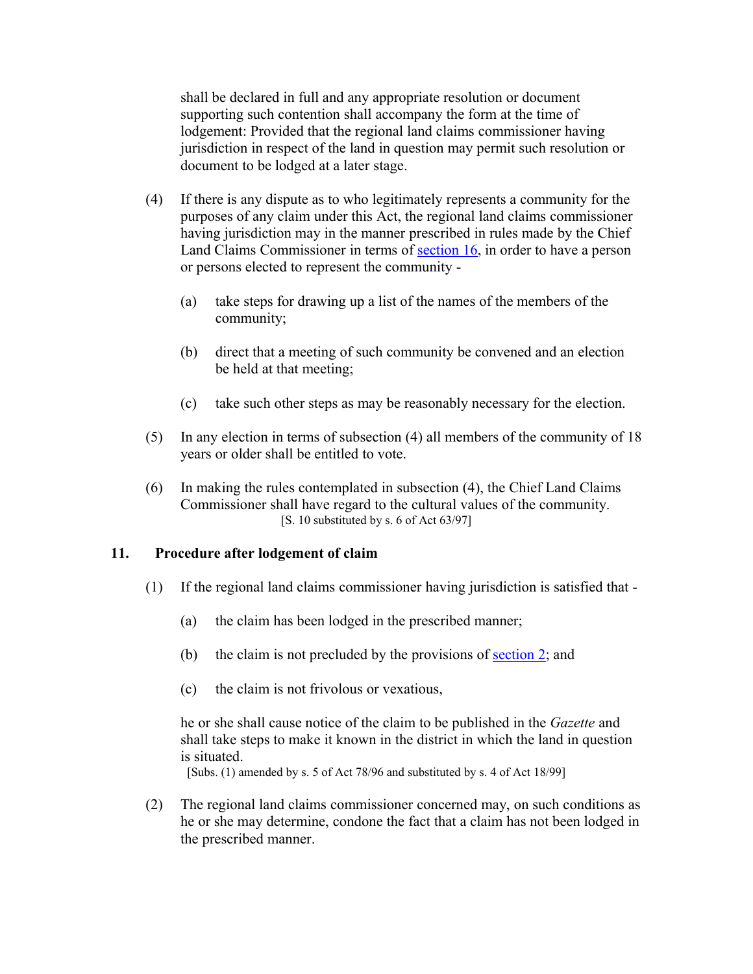shall be declared in full and any appropriate resolution or document supporting such contention shall accompany the form at the time of lodgement: Provided that the regional land claims commissioner having jurisdiction in respect of the land in question may permit such resolution or document to be lodged at a later stage.

- (4) If there is any dispute as to who legitimately represents a community for the purposes of any claim under this Act, the regional land claims commissioner having jurisdiction may in the manner prescribed in rules made by the Chief Land Claims Commissioner in terms of [section 16,](http://search.sabinet.co.za/netlawpdf/netlaw/RESTITUTION%20OF%20LAND%20RIGHTS%20ACT.htm#section16%23section16) in order to have a person or persons elected to represent the community -
	- (a) take steps for drawing up a list of the names of the members of the community;
	- (b) direct that a meeting of such community be convened and an election be held at that meeting;
	- (c) take such other steps as may be reasonably necessary for the election.
- (5) In any election in terms of subsection (4) all members of the community of 18 years or older shall be entitled to vote.
- (6) In making the rules contemplated in subsection (4), the Chief Land Claims Commissioner shall have regard to the cultural values of the community. [S. 10 substituted by s. 6 of Act 63/97]

### **11. Procedure after lodgement of claim**

- (1) If the regional land claims commissioner having jurisdiction is satisfied that
	- (a) the claim has been lodged in the prescribed manner;
	- (b) the claim is not precluded by the provisions of <u>section 2</u>; and
	- (c) the claim is not frivolous or vexatious,

he or she shall cause notice of the claim to be published in the *Gazette* and shall take steps to make it known in the district in which the land in question is situated.

[Subs. (1) amended by s. 5 of Act 78/96 and substituted by s. 4 of Act 18/99]

(2) The regional land claims commissioner concerned may, on such conditions as he or she may determine, condone the fact that a claim has not been lodged in the prescribed manner.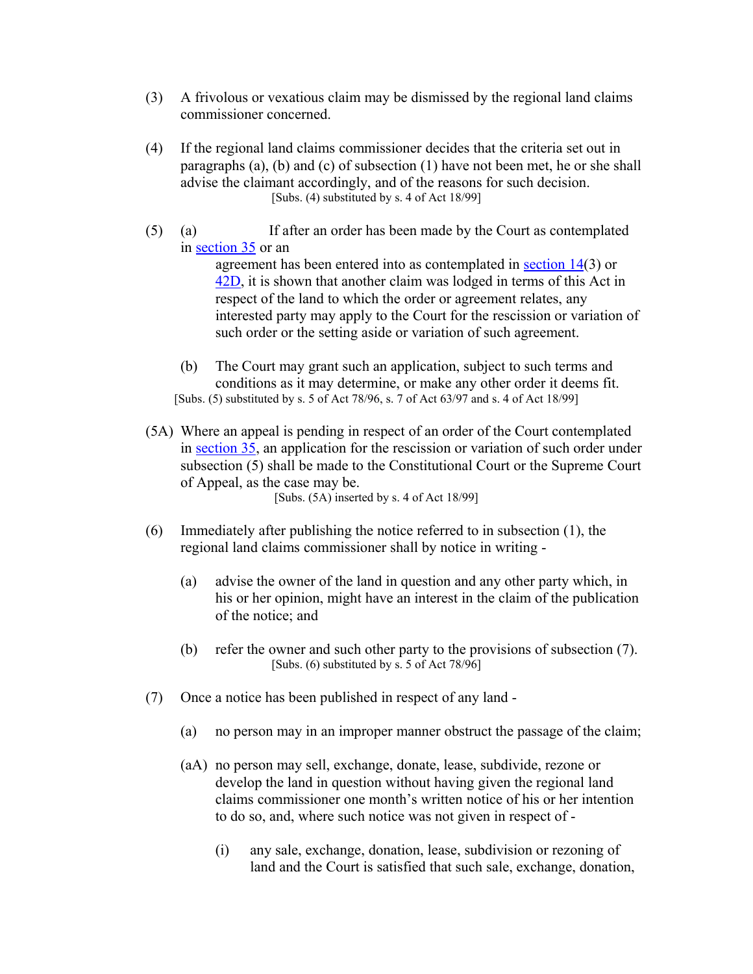- (3) A frivolous or vexatious claim may be dismissed by the regional land claims commissioner concerned.
- (4) If the regional land claims commissioner decides that the criteria set out in paragraphs (a), (b) and (c) of subsection (1) have not been met, he or she shall advise the claimant accordingly, and of the reasons for such decision. [Subs. (4) substituted by s. 4 of Act 18/99]
- (5) (a) If after an order has been made by the Court as contemplated in [section 35](http://search.sabinet.co.za/netlawpdf/netlaw/RESTITUTION%20OF%20LAND%20RIGHTS%20ACT.htm#section35%23section35) or an agreement has been entered into as contemplated in [section 14\(](http://search.sabinet.co.za/netlawpdf/netlaw/RESTITUTION%20OF%20LAND%20RIGHTS%20ACT.htm#section14%23section14)3) or [42D,](http://search.sabinet.co.za/netlawpdf/netlaw/RESTITUTION%20OF%20LAND%20RIGHTS%20ACT.htm#section42D%23section42D) it is shown that another claim was lodged in terms of this Act in respect of the land to which the order or agreement relates, any interested party may apply to the Court for the rescission or variation of such order or the setting aside or variation of such agreement.
	- (b) The Court may grant such an application, subject to such terms and conditions as it may determine, or make any other order it deems fit. [Subs. (5) substituted by s. 5 of Act 78/96, s. 7 of Act 63/97 and s. 4 of Act 18/99]
- (5A) Where an appeal is pending in respect of an order of the Court contemplated in [section 35,](http://search.sabinet.co.za/netlawpdf/netlaw/RESTITUTION%20OF%20LAND%20RIGHTS%20ACT.htm#section35%23section35) an application for the rescission or variation of such order under subsection (5) shall be made to the Constitutional Court or the Supreme Court of Appeal, as the case may be.

[Subs. (5A) inserted by s. 4 of Act 18/99]

- (6) Immediately after publishing the notice referred to in subsection (1), the regional land claims commissioner shall by notice in writing -
	- (a) advise the owner of the land in question and any other party which, in his or her opinion, might have an interest in the claim of the publication of the notice; and
	- (b) refer the owner and such other party to the provisions of subsection (7). [Subs. (6) substituted by s. 5 of Act 78/96]
- (7) Once a notice has been published in respect of any land
	- (a) no person may in an improper manner obstruct the passage of the claim;
	- (aA) no person may sell, exchange, donate, lease, subdivide, rezone or develop the land in question without having given the regional land claims commissioner one month's written notice of his or her intention to do so, and, where such notice was not given in respect of -
		- (i) any sale, exchange, donation, lease, subdivision or rezoning of land and the Court is satisfied that such sale, exchange, donation,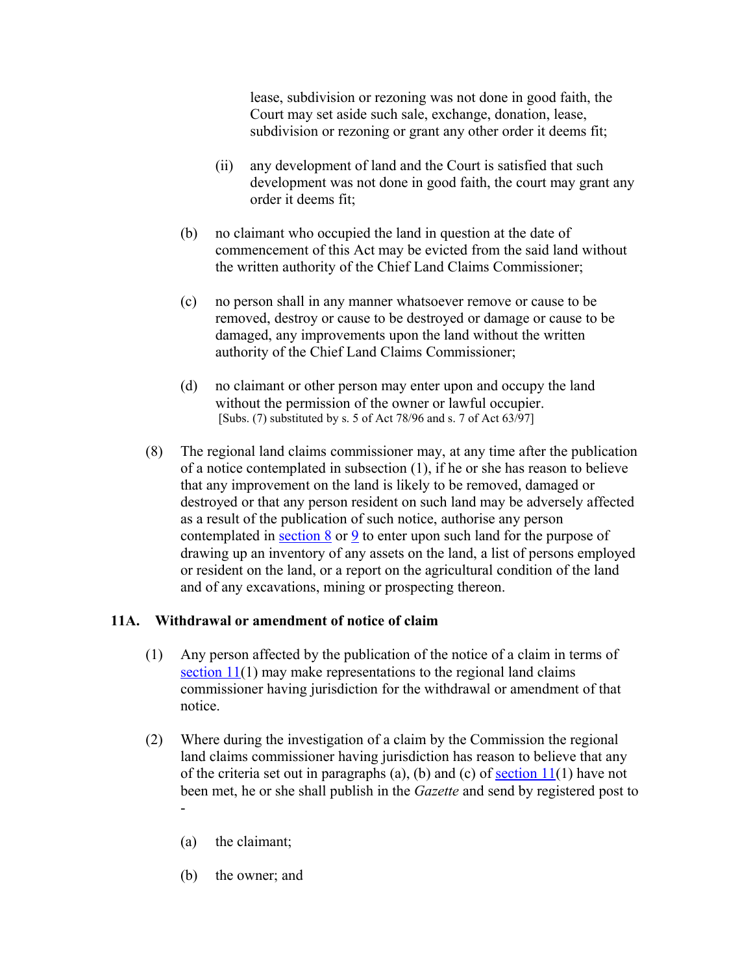lease, subdivision or rezoning was not done in good faith, the Court may set aside such sale, exchange, donation, lease, subdivision or rezoning or grant any other order it deems fit;

- (ii) any development of land and the Court is satisfied that such development was not done in good faith, the court may grant any order it deems fit;
- (b) no claimant who occupied the land in question at the date of commencement of this Act may be evicted from the said land without the written authority of the Chief Land Claims Commissioner;
- (c) no person shall in any manner whatsoever remove or cause to be removed, destroy or cause to be destroyed or damage or cause to be damaged, any improvements upon the land without the written authority of the Chief Land Claims Commissioner;
- (d) no claimant or other person may enter upon and occupy the land without the permission of the owner or lawful occupier. [Subs. (7) substituted by s. 5 of Act 78/96 and s. 7 of Act 63/97]
- (8) The regional land claims commissioner may, at any time after the publication of a notice contemplated in subsection (1), if he or she has reason to believe that any improvement on the land is likely to be removed, damaged or destroyed or that any person resident on such land may be adversely affected as a result of the publication of such notice, authorise any person contemplated in section  $8 \text{ or } 9$  to enter upon such land for the purpose of drawing up an inventory of any assets on the land, a list of persons employed or resident on the land, or a report on the agricultural condition of the land and of any excavations, mining or prospecting thereon.

### **11A. Withdrawal or amendment of notice of claim**

- (1) Any person affected by the publication of the notice of a claim in terms of [section 11\(](http://search.sabinet.co.za/netlawpdf/netlaw/RESTITUTION%20OF%20LAND%20RIGHTS%20ACT.htm#section11%23section11)1) may make representations to the regional land claims commissioner having jurisdiction for the withdrawal or amendment of that notice.
- (2) Where during the investigation of a claim by the Commission the regional land claims commissioner having jurisdiction has reason to believe that any of the criteria set out in paragraphs (a), (b) and (c) of section  $11(1)$  have not been met, he or she shall publish in the *Gazette* and send by registered post to -
	- (a) the claimant;
	- (b) the owner; and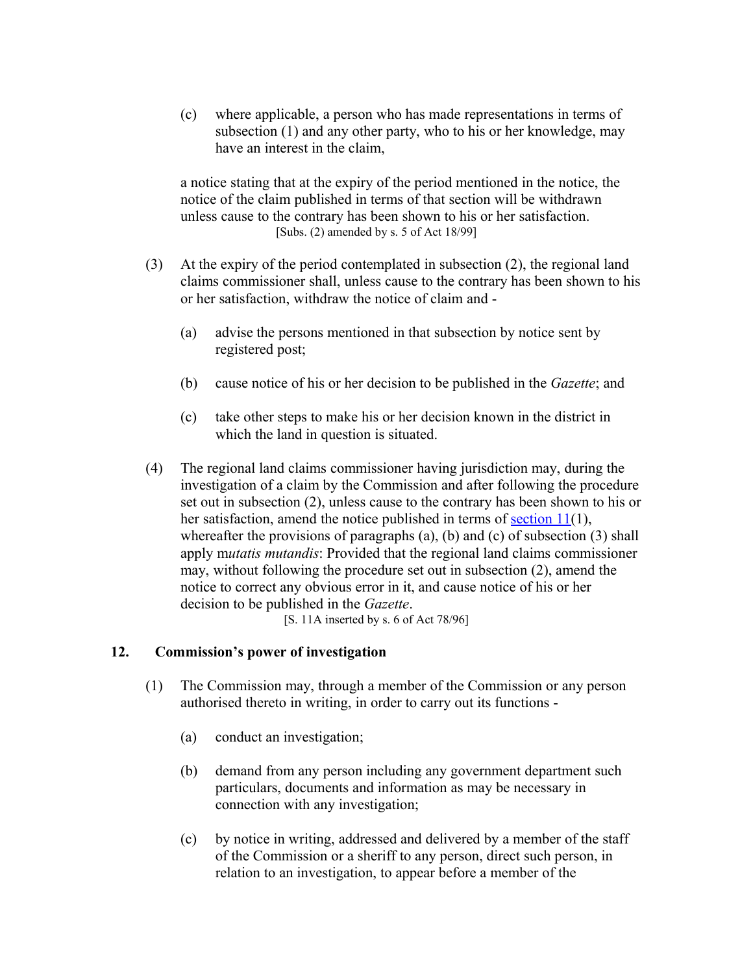(c) where applicable, a person who has made representations in terms of subsection (1) and any other party, who to his or her knowledge, may have an interest in the claim,

a notice stating that at the expiry of the period mentioned in the notice, the notice of the claim published in terms of that section will be withdrawn unless cause to the contrary has been shown to his or her satisfaction. [Subs. (2) amended by s. 5 of Act 18/99]

- (3) At the expiry of the period contemplated in subsection (2), the regional land claims commissioner shall, unless cause to the contrary has been shown to his or her satisfaction, withdraw the notice of claim and -
	- (a) advise the persons mentioned in that subsection by notice sent by registered post;
	- (b) cause notice of his or her decision to be published in the *Gazette*; and
	- (c) take other steps to make his or her decision known in the district in which the land in question is situated.
- (4) The regional land claims commissioner having jurisdiction may, during the investigation of a claim by the Commission and after following the procedure set out in subsection (2), unless cause to the contrary has been shown to his or her satisfaction, amend the notice published in terms of <u>section 11</u>(1), whereafter the provisions of paragraphs (a), (b) and (c) of subsection (3) shall apply m*utatis mutandis*: Provided that the regional land claims commissioner may, without following the procedure set out in subsection (2), amend the notice to correct any obvious error in it, and cause notice of his or her decision to be published in the *Gazette*.

[S. 11A inserted by s. 6 of Act 78/96]

### **12. Commission's power of investigation**

- (1) The Commission may, through a member of the Commission or any person authorised thereto in writing, in order to carry out its functions -
	- (a) conduct an investigation;
	- (b) demand from any person including any government department such particulars, documents and information as may be necessary in connection with any investigation;
	- (c) by notice in writing, addressed and delivered by a member of the staff of the Commission or a sheriff to any person, direct such person, in relation to an investigation, to appear before a member of the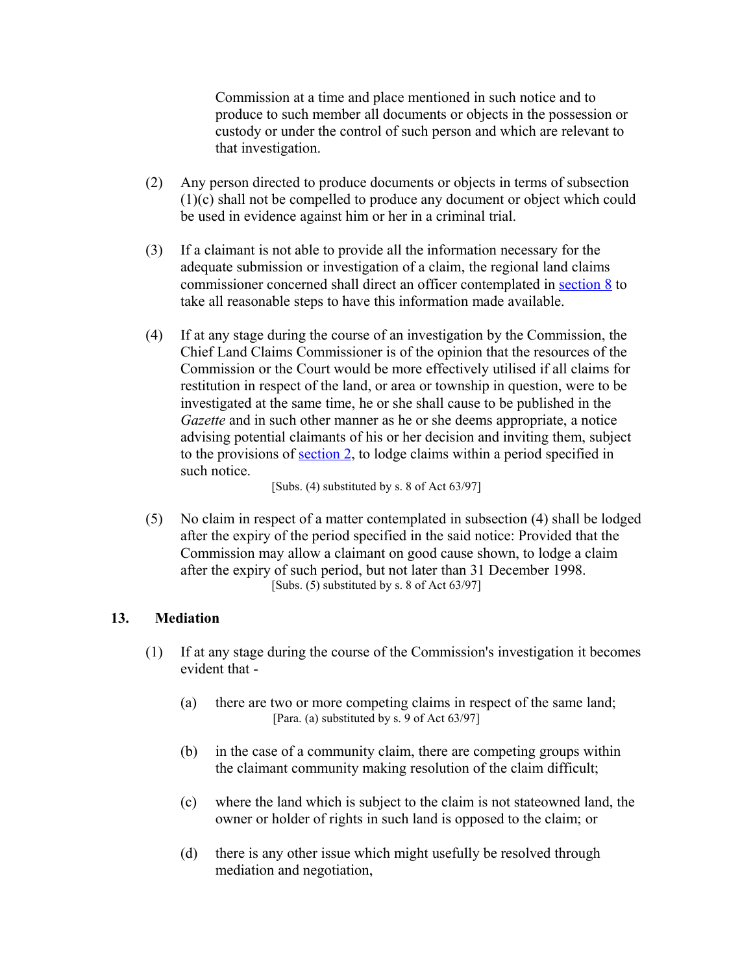Commission at a time and place mentioned in such notice and to produce to such member all documents or objects in the possession or custody or under the control of such person and which are relevant to that investigation.

- (2) Any person directed to produce documents or objects in terms of subsection (1)(c) shall not be compelled to produce any document or object which could be used in evidence against him or her in a criminal trial.
- (3) If a claimant is not able to provide all the information necessary for the adequate submission or investigation of a claim, the regional land claims commissioner concerned shall direct an officer contemplated in [section 8](http://search.sabinet.co.za/netlawpdf/netlaw/RESTITUTION%20OF%20LAND%20RIGHTS%20ACT.htm#section8%23section8) to take all reasonable steps to have this information made available.
- (4) If at any stage during the course of an investigation by the Commission, the Chief Land Claims Commissioner is of the opinion that the resources of the Commission or the Court would be more effectively utilised if all claims for restitution in respect of the land, or area or township in question, were to be investigated at the same time, he or she shall cause to be published in the *Gazette* and in such other manner as he or she deems appropriate, a notice advising potential claimants of his or her decision and inviting them, subject to the provisions of [section 2,](http://search.sabinet.co.za/netlawpdf/netlaw/RESTITUTION%20OF%20LAND%20RIGHTS%20ACT.htm#section2%23section2) to lodge claims within a period specified in such notice.

[Subs. (4) substituted by s. 8 of Act 63/97]

(5) No claim in respect of a matter contemplated in subsection (4) shall be lodged after the expiry of the period specified in the said notice: Provided that the Commission may allow a claimant on good cause shown, to lodge a claim after the expiry of such period, but not later than 31 December 1998. [Subs. (5) substituted by s. 8 of Act 63/97]

### **13. Mediation**

- (1) If at any stage during the course of the Commission's investigation it becomes evident that -
	- (a) there are two or more competing claims in respect of the same land; [Para. (a) substituted by s. 9 of Act 63/97]
	- (b) in the case of a community claim, there are competing groups within the claimant community making resolution of the claim difficult;
	- (c) where the land which is subject to the claim is not stateowned land, the owner or holder of rights in such land is opposed to the claim; or
	- (d) there is any other issue which might usefully be resolved through mediation and negotiation,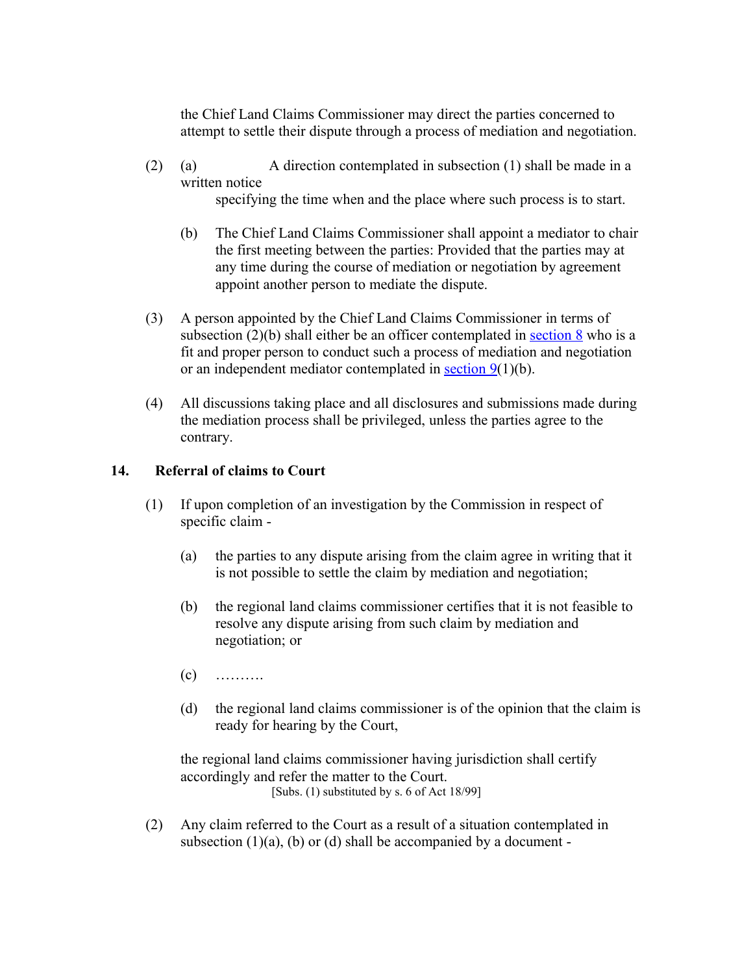the Chief Land Claims Commissioner may direct the parties concerned to attempt to settle their dispute through a process of mediation and negotiation.

(2) (a) A direction contemplated in subsection (1) shall be made in a written notice

specifying the time when and the place where such process is to start.

- (b) The Chief Land Claims Commissioner shall appoint a mediator to chair the first meeting between the parties: Provided that the parties may at any time during the course of mediation or negotiation by agreement appoint another person to mediate the dispute.
- (3) A person appointed by the Chief Land Claims Commissioner in terms of subsection  $(2)(b)$  shall either be an officer contemplated in [section 8](http://search.sabinet.co.za/netlawpdf/netlaw/RESTITUTION%20OF%20LAND%20RIGHTS%20ACT.htm#section8%23section8) who is a fit and proper person to conduct such a process of mediation and negotiation or an independent mediator contemplated in [section 9\(](http://search.sabinet.co.za/netlawpdf/netlaw/RESTITUTION%20OF%20LAND%20RIGHTS%20ACT.htm#section9%23section9)1)(b).
- (4) All discussions taking place and all disclosures and submissions made during the mediation process shall be privileged, unless the parties agree to the contrary.

# **14. Referral of claims to Court**

- (1) If upon completion of an investigation by the Commission in respect of specific claim -
	- (a) the parties to any dispute arising from the claim agree in writing that it is not possible to settle the claim by mediation and negotiation;
	- (b) the regional land claims commissioner certifies that it is not feasible to resolve any dispute arising from such claim by mediation and negotiation; or
	- $(c)$  ………
	- (d) the regional land claims commissioner is of the opinion that the claim is ready for hearing by the Court,

the regional land claims commissioner having jurisdiction shall certify accordingly and refer the matter to the Court. [Subs. (1) substituted by s. 6 of Act 18/99]

(2) Any claim referred to the Court as a result of a situation contemplated in subsection  $(1)(a)$ ,  $(b)$  or  $(d)$  shall be accompanied by a document -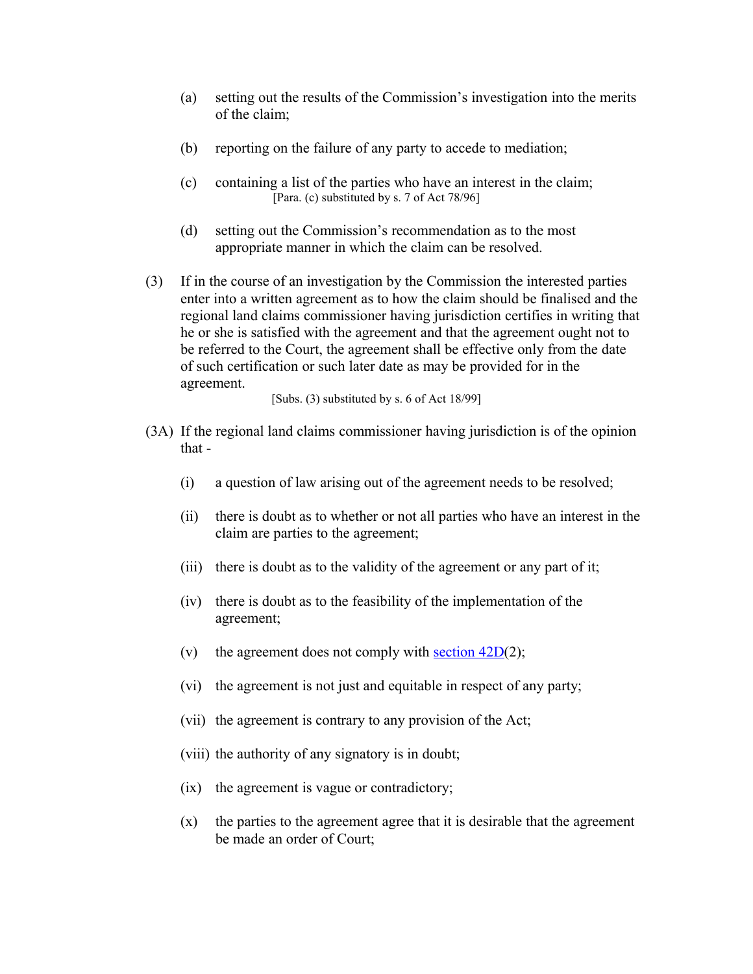- (a) setting out the results of the Commission's investigation into the merits of the claim;
- (b) reporting on the failure of any party to accede to mediation;
- (c) containing a list of the parties who have an interest in the claim; [Para. (c) substituted by s. 7 of Act 78/96]
- (d) setting out the Commission's recommendation as to the most appropriate manner in which the claim can be resolved.
- (3) If in the course of an investigation by the Commission the interested parties enter into a written agreement as to how the claim should be finalised and the regional land claims commissioner having jurisdiction certifies in writing that he or she is satisfied with the agreement and that the agreement ought not to be referred to the Court, the agreement shall be effective only from the date of such certification or such later date as may be provided for in the agreement.

[Subs. (3) substituted by s. 6 of Act 18/99]

- (3A) If the regional land claims commissioner having jurisdiction is of the opinion that -
	- (i) a question of law arising out of the agreement needs to be resolved;
	- (ii) there is doubt as to whether or not all parties who have an interest in the claim are parties to the agreement;
	- (iii) there is doubt as to the validity of the agreement or any part of it;
	- (iv) there is doubt as to the feasibility of the implementation of the agreement;
	- (v) the agreement does not comply with section  $42D(2)$ ;
	- (vi) the agreement is not just and equitable in respect of any party;
	- (vii) the agreement is contrary to any provision of the Act;
	- (viii) the authority of any signatory is in doubt;
	- (ix) the agreement is vague or contradictory;
	- (x) the parties to the agreement agree that it is desirable that the agreement be made an order of Court;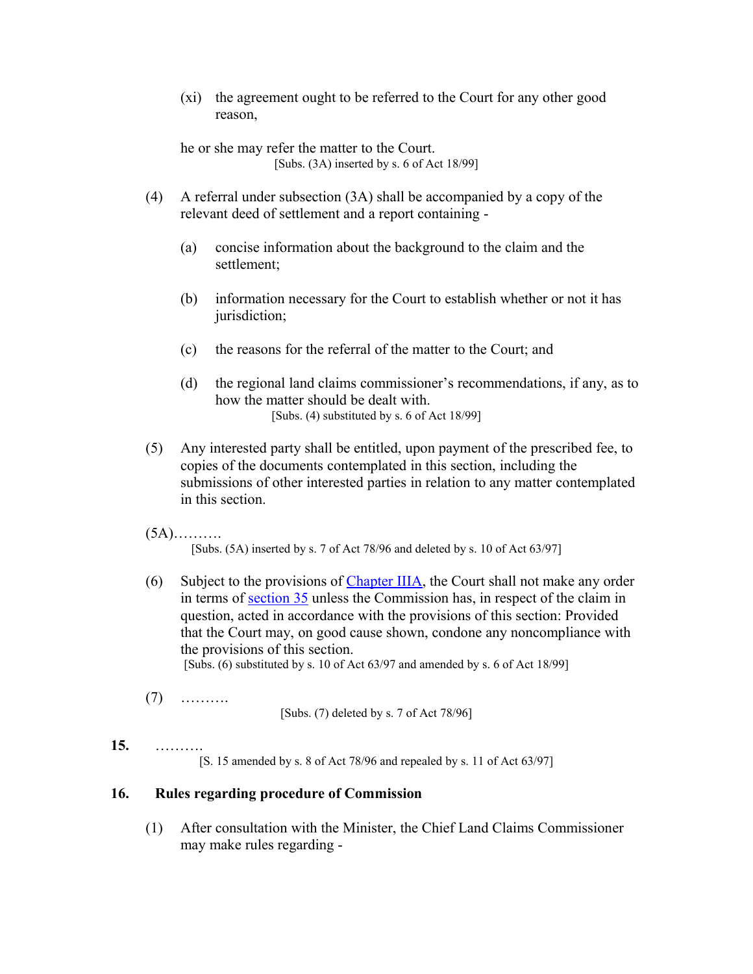(xi) the agreement ought to be referred to the Court for any other good reason,

he or she may refer the matter to the Court. [Subs. (3A) inserted by s. 6 of Act 18/99]

- (4) A referral under subsection (3A) shall be accompanied by a copy of the relevant deed of settlement and a report containing -
	- (a) concise information about the background to the claim and the settlement;
	- (b) information necessary for the Court to establish whether or not it has jurisdiction;
	- (c) the reasons for the referral of the matter to the Court; and
	- (d) the regional land claims commissioner's recommendations, if any, as to how the matter should be dealt with. [Subs. (4) substituted by s. 6 of Act 18/99]
- (5) Any interested party shall be entitled, upon payment of the prescribed fee, to copies of the documents contemplated in this section, including the submissions of other interested parties in relation to any matter contemplated in this section.
- $(5A)$ .........

[Subs. (5A) inserted by s. 7 of Act 78/96 and deleted by s. 10 of Act 63/97]

- (6) Subject to the provisions of [Chapter IIIA,](http://search.sabinet.co.za/netlawpdf/netlaw/RESTITUTION%20OF%20LAND%20RIGHTS%20ACT.htm#chapter3A%23chapter3A) the Court shall not make any order in terms of [section 35](http://search.sabinet.co.za/netlawpdf/netlaw/RESTITUTION%20OF%20LAND%20RIGHTS%20ACT.htm#section35%23section35) unless the Commission has, in respect of the claim in question, acted in accordance with the provisions of this section: Provided that the Court may, on good cause shown, condone any noncompliance with the provisions of this section. [Subs. (6) substituted by s. 10 of Act 63/97 and amended by s. 6 of Act 18/99]
- (7) ……….

[Subs. (7) deleted by s. 7 of Act 78/96]

# **15.** ……….

[S. 15 amended by s. 8 of Act 78/96 and repealed by s. 11 of Act 63/97]

### **16. Rules regarding procedure of Commission**

(1) After consultation with the Minister, the Chief Land Claims Commissioner may make rules regarding -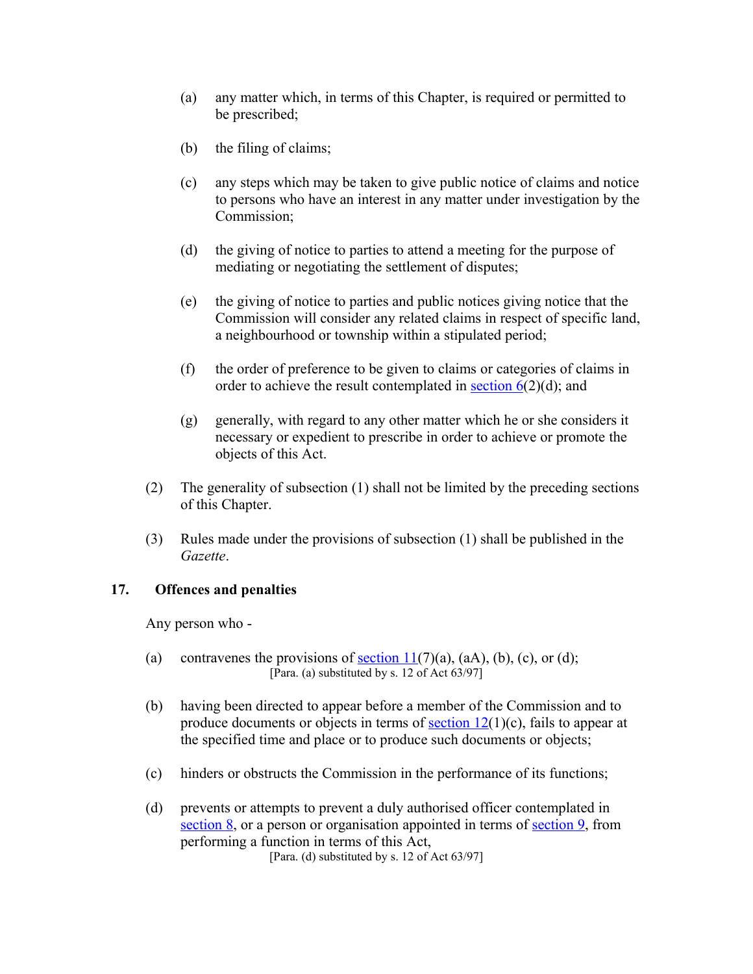- (a) any matter which, in terms of this Chapter, is required or permitted to be prescribed;
- (b) the filing of claims;
- (c) any steps which may be taken to give public notice of claims and notice to persons who have an interest in any matter under investigation by the Commission;
- (d) the giving of notice to parties to attend a meeting for the purpose of mediating or negotiating the settlement of disputes;
- (e) the giving of notice to parties and public notices giving notice that the Commission will consider any related claims in respect of specific land, a neighbourhood or township within a stipulated period;
- (f) the order of preference to be given to claims or categories of claims in order to achieve the result contemplated in section  $6(2)(d)$ ; and
- (g) generally, with regard to any other matter which he or she considers it necessary or expedient to prescribe in order to achieve or promote the objects of this Act.
- (2) The generality of subsection (1) shall not be limited by the preceding sections of this Chapter.
- (3) Rules made under the provisions of subsection (1) shall be published in the *Gazette*.

### **17. Offences and penalties**

Any person who -

- (a) contravenes the provisions of section  $11(7)(a)$ ,  $(aA)$ ,  $(b)$ ,  $(c)$ , or  $(d)$ ; [Para. (a) substituted by s. 12 of Act 63/97]
- (b) having been directed to appear before a member of the Commission and to produce documents or objects in terms of section  $12(1)(c)$ , fails to appear at the specified time and place or to produce such documents or objects;
- (c) hinders or obstructs the Commission in the performance of its functions;
- (d) prevents or attempts to prevent a duly authorised officer contemplated in [section 8,](http://search.sabinet.co.za/netlawpdf/netlaw/RESTITUTION%20OF%20LAND%20RIGHTS%20ACT.htm#section8%23section8) or a person or organisation appointed in terms of [section 9,](http://search.sabinet.co.za/netlawpdf/netlaw/RESTITUTION%20OF%20LAND%20RIGHTS%20ACT.htm#section9%23section9) from performing a function in terms of this Act,

[Para. (d) substituted by s. 12 of Act 63/97]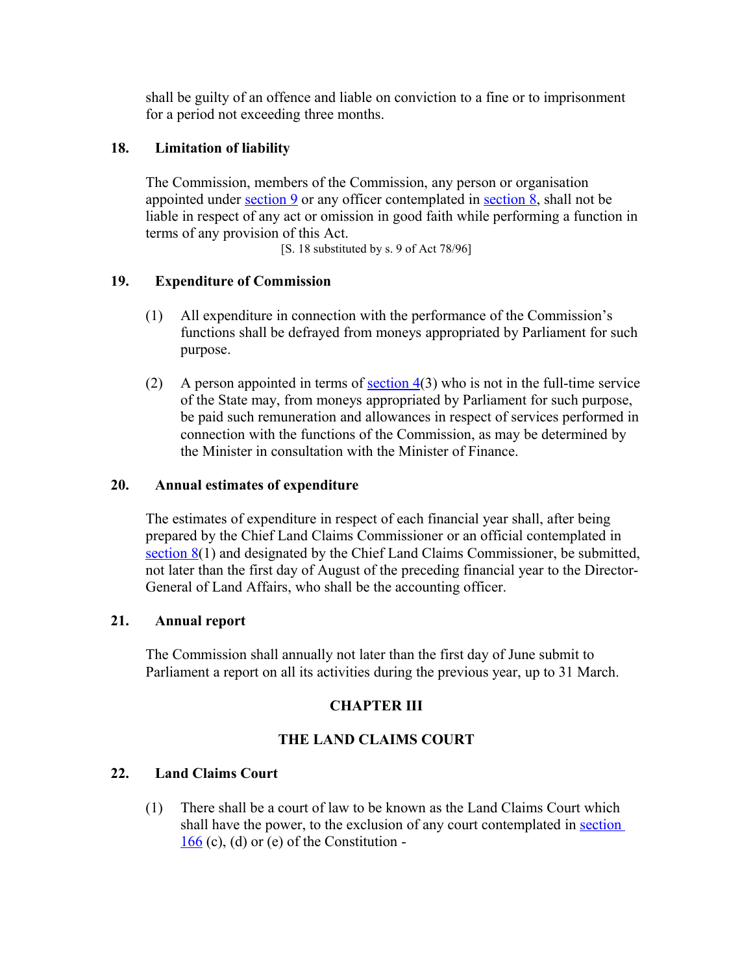shall be guilty of an offence and liable on conviction to a fine or to imprisonment for a period not exceeding three months.

# **18. Limitation of liability**

The Commission, members of the Commission, any person or organisation appointed under [section 9](http://search.sabinet.co.za/netlawpdf/netlaw/RESTITUTION%20OF%20LAND%20RIGHTS%20ACT.htm#section9%23section9) or any officer contemplated in [section 8,](http://search.sabinet.co.za/netlawpdf/netlaw/RESTITUTION%20OF%20LAND%20RIGHTS%20ACT.htm#section8%23section8) shall not be liable in respect of any act or omission in good faith while performing a function in terms of any provision of this Act.

[S. 18 substituted by s. 9 of Act 78/96]

# **19. Expenditure of Commission**

- (1) All expenditure in connection with the performance of the Commission's functions shall be defrayed from moneys appropriated by Parliament for such purpose.
- (2) A person appointed in terms of <u>section  $4(3)$ </u> who is not in the full-time service of the State may, from moneys appropriated by Parliament for such purpose, be paid such remuneration and allowances in respect of services performed in connection with the functions of the Commission, as may be determined by the Minister in consultation with the Minister of Finance.

# **20. Annual estimates of expenditure**

The estimates of expenditure in respect of each financial year shall, after being prepared by the Chief Land Claims Commissioner or an official contemplated in [section 8\(](http://search.sabinet.co.za/netlawpdf/netlaw/RESTITUTION%20OF%20LAND%20RIGHTS%20ACT.htm#section8%23section8)1) and designated by the Chief Land Claims Commissioner, be submitted, not later than the first day of August of the preceding financial year to the Director-General of Land Affairs, who shall be the accounting officer.

# **21. Annual report**

The Commission shall annually not later than the first day of June submit to Parliament a report on all its activities during the previous year, up to 31 March.

# **CHAPTER III**

# **THE LAND CLAIMS COURT**

# **22. Land Claims Court**

(1) There shall be a court of law to be known as the Land Claims Court which shall have the power, to the exclusion of any court contemplated in [section](http://search.sabinet.co.za/netlawpdf/netlaw/CONSTITUTION%20OF%20THE%20REPUBLIC%20OF%20SOUTH%20AFRICA.htm#section166)  $166$  (c), (d) or (e) of the Constitution -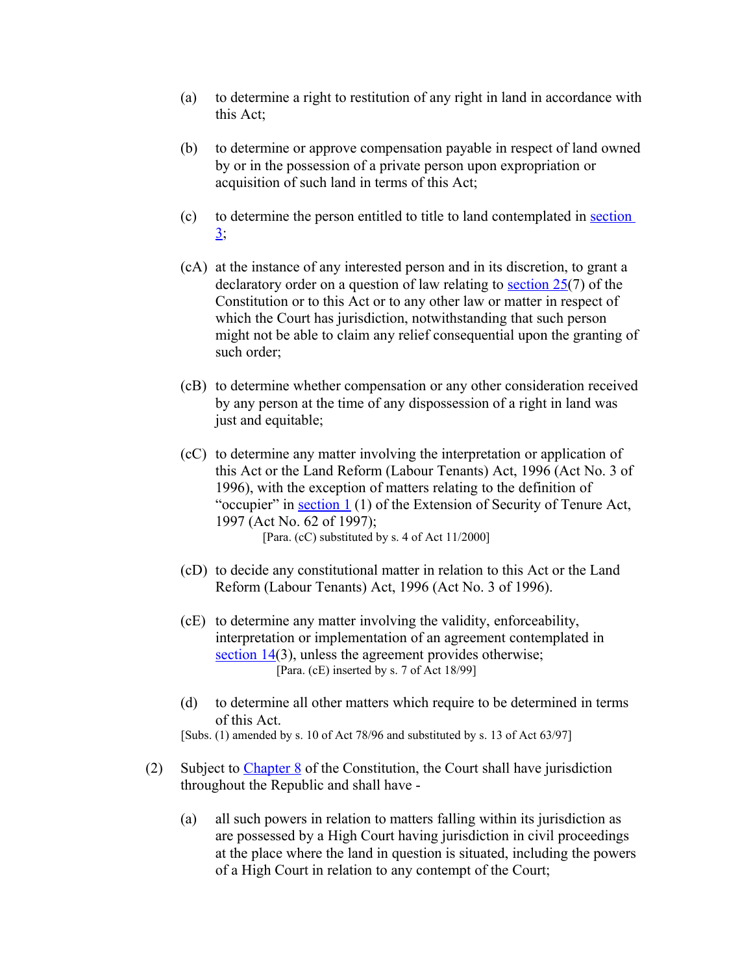- (a) to determine a right to restitution of any right in land in accordance with this Act;
- (b) to determine or approve compensation payable in respect of land owned by or in the possession of a private person upon expropriation or acquisition of such land in terms of this Act;
- (c) to determine the person entitled to title to land contemplated in [section](http://search.sabinet.co.za/netlawpdf/netlaw/RESTITUTION%20OF%20LAND%20RIGHTS%20ACT.htm#section3%23section3)  $3:$
- (cA) at the instance of any interested person and in its discretion, to grant a declaratory order on a question of law relating to section  $25(7)$  of the Constitution or to this Act or to any other law or matter in respect of which the Court has jurisdiction, notwithstanding that such person might not be able to claim any relief consequential upon the granting of such order;
- (cB) to determine whether compensation or any other consideration received by any person at the time of any dispossession of a right in land was just and equitable;
- (cC) to determine any matter involving the interpretation or application of this Act or the Land Reform (Labour Tenants) Act, 1996 (Act No. 3 of 1996), with the exception of matters relating to the definition of "occupier" in section  $1(1)$  of the Extension of Security of Tenure Act, 1997 (Act No. 62 of 1997); [Para. (cC) substituted by s. 4 of Act 11/2000]
- (cD) to decide any constitutional matter in relation to this Act or the Land Reform (Labour Tenants) Act, 1996 (Act No. 3 of 1996).
- (cE) to determine any matter involving the validity, enforceability, interpretation or implementation of an agreement contemplated in [section 14\(](http://search.sabinet.co.za/netlawpdf/netlaw/RESTITUTION%20OF%20LAND%20RIGHTS%20ACT.htm#section14%23section14)3), unless the agreement provides otherwise; [Para. (cE) inserted by s. 7 of Act 18/99]
- (d) to determine all other matters which require to be determined in terms of this Act. [Subs. (1) amended by s. 10 of Act 78/96 and substituted by s. 13 of Act 63/97]
- (2) Subject to [Chapter 8](http://search.sabinet.co.za/netlawpdf/netlaw/CONSTITUTION%20OF%20THE%20REPUBLIC%20OF%20SOUTH%20AFRICA.htm#chapter8) of the Constitution, the Court shall have jurisdiction throughout the Republic and shall have -
	- (a) all such powers in relation to matters falling within its jurisdiction as are possessed by a High Court having jurisdiction in civil proceedings at the place where the land in question is situated, including the powers of a High Court in relation to any contempt of the Court;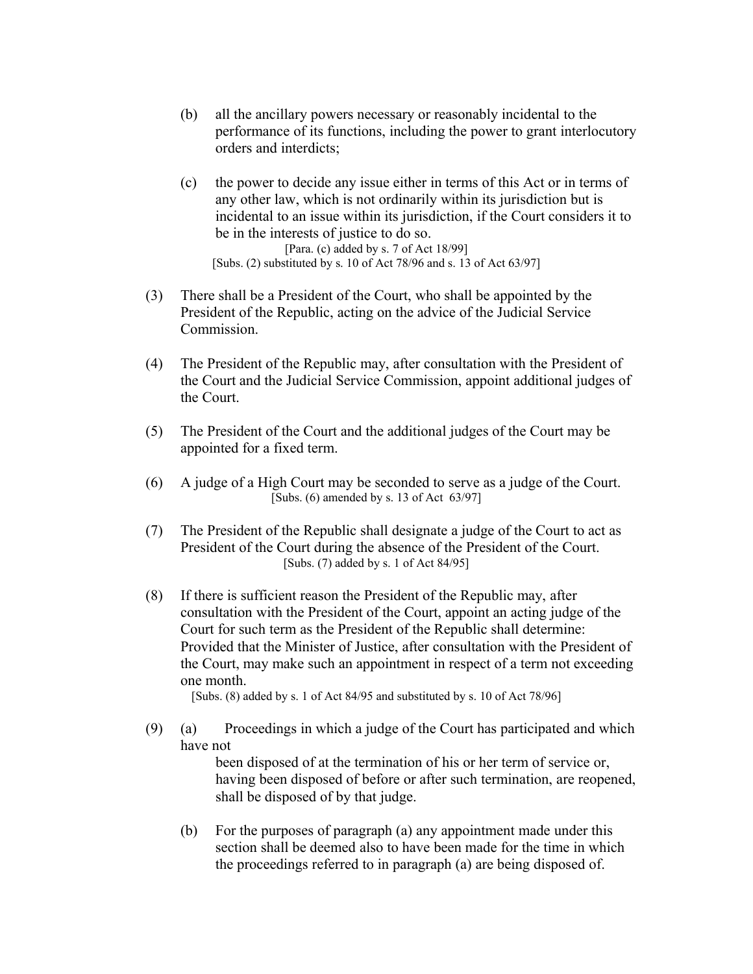- (b) all the ancillary powers necessary or reasonably incidental to the performance of its functions, including the power to grant interlocutory orders and interdicts;
- (c) the power to decide any issue either in terms of this Act or in terms of any other law, which is not ordinarily within its jurisdiction but is incidental to an issue within its jurisdiction, if the Court considers it to be in the interests of justice to do so. [Para. (c) added by s. 7 of Act 18/99] [Subs. (2) substituted by s. 10 of Act 78/96 and s. 13 of Act 63/97]
- (3) There shall be a President of the Court, who shall be appointed by the President of the Republic, acting on the advice of the Judicial Service Commission.
- (4) The President of the Republic may, after consultation with the President of the Court and the Judicial Service Commission, appoint additional judges of the Court.
- (5) The President of the Court and the additional judges of the Court may be appointed for a fixed term.
- (6) A judge of a High Court may be seconded to serve as a judge of the Court. [Subs. (6) amended by s. 13 of Act 63/97]
- (7) The President of the Republic shall designate a judge of the Court to act as President of the Court during the absence of the President of the Court. [Subs. (7) added by s. 1 of Act 84/95]
- (8) If there is sufficient reason the President of the Republic may, after consultation with the President of the Court, appoint an acting judge of the Court for such term as the President of the Republic shall determine: Provided that the Minister of Justice, after consultation with the President of the Court, may make such an appointment in respect of a term not exceeding one month.

[Subs. (8) added by s. 1 of Act 84/95 and substituted by s. 10 of Act 78/96]

(9) (a) Proceedings in which a judge of the Court has participated and which have not

been disposed of at the termination of his or her term of service or, having been disposed of before or after such termination, are reopened, shall be disposed of by that judge.

(b) For the purposes of paragraph (a) any appointment made under this section shall be deemed also to have been made for the time in which the proceedings referred to in paragraph (a) are being disposed of.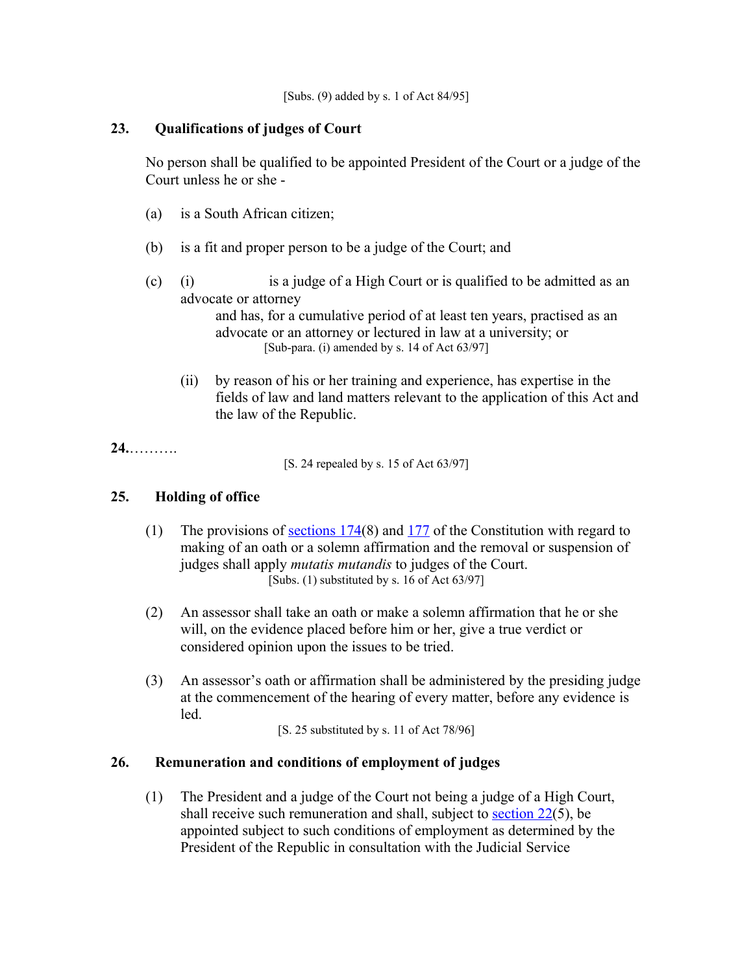# **23. Qualifications of judges of Court**

No person shall be qualified to be appointed President of the Court or a judge of the Court unless he or she -

- (a) is a South African citizen;
- (b) is a fit and proper person to be a judge of the Court; and
- (c) (i) is a judge of a High Court or is qualified to be admitted as an advocate or attorney

and has, for a cumulative period of at least ten years, practised as an advocate or an attorney or lectured in law at a university; or [Sub-para. (i) amended by s. 14 of Act 63/97]

(ii) by reason of his or her training and experience, has expertise in the fields of law and land matters relevant to the application of this Act and the law of the Republic.

# **24.**……….

[S. 24 repealed by s. 15 of Act 63/97]

# **25. Holding of office**

- (1) The provisions of sections  $174(8)$  and  $177$  of the Constitution with regard to making of an oath or a solemn affirmation and the removal or suspension of judges shall apply *mutatis mutandis* to judges of the Court. [Subs.  $(1)$  substituted by s. 16 of Act 63/97]
- (2) An assessor shall take an oath or make a solemn affirmation that he or she will, on the evidence placed before him or her, give a true verdict or considered opinion upon the issues to be tried.
- (3) An assessor's oath or affirmation shall be administered by the presiding judge at the commencement of the hearing of every matter, before any evidence is led.

[S. 25 substituted by s. 11 of Act 78/96]

# **26. Remuneration and conditions of employment of judges**

(1) The President and a judge of the Court not being a judge of a High Court, shall receive such remuneration and shall, subject to [section 22\(](http://search.sabinet.co.za/netlawpdf/netlaw/RESTITUTION%20OF%20LAND%20RIGHTS%20ACT.htm#section22%23section22)5), be appointed subject to such conditions of employment as determined by the President of the Republic in consultation with the Judicial Service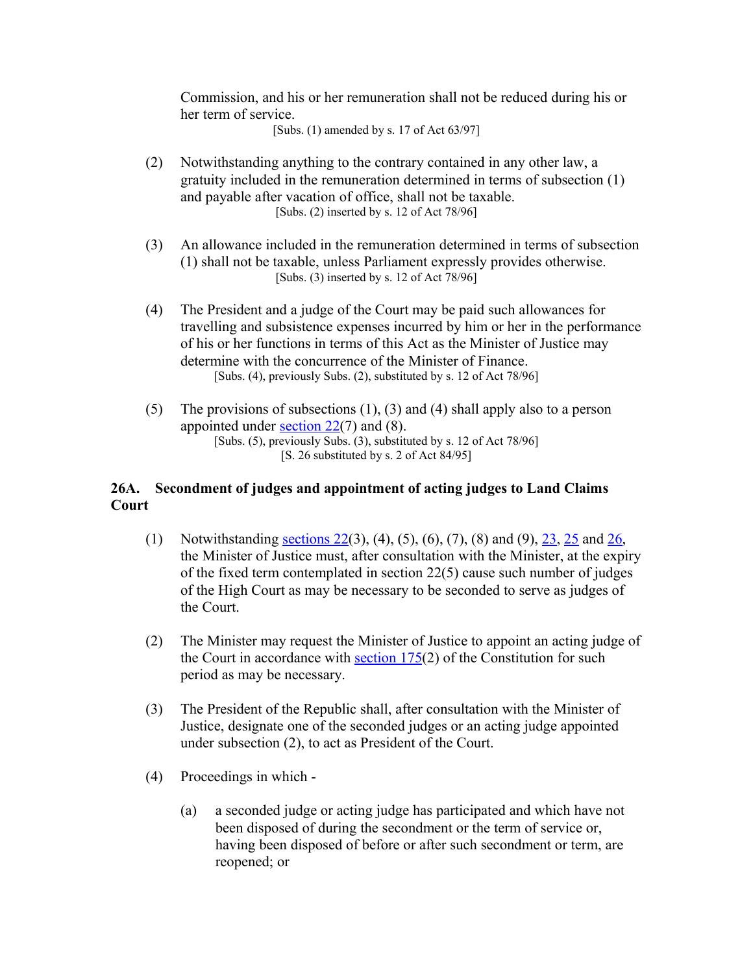Commission, and his or her remuneration shall not be reduced during his or her term of service.

[Subs. (1) amended by s. 17 of Act 63/97]

- (2) Notwithstanding anything to the contrary contained in any other law, a gratuity included in the remuneration determined in terms of subsection (1) and payable after vacation of office, shall not be taxable. [Subs. (2) inserted by s. 12 of Act 78/96]
- (3) An allowance included in the remuneration determined in terms of subsection (1) shall not be taxable, unless Parliament expressly provides otherwise. [Subs. (3) inserted by s. 12 of Act 78/96]
- (4) The President and a judge of the Court may be paid such allowances for travelling and subsistence expenses incurred by him or her in the performance of his or her functions in terms of this Act as the Minister of Justice may determine with the concurrence of the Minister of Finance. [Subs. (4), previously Subs. (2), substituted by s. 12 of Act 78/96]
- (5) The provisions of subsections (1), (3) and (4) shall apply also to a person appointed under section  $22(7)$  and (8). [Subs. (5), previously Subs. (3), substituted by s. 12 of Act 78/96] [S. 26 substituted by s. 2 of Act 84/95]

# **26A. Secondment of judges and appointment of acting judges to Land Claims Court**

- (1) Notwithstanding [sections 22\(](http://search.sabinet.co.za/netlawpdf/netlaw/RESTITUTION%20OF%20LAND%20RIGHTS%20ACT.htm#section22%23section22)3), (4), (5), (6), (7), (8) and (9), [23,](http://search.sabinet.co.za/netlawpdf/netlaw/RESTITUTION%20OF%20LAND%20RIGHTS%20ACT.htm#section23%23section23) [25](http://search.sabinet.co.za/netlawpdf/netlaw/RESTITUTION%20OF%20LAND%20RIGHTS%20ACT.htm#section25%23section25) and [26,](http://search.sabinet.co.za/netlawpdf/netlaw/RESTITUTION%20OF%20LAND%20RIGHTS%20ACT.htm#section26%23section26) the Minister of Justice must, after consultation with the Minister, at the expiry of the fixed term contemplated in section 22(5) cause such number of judges of the High Court as may be necessary to be seconded to serve as judges of the Court.
- (2) The Minister may request the Minister of Justice to appoint an acting judge of the Court in accordance with section  $175(2)$  of the Constitution for such period as may be necessary.
- (3) The President of the Republic shall, after consultation with the Minister of Justice, designate one of the seconded judges or an acting judge appointed under subsection (2), to act as President of the Court.
- (4) Proceedings in which
	- (a) a seconded judge or acting judge has participated and which have not been disposed of during the secondment or the term of service or, having been disposed of before or after such secondment or term, are reopened; or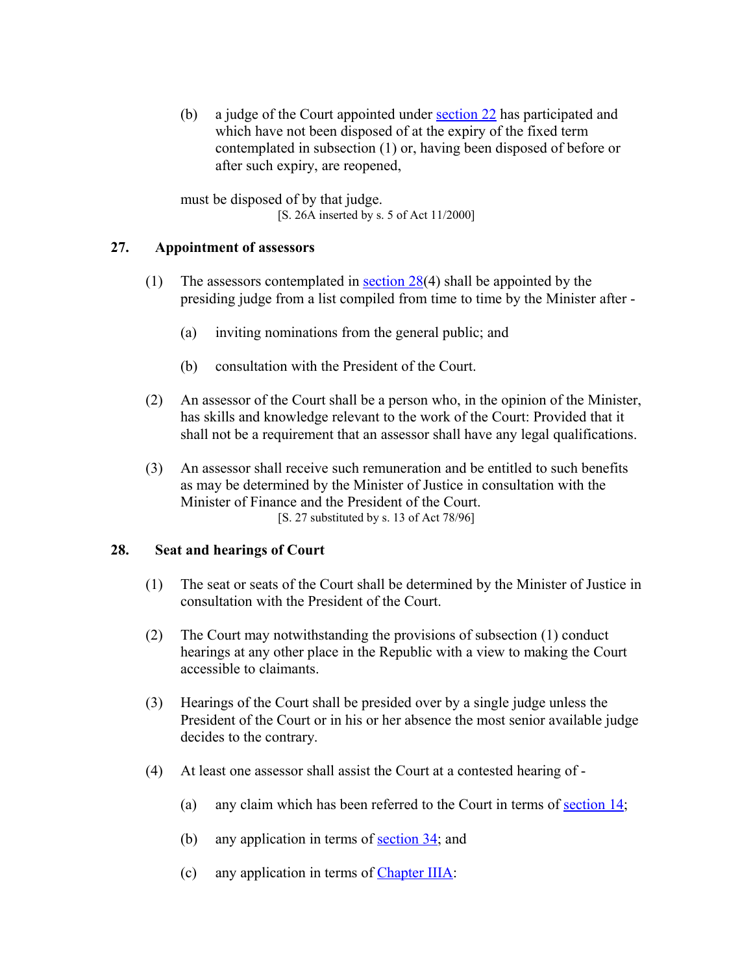(b) a judge of the Court appointed under [section 22](http://search.sabinet.co.za/netlawpdf/netlaw/RESTITUTION%20OF%20LAND%20RIGHTS%20ACT.htm#section22%23section22) has participated and which have not been disposed of at the expiry of the fixed term contemplated in subsection (1) or, having been disposed of before or after such expiry, are reopened,

must be disposed of by that judge. [S. 26A inserted by s. 5 of Act 11/2000]

# **27. Appointment of assessors**

- (1) The assessors contemplated in [section 28\(](http://search.sabinet.co.za/netlawpdf/netlaw/RESTITUTION%20OF%20LAND%20RIGHTS%20ACT.htm#section28%23section28)4) shall be appointed by the presiding judge from a list compiled from time to time by the Minister after -
	- (a) inviting nominations from the general public; and
	- (b) consultation with the President of the Court.
- (2) An assessor of the Court shall be a person who, in the opinion of the Minister, has skills and knowledge relevant to the work of the Court: Provided that it shall not be a requirement that an assessor shall have any legal qualifications.
- (3) An assessor shall receive such remuneration and be entitled to such benefits as may be determined by the Minister of Justice in consultation with the Minister of Finance and the President of the Court. [S. 27 substituted by s. 13 of Act 78/96]

### **28. Seat and hearings of Court**

- (1) The seat or seats of the Court shall be determined by the Minister of Justice in consultation with the President of the Court.
- (2) The Court may notwithstanding the provisions of subsection (1) conduct hearings at any other place in the Republic with a view to making the Court accessible to claimants.
- (3) Hearings of the Court shall be presided over by a single judge unless the President of the Court or in his or her absence the most senior available judge decides to the contrary.
- (4) At least one assessor shall assist the Court at a contested hearing of
	- (a) any claim which has been referred to the Court in terms of section  $14$ ;
	- (b) any application in terms of [section 34;](http://search.sabinet.co.za/netlawpdf/netlaw/RESTITUTION%20OF%20LAND%20RIGHTS%20ACT.htm#section34%23section34) and
	- (c) any application in terms of [Chapter IIIA:](http://search.sabinet.co.za/netlawpdf/netlaw/RESTITUTION%20OF%20LAND%20RIGHTS%20ACT.htm#chapter3A%23chapter3A)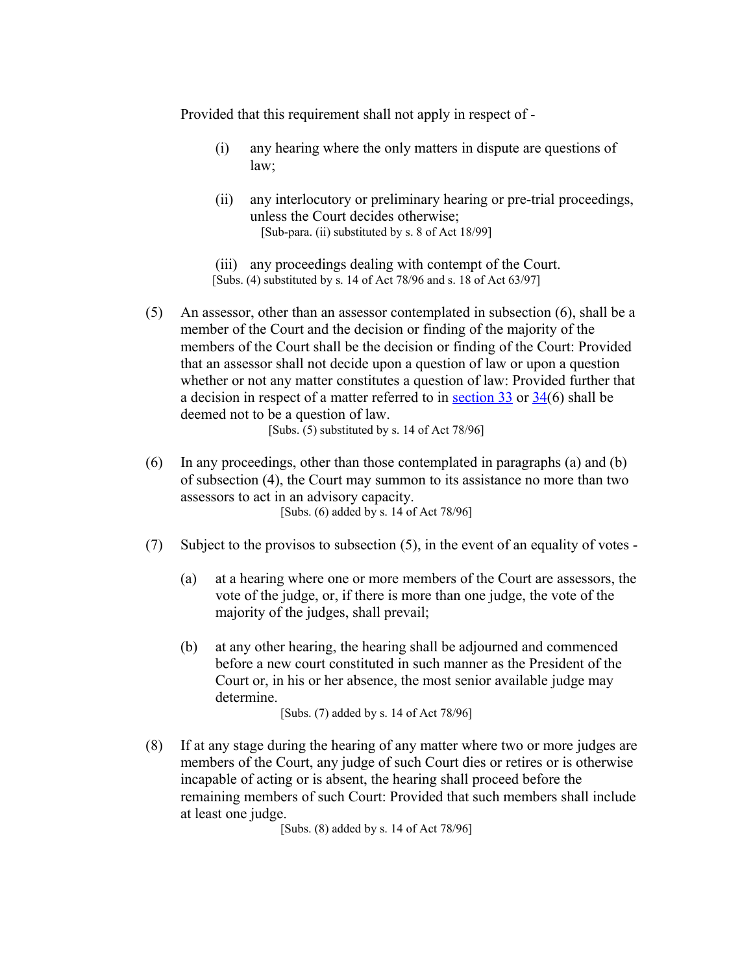Provided that this requirement shall not apply in respect of -

- (i) any hearing where the only matters in dispute are questions of law;
- (ii) any interlocutory or preliminary hearing or pre-trial proceedings, unless the Court decides otherwise; [Sub-para. (ii) substituted by s. 8 of Act 18/99]
- (iii) any proceedings dealing with contempt of the Court.
- [Subs. (4) substituted by s. 14 of Act 78/96 and s. 18 of Act 63/97]
- (5) An assessor, other than an assessor contemplated in subsection (6), shall be a member of the Court and the decision or finding of the majority of the members of the Court shall be the decision or finding of the Court: Provided that an assessor shall not decide upon a question of law or upon a question whether or not any matter constitutes a question of law: Provided further that a decision in respect of a matter referred to in [section 33](http://search.sabinet.co.za/netlawpdf/netlaw/RESTITUTION%20OF%20LAND%20RIGHTS%20ACT.htm#section33%23section33) or [34\(](http://search.sabinet.co.za/netlawpdf/netlaw/RESTITUTION%20OF%20LAND%20RIGHTS%20ACT.htm#section34%23section34)6) shall be deemed not to be a question of law.

[Subs. (5) substituted by s. 14 of Act 78/96]

- (6) In any proceedings, other than those contemplated in paragraphs (a) and (b) of subsection (4), the Court may summon to its assistance no more than two assessors to act in an advisory capacity. [Subs. (6) added by s. 14 of Act 78/96]
- (7) Subject to the provisos to subsection (5), in the event of an equality of votes
	- (a) at a hearing where one or more members of the Court are assessors, the vote of the judge, or, if there is more than one judge, the vote of the majority of the judges, shall prevail;
	- (b) at any other hearing, the hearing shall be adjourned and commenced before a new court constituted in such manner as the President of the Court or, in his or her absence, the most senior available judge may determine.

[Subs. (7) added by s. 14 of Act 78/96]

(8) If at any stage during the hearing of any matter where two or more judges are members of the Court, any judge of such Court dies or retires or is otherwise incapable of acting or is absent, the hearing shall proceed before the remaining members of such Court: Provided that such members shall include at least one judge.

[Subs. (8) added by s. 14 of Act 78/96]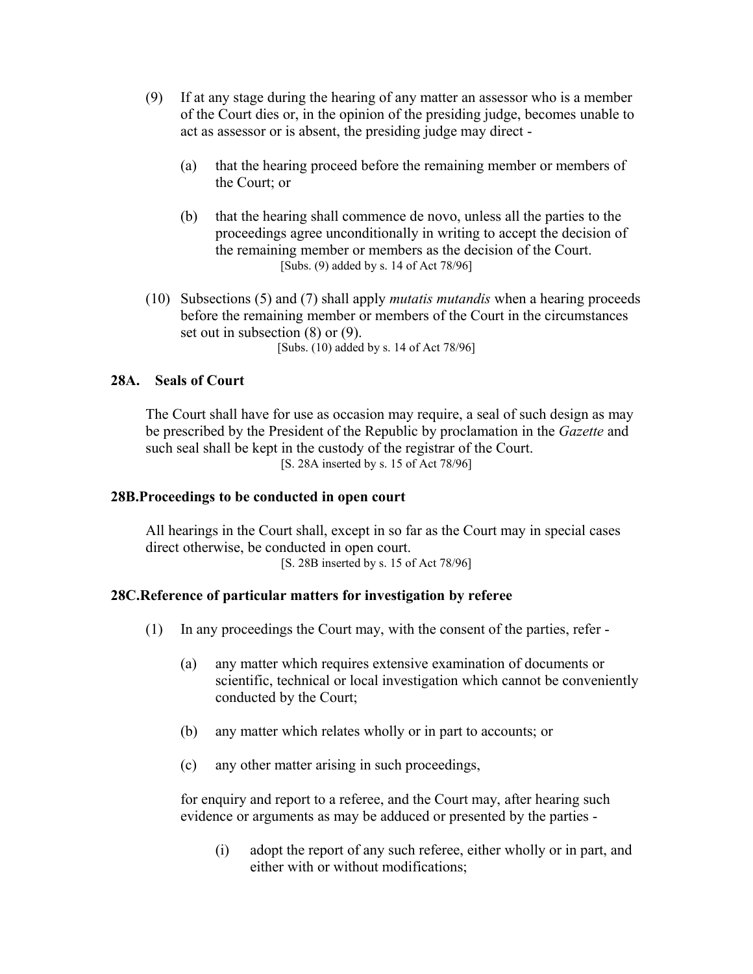- (9) If at any stage during the hearing of any matter an assessor who is a member of the Court dies or, in the opinion of the presiding judge, becomes unable to act as assessor or is absent, the presiding judge may direct -
	- (a) that the hearing proceed before the remaining member or members of the Court; or
	- (b) that the hearing shall commence de novo, unless all the parties to the proceedings agree unconditionally in writing to accept the decision of the remaining member or members as the decision of the Court. [Subs. (9) added by s. 14 of Act 78/96]
- (10) Subsections (5) and (7) shall apply *mutatis mutandis* when a hearing proceeds before the remaining member or members of the Court in the circumstances set out in subsection (8) or (9). [Subs. (10) added by s. 14 of Act 78/96]

#### **28A. Seals of Court**

The Court shall have for use as occasion may require, a seal of such design as may be prescribed by the President of the Republic by proclamation in the *Gazette* and such seal shall be kept in the custody of the registrar of the Court. [S. 28A inserted by s. 15 of Act 78/96]

#### **28B.Proceedings to be conducted in open court**

All hearings in the Court shall, except in so far as the Court may in special cases direct otherwise, be conducted in open court. [S. 28B inserted by s. 15 of Act 78/96]

#### **28C.Reference of particular matters for investigation by referee**

- (1) In any proceedings the Court may, with the consent of the parties, refer
	- (a) any matter which requires extensive examination of documents or scientific, technical or local investigation which cannot be conveniently conducted by the Court;
	- (b) any matter which relates wholly or in part to accounts; or
	- (c) any other matter arising in such proceedings,

for enquiry and report to a referee, and the Court may, after hearing such evidence or arguments as may be adduced or presented by the parties -

(i) adopt the report of any such referee, either wholly or in part, and either with or without modifications;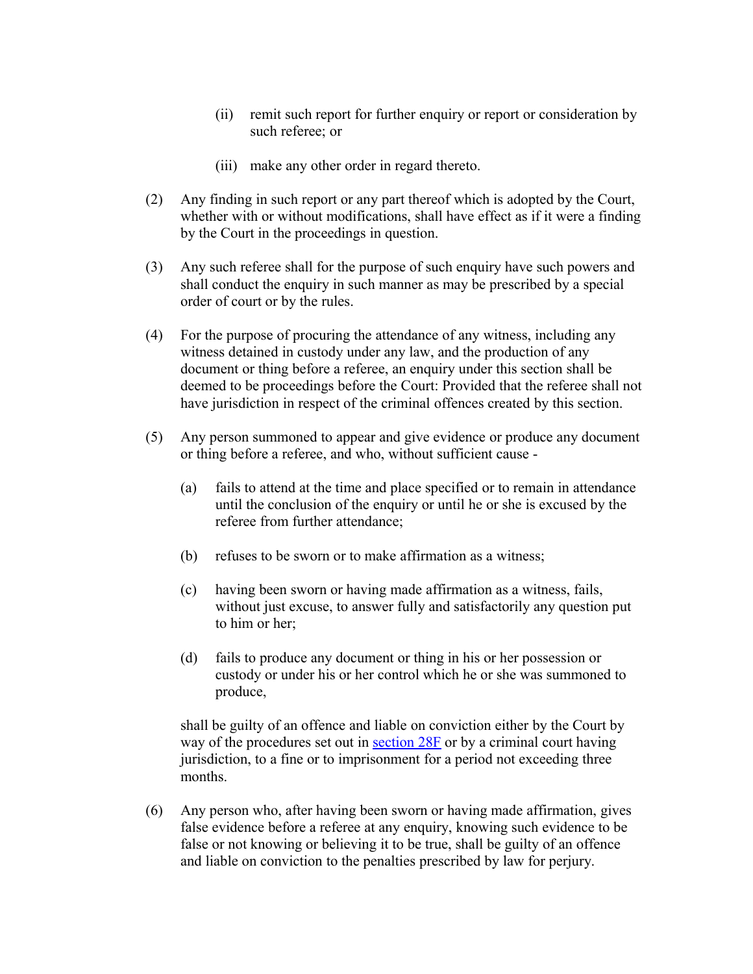- (ii) remit such report for further enquiry or report or consideration by such referee; or
- (iii) make any other order in regard thereto.
- (2) Any finding in such report or any part thereof which is adopted by the Court, whether with or without modifications, shall have effect as if it were a finding by the Court in the proceedings in question.
- (3) Any such referee shall for the purpose of such enquiry have such powers and shall conduct the enquiry in such manner as may be prescribed by a special order of court or by the rules.
- (4) For the purpose of procuring the attendance of any witness, including any witness detained in custody under any law, and the production of any document or thing before a referee, an enquiry under this section shall be deemed to be proceedings before the Court: Provided that the referee shall not have jurisdiction in respect of the criminal offences created by this section.
- (5) Any person summoned to appear and give evidence or produce any document or thing before a referee, and who, without sufficient cause -
	- (a) fails to attend at the time and place specified or to remain in attendance until the conclusion of the enquiry or until he or she is excused by the referee from further attendance;
	- (b) refuses to be sworn or to make affirmation as a witness;
	- (c) having been sworn or having made affirmation as a witness, fails, without just excuse, to answer fully and satisfactorily any question put to him or her;
	- (d) fails to produce any document or thing in his or her possession or custody or under his or her control which he or she was summoned to produce,

shall be guilty of an offence and liable on conviction either by the Court by way of the procedures set out in section  $28F$  or by a criminal court having jurisdiction, to a fine or to imprisonment for a period not exceeding three months.

(6) Any person who, after having been sworn or having made affirmation, gives false evidence before a referee at any enquiry, knowing such evidence to be false or not knowing or believing it to be true, shall be guilty of an offence and liable on conviction to the penalties prescribed by law for perjury.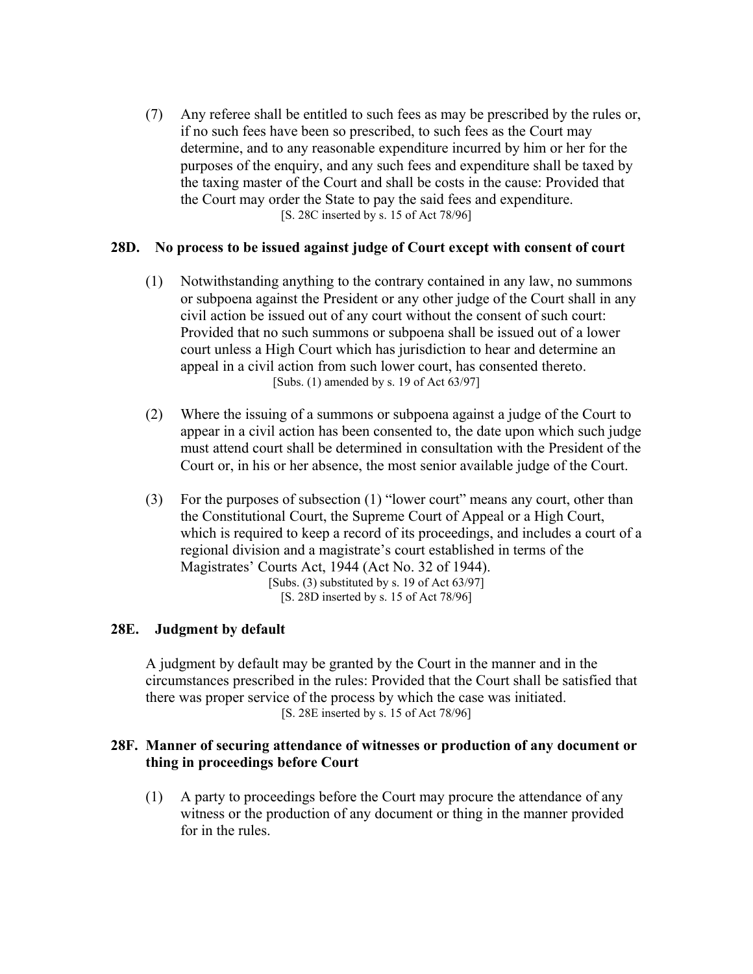(7) Any referee shall be entitled to such fees as may be prescribed by the rules or, if no such fees have been so prescribed, to such fees as the Court may determine, and to any reasonable expenditure incurred by him or her for the purposes of the enquiry, and any such fees and expenditure shall be taxed by the taxing master of the Court and shall be costs in the cause: Provided that the Court may order the State to pay the said fees and expenditure. [S. 28C inserted by s. 15 of Act 78/96]

# **28D. No process to be issued against judge of Court except with consent of court**

- (1) Notwithstanding anything to the contrary contained in any law, no summons or subpoena against the President or any other judge of the Court shall in any civil action be issued out of any court without the consent of such court: Provided that no such summons or subpoena shall be issued out of a lower court unless a High Court which has jurisdiction to hear and determine an appeal in a civil action from such lower court, has consented thereto. [Subs. (1) amended by s. 19 of Act 63/97]
- (2) Where the issuing of a summons or subpoena against a judge of the Court to appear in a civil action has been consented to, the date upon which such judge must attend court shall be determined in consultation with the President of the Court or, in his or her absence, the most senior available judge of the Court.
- (3) For the purposes of subsection (1) "lower court" means any court, other than the Constitutional Court, the Supreme Court of Appeal or a High Court, which is required to keep a record of its proceedings, and includes a court of a regional division and a magistrate's court established in terms of the Magistrates' Courts Act, 1944 (Act No. 32 of 1944). [Subs. (3) substituted by s. 19 of Act 63/97] [S. 28D inserted by s. 15 of Act 78/96]

### **28E. Judgment by default**

A judgment by default may be granted by the Court in the manner and in the circumstances prescribed in the rules: Provided that the Court shall be satisfied that there was proper service of the process by which the case was initiated. [S. 28E inserted by s. 15 of Act 78/96]

### **28F. Manner of securing attendance of witnesses or production of any document or thing in proceedings before Court**

(1) A party to proceedings before the Court may procure the attendance of any witness or the production of any document or thing in the manner provided for in the rules.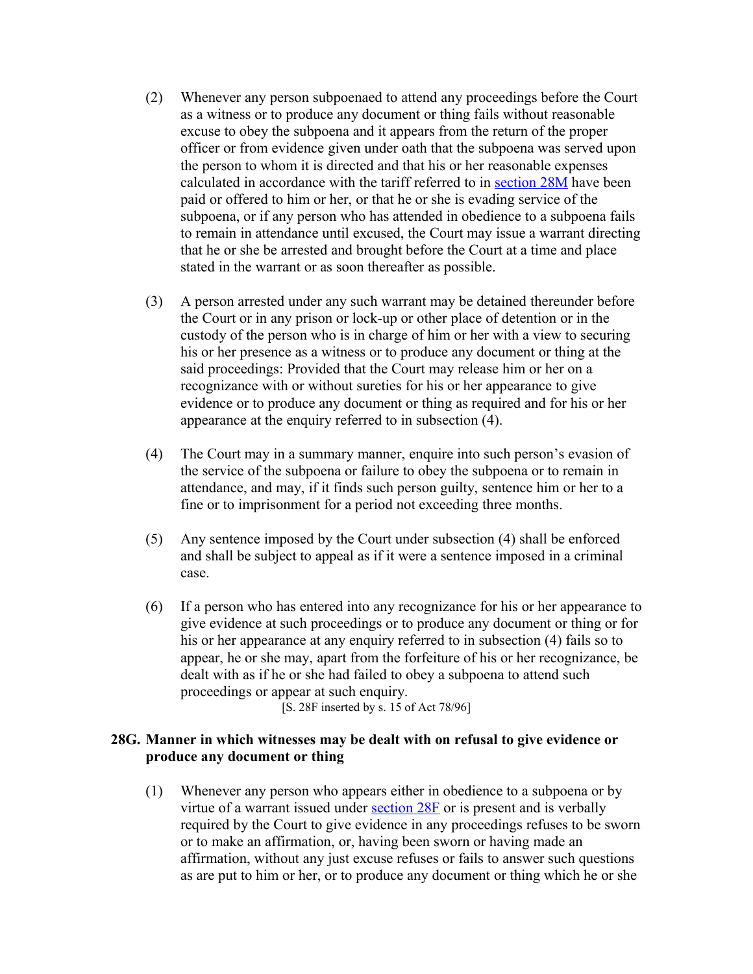- (2) Whenever any person subpoenaed to attend any proceedings before the Court as a witness or to produce any document or thing fails without reasonable excuse to obey the subpoena and it appears from the return of the proper officer or from evidence given under oath that the subpoena was served upon the person to whom it is directed and that his or her reasonable expenses calculated in accordance with the tariff referred to in [section 28M](http://search.sabinet.co.za/netlawpdf/netlaw/RESTITUTION%20OF%20LAND%20RIGHTS%20ACT.htm#section28M%23section28M) have been paid or offered to him or her, or that he or she is evading service of the subpoena, or if any person who has attended in obedience to a subpoena fails to remain in attendance until excused, the Court may issue a warrant directing that he or she be arrested and brought before the Court at a time and place stated in the warrant or as soon thereafter as possible.
- (3) A person arrested under any such warrant may be detained thereunder before the Court or in any prison or lock-up or other place of detention or in the custody of the person who is in charge of him or her with a view to securing his or her presence as a witness or to produce any document or thing at the said proceedings: Provided that the Court may release him or her on a recognizance with or without sureties for his or her appearance to give evidence or to produce any document or thing as required and for his or her appearance at the enquiry referred to in subsection (4).
- (4) The Court may in a summary manner, enquire into such person's evasion of the service of the subpoena or failure to obey the subpoena or to remain in attendance, and may, if it finds such person guilty, sentence him or her to a fine or to imprisonment for a period not exceeding three months.
- (5) Any sentence imposed by the Court under subsection (4) shall be enforced and shall be subject to appeal as if it were a sentence imposed in a criminal case.
- (6) If a person who has entered into any recognizance for his or her appearance to give evidence at such proceedings or to produce any document or thing or for his or her appearance at any enquiry referred to in subsection (4) fails so to appear, he or she may, apart from the forfeiture of his or her recognizance, be dealt with as if he or she had failed to obey a subpoena to attend such proceedings or appear at such enquiry.

[S. 28F inserted by s. 15 of Act 78/96]

# **28G. Manner in which witnesses may be dealt with on refusal to give evidence or produce any document or thing**

(1) Whenever any person who appears either in obedience to a subpoena or by virtue of a warrant issued under [section 28F](http://search.sabinet.co.za/netlawpdf/netlaw/RESTITUTION%20OF%20LAND%20RIGHTS%20ACT.htm#section28F%23section28F) or is present and is verbally required by the Court to give evidence in any proceedings refuses to be sworn or to make an affirmation, or, having been sworn or having made an affirmation, without any just excuse refuses or fails to answer such questions as are put to him or her, or to produce any document or thing which he or she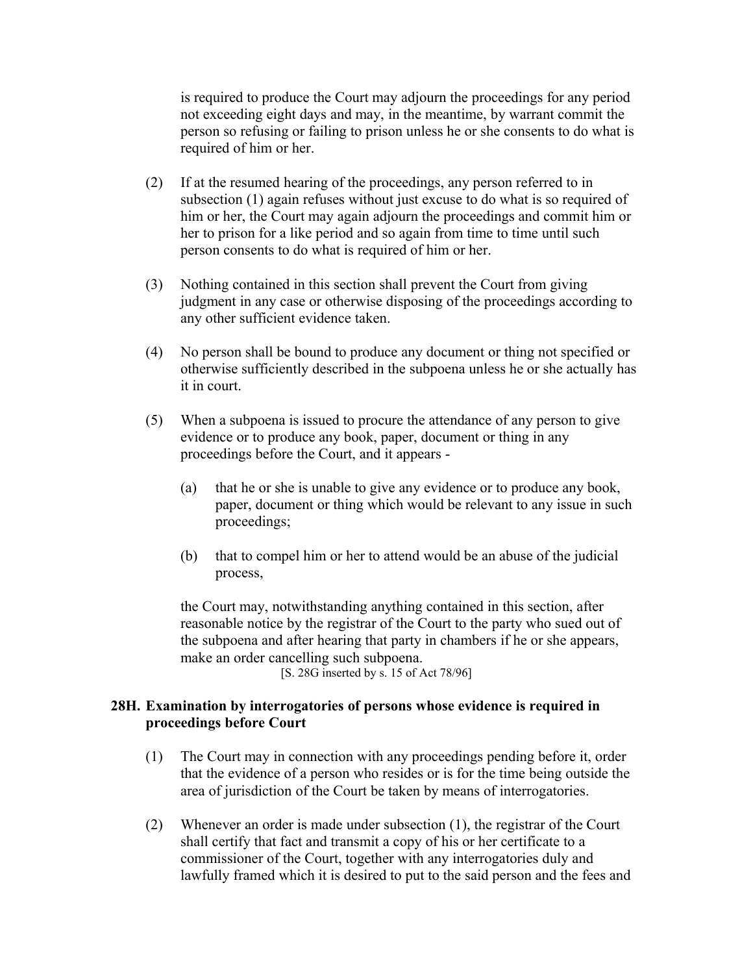is required to produce the Court may adjourn the proceedings for any period not exceeding eight days and may, in the meantime, by warrant commit the person so refusing or failing to prison unless he or she consents to do what is required of him or her.

- (2) If at the resumed hearing of the proceedings, any person referred to in subsection (1) again refuses without just excuse to do what is so required of him or her, the Court may again adjourn the proceedings and commit him or her to prison for a like period and so again from time to time until such person consents to do what is required of him or her.
- (3) Nothing contained in this section shall prevent the Court from giving judgment in any case or otherwise disposing of the proceedings according to any other sufficient evidence taken.
- (4) No person shall be bound to produce any document or thing not specified or otherwise sufficiently described in the subpoena unless he or she actually has it in court.
- (5) When a subpoena is issued to procure the attendance of any person to give evidence or to produce any book, paper, document or thing in any proceedings before the Court, and it appears -
	- (a) that he or she is unable to give any evidence or to produce any book, paper, document or thing which would be relevant to any issue in such proceedings;
	- (b) that to compel him or her to attend would be an abuse of the judicial process,

the Court may, notwithstanding anything contained in this section, after reasonable notice by the registrar of the Court to the party who sued out of the subpoena and after hearing that party in chambers if he or she appears, make an order cancelling such subpoena.

[S. 28G inserted by s. 15 of Act 78/96]

# **28H. Examination by interrogatories of persons whose evidence is required in proceedings before Court**

- (1) The Court may in connection with any proceedings pending before it, order that the evidence of a person who resides or is for the time being outside the area of jurisdiction of the Court be taken by means of interrogatories.
- (2) Whenever an order is made under subsection (1), the registrar of the Court shall certify that fact and transmit a copy of his or her certificate to a commissioner of the Court, together with any interrogatories duly and lawfully framed which it is desired to put to the said person and the fees and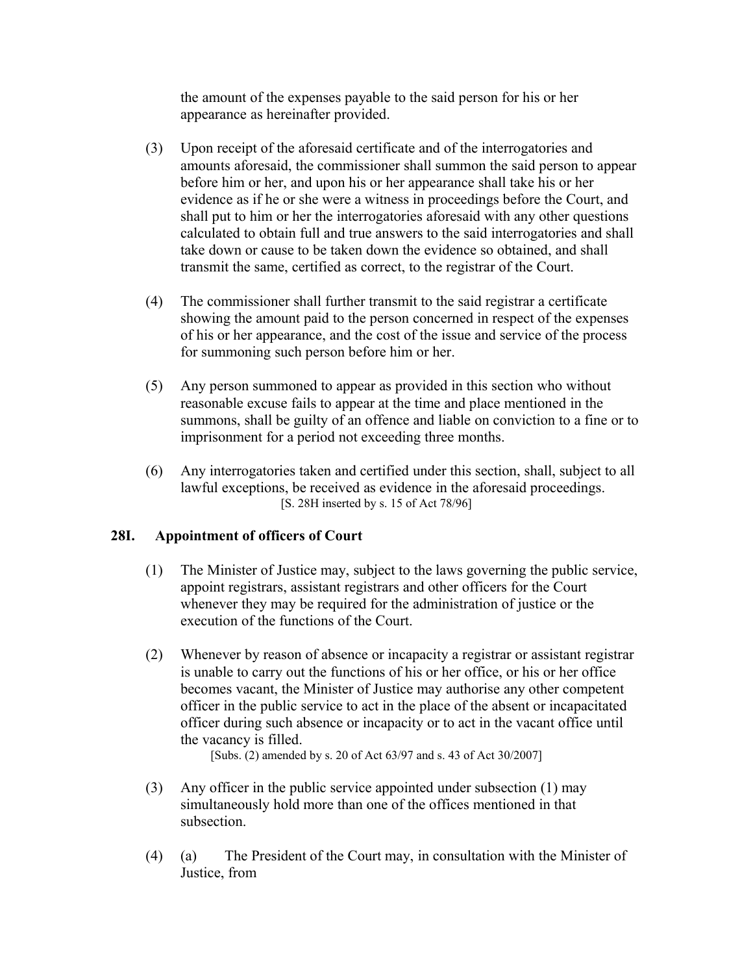the amount of the expenses payable to the said person for his or her appearance as hereinafter provided.

- (3) Upon receipt of the aforesaid certificate and of the interrogatories and amounts aforesaid, the commissioner shall summon the said person to appear before him or her, and upon his or her appearance shall take his or her evidence as if he or she were a witness in proceedings before the Court, and shall put to him or her the interrogatories aforesaid with any other questions calculated to obtain full and true answers to the said interrogatories and shall take down or cause to be taken down the evidence so obtained, and shall transmit the same, certified as correct, to the registrar of the Court.
- (4) The commissioner shall further transmit to the said registrar a certificate showing the amount paid to the person concerned in respect of the expenses of his or her appearance, and the cost of the issue and service of the process for summoning such person before him or her.
- (5) Any person summoned to appear as provided in this section who without reasonable excuse fails to appear at the time and place mentioned in the summons, shall be guilty of an offence and liable on conviction to a fine or to imprisonment for a period not exceeding three months.
- (6) Any interrogatories taken and certified under this section, shall, subject to all lawful exceptions, be received as evidence in the aforesaid proceedings. [S. 28H inserted by s. 15 of Act 78/96]

# **28I. Appointment of officers of Court**

- (1) The Minister of Justice may, subject to the laws governing the public service, appoint registrars, assistant registrars and other officers for the Court whenever they may be required for the administration of justice or the execution of the functions of the Court.
- (2) Whenever by reason of absence or incapacity a registrar or assistant registrar is unable to carry out the functions of his or her office, or his or her office becomes vacant, the Minister of Justice may authorise any other competent officer in the public service to act in the place of the absent or incapacitated officer during such absence or incapacity or to act in the vacant office until the vacancy is filled.

[Subs. (2) amended by s. 20 of Act 63/97 and s. 43 of Act 30/2007]

- (3) Any officer in the public service appointed under subsection (1) may simultaneously hold more than one of the offices mentioned in that subsection.
- (4) (a) The President of the Court may, in consultation with the Minister of Justice, from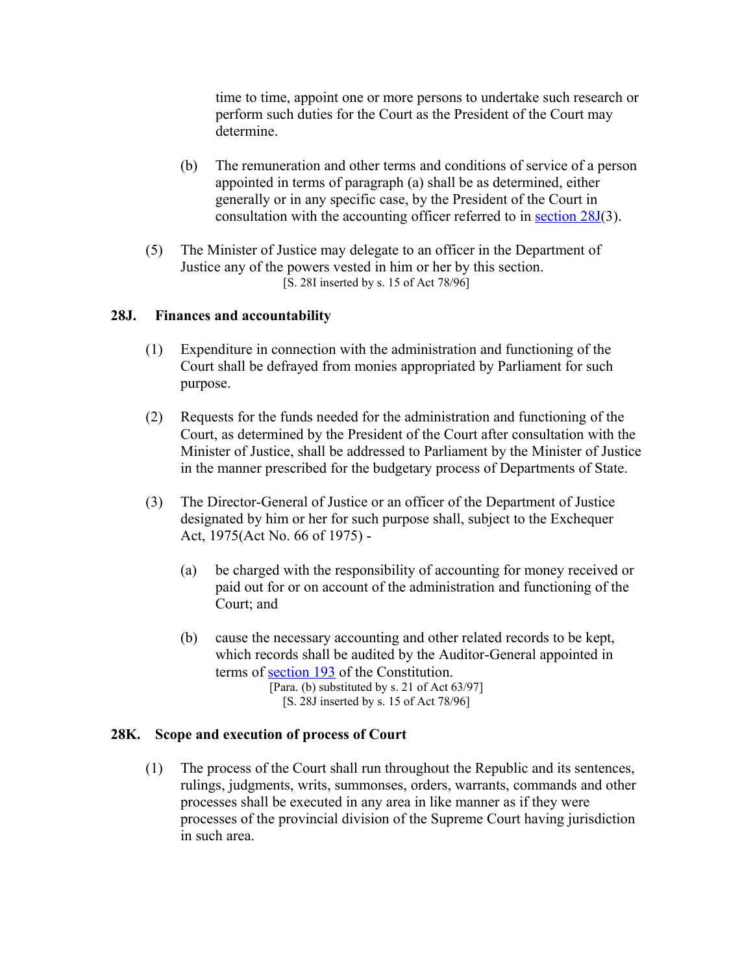time to time, appoint one or more persons to undertake such research or perform such duties for the Court as the President of the Court may determine.

- (b) The remuneration and other terms and conditions of service of a person appointed in terms of paragraph (a) shall be as determined, either generally or in any specific case, by the President of the Court in consultation with the accounting officer referred to in [section 28J\(](http://search.sabinet.co.za/netlawpdf/netlaw/RESTITUTION%20OF%20LAND%20RIGHTS%20ACT.htm#section28J%23section28J)3).
- (5) The Minister of Justice may delegate to an officer in the Department of Justice any of the powers vested in him or her by this section. [S. 28I inserted by s. 15 of Act 78/96]

### **28J. Finances and accountability**

- (1) Expenditure in connection with the administration and functioning of the Court shall be defrayed from monies appropriated by Parliament for such purpose.
- (2) Requests for the funds needed for the administration and functioning of the Court, as determined by the President of the Court after consultation with the Minister of Justice, shall be addressed to Parliament by the Minister of Justice in the manner prescribed for the budgetary process of Departments of State.
- (3) The Director-General of Justice or an officer of the Department of Justice designated by him or her for such purpose shall, subject to the Exchequer Act, 1975(Act No. 66 of 1975) -
	- (a) be charged with the responsibility of accounting for money received or paid out for or on account of the administration and functioning of the Court; and
	- (b) cause the necessary accounting and other related records to be kept, which records shall be audited by the Auditor-General appointed in terms of [section 193](http://search.sabinet.co.za/netlawpdf/netlaw/CONSTITUTION%20OF%20THE%20REPUBLIC%20OF%20SOUTH%20AFRICA.htm#section193) of the Constitution. [Para. (b) substituted by s. 21 of Act 63/97]
		- [S. 28J inserted by s. 15 of Act 78/96]
		-

### **28K. Scope and execution of process of Court**

(1) The process of the Court shall run throughout the Republic and its sentences, rulings, judgments, writs, summonses, orders, warrants, commands and other processes shall be executed in any area in like manner as if they were processes of the provincial division of the Supreme Court having jurisdiction in such area.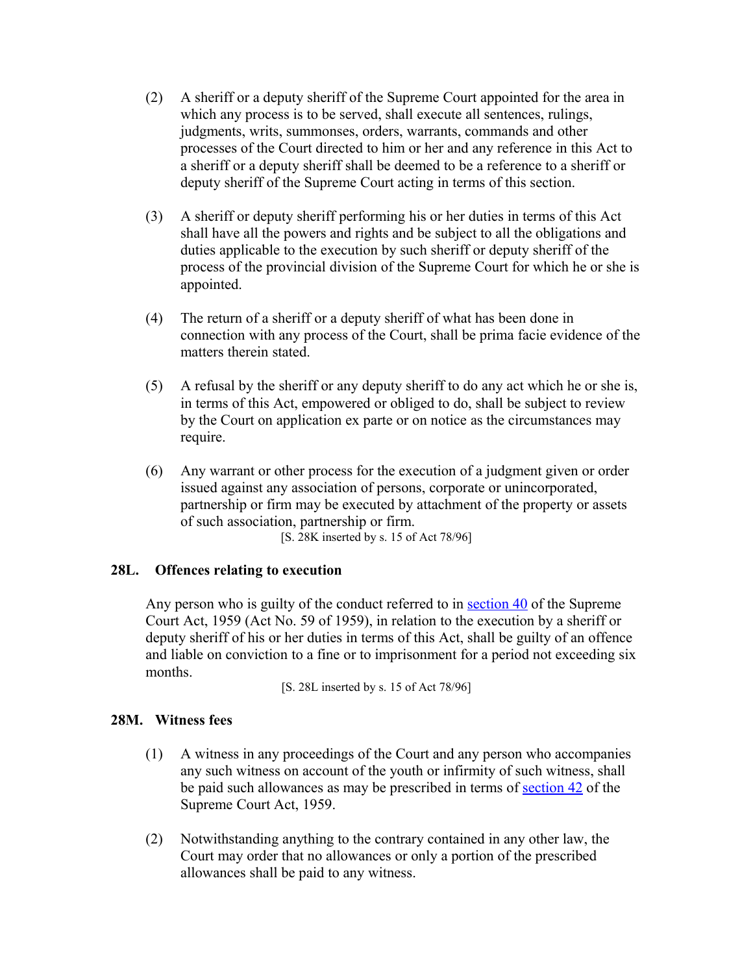- (2) A sheriff or a deputy sheriff of the Supreme Court appointed for the area in which any process is to be served, shall execute all sentences, rulings, judgments, writs, summonses, orders, warrants, commands and other processes of the Court directed to him or her and any reference in this Act to a sheriff or a deputy sheriff shall be deemed to be a reference to a sheriff or deputy sheriff of the Supreme Court acting in terms of this section.
- (3) A sheriff or deputy sheriff performing his or her duties in terms of this Act shall have all the powers and rights and be subject to all the obligations and duties applicable to the execution by such sheriff or deputy sheriff of the process of the provincial division of the Supreme Court for which he or she is appointed.
- (4) The return of a sheriff or a deputy sheriff of what has been done in connection with any process of the Court, shall be prima facie evidence of the matters therein stated.
- (5) A refusal by the sheriff or any deputy sheriff to do any act which he or she is, in terms of this Act, empowered or obliged to do, shall be subject to review by the Court on application ex parte or on notice as the circumstances may require.
- (6) Any warrant or other process for the execution of a judgment given or order issued against any association of persons, corporate or unincorporated, partnership or firm may be executed by attachment of the property or assets of such association, partnership or firm.

[S. 28K inserted by s. 15 of Act 78/96]

# **28L. Offences relating to execution**

Any person who is guilty of the conduct referred to in [section 40](http://search.sabinet.co.za/netlawpdf/netlaw/SUPREME%20COURT%20ACT.htm#section40) of the Supreme Court Act, 1959 (Act No. 59 of 1959), in relation to the execution by a sheriff or deputy sheriff of his or her duties in terms of this Act, shall be guilty of an offence and liable on conviction to a fine or to imprisonment for a period not exceeding six months.

[S. 28L inserted by s. 15 of Act 78/96]

### **28M. Witness fees**

- (1) A witness in any proceedings of the Court and any person who accompanies any such witness on account of the youth or infirmity of such witness, shall be paid such allowances as may be prescribed in terms of [section 42](http://search.sabinet.co.za/netlawpdf/netlaw/SUPREME%20COURT%20ACT.htm#section42) of the Supreme Court Act, 1959.
- (2) Notwithstanding anything to the contrary contained in any other law, the Court may order that no allowances or only a portion of the prescribed allowances shall be paid to any witness.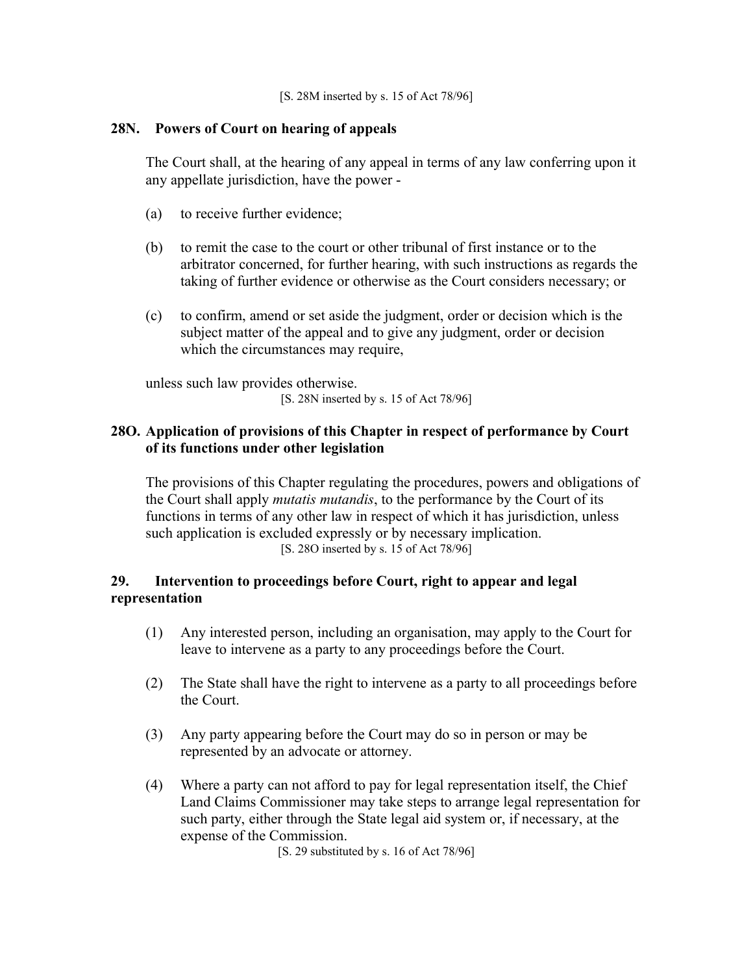[S. 28M inserted by s. 15 of Act 78/96]

# **28N. Powers of Court on hearing of appeals**

The Court shall, at the hearing of any appeal in terms of any law conferring upon it any appellate jurisdiction, have the power -

- (a) to receive further evidence;
- (b) to remit the case to the court or other tribunal of first instance or to the arbitrator concerned, for further hearing, with such instructions as regards the taking of further evidence or otherwise as the Court considers necessary; or
- (c) to confirm, amend or set aside the judgment, order or decision which is the subject matter of the appeal and to give any judgment, order or decision which the circumstances may require,

unless such law provides otherwise. [S. 28N inserted by s. 15 of Act 78/96]

# **28O. Application of provisions of this Chapter in respect of performance by Court of its functions under other legislation**

The provisions of this Chapter regulating the procedures, powers and obligations of the Court shall apply *mutatis mutandis*, to the performance by the Court of its functions in terms of any other law in respect of which it has jurisdiction, unless such application is excluded expressly or by necessary implication. [S. 28O inserted by s. 15 of Act 78/96]

# **29. Intervention to proceedings before Court, right to appear and legal representation**

- (1) Any interested person, including an organisation, may apply to the Court for leave to intervene as a party to any proceedings before the Court.
- (2) The State shall have the right to intervene as a party to all proceedings before the Court.
- (3) Any party appearing before the Court may do so in person or may be represented by an advocate or attorney.
- (4) Where a party can not afford to pay for legal representation itself, the Chief Land Claims Commissioner may take steps to arrange legal representation for such party, either through the State legal aid system or, if necessary, at the expense of the Commission.

[S. 29 substituted by s. 16 of Act 78/96]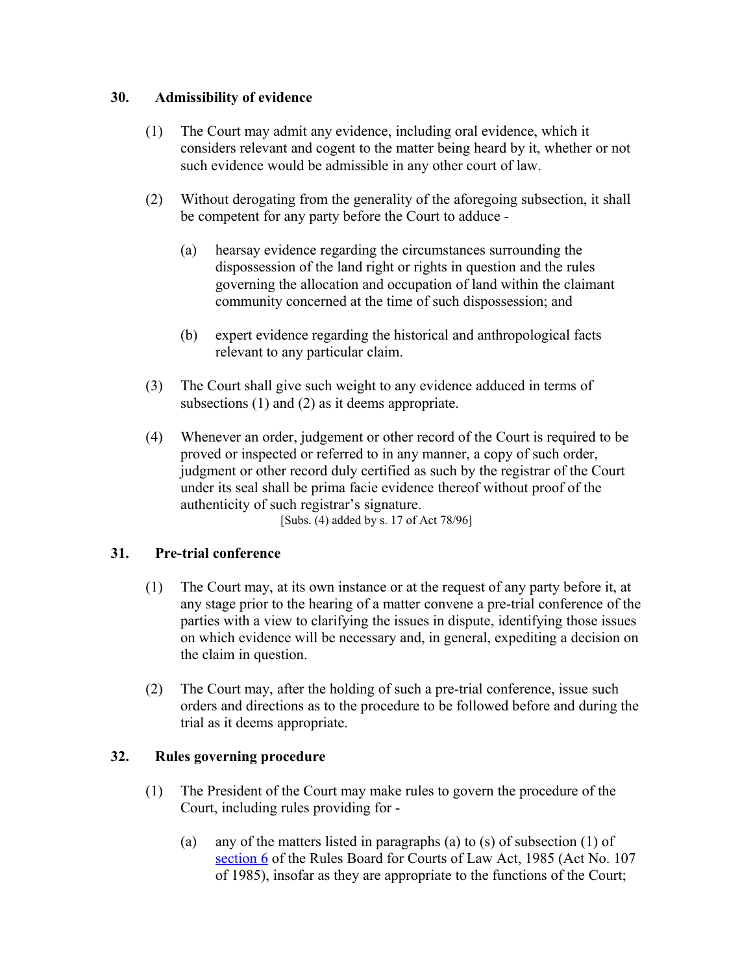# **30. Admissibility of evidence**

- (1) The Court may admit any evidence, including oral evidence, which it considers relevant and cogent to the matter being heard by it, whether or not such evidence would be admissible in any other court of law.
- (2) Without derogating from the generality of the aforegoing subsection, it shall be competent for any party before the Court to adduce -
	- (a) hearsay evidence regarding the circumstances surrounding the dispossession of the land right or rights in question and the rules governing the allocation and occupation of land within the claimant community concerned at the time of such dispossession; and
	- (b) expert evidence regarding the historical and anthropological facts relevant to any particular claim.
- (3) The Court shall give such weight to any evidence adduced in terms of subsections (1) and (2) as it deems appropriate.
- (4) Whenever an order, judgement or other record of the Court is required to be proved or inspected or referred to in any manner, a copy of such order, judgment or other record duly certified as such by the registrar of the Court under its seal shall be prima facie evidence thereof without proof of the authenticity of such registrar's signature.

[Subs. (4) added by s. 17 of Act 78/96]

# **31. Pre-trial conference**

- (1) The Court may, at its own instance or at the request of any party before it, at any stage prior to the hearing of a matter convene a pre-trial conference of the parties with a view to clarifying the issues in dispute, identifying those issues on which evidence will be necessary and, in general, expediting a decision on the claim in question.
- (2) The Court may, after the holding of such a pre-trial conference, issue such orders and directions as to the procedure to be followed before and during the trial as it deems appropriate.

# **32. Rules governing procedure**

- (1) The President of the Court may make rules to govern the procedure of the Court, including rules providing for -
	- (a) any of the matters listed in paragraphs (a) to (s) of subsection (1) of [section 6](http://search.sabinet.co.za/netlawpdf/netlaw/RULES%20BOARD%20FOR%20COURTS%20OF%20LAW%20ACT.htm#section6) of the Rules Board for Courts of Law Act, 1985 (Act No. 107 of 1985), insofar as they are appropriate to the functions of the Court;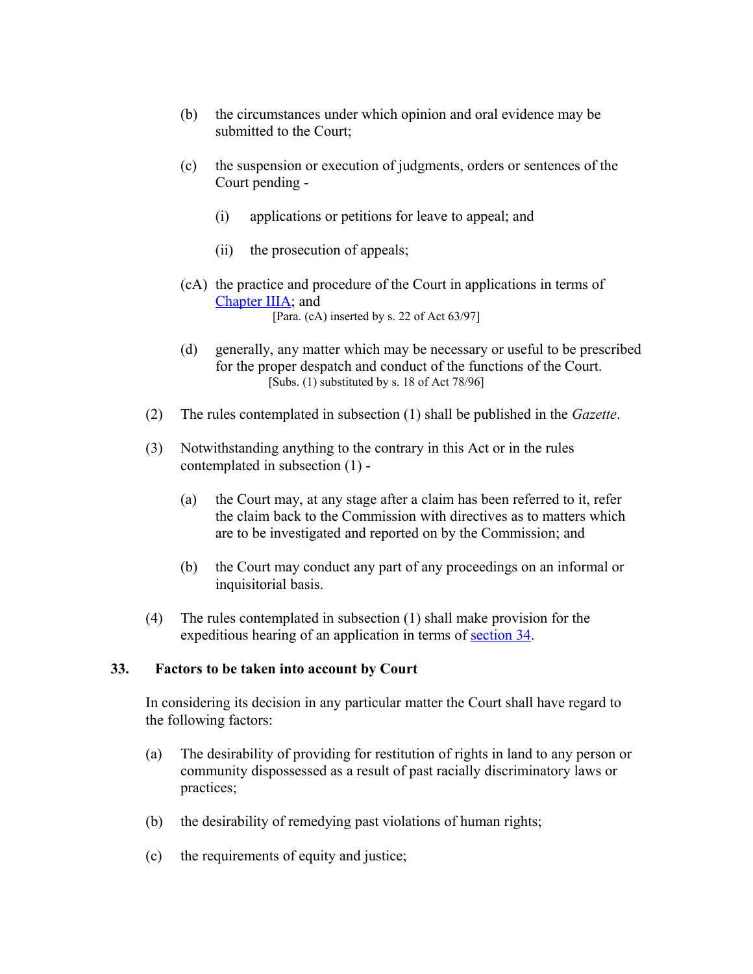- (b) the circumstances under which opinion and oral evidence may be submitted to the Court;
- (c) the suspension or execution of judgments, orders or sentences of the Court pending -
	- (i) applications or petitions for leave to appeal; and
	- (ii) the prosecution of appeals;
- (cA) the practice and procedure of the Court in applications in terms of [Chapter IIIA;](http://search.sabinet.co.za/netlawpdf/netlaw/RESTITUTION%20OF%20LAND%20RIGHTS%20ACT.htm#chapter3A%23chapter3A) and [Para. (cA) inserted by s. 22 of Act 63/97]
- (d) generally, any matter which may be necessary or useful to be prescribed for the proper despatch and conduct of the functions of the Court. [Subs.  $(1)$  substituted by s. 18 of Act 78/96]
- (2) The rules contemplated in subsection (1) shall be published in the *Gazette*.
- (3) Notwithstanding anything to the contrary in this Act or in the rules contemplated in subsection (1) -
	- (a) the Court may, at any stage after a claim has been referred to it, refer the claim back to the Commission with directives as to matters which are to be investigated and reported on by the Commission; and
	- (b) the Court may conduct any part of any proceedings on an informal or inquisitorial basis.
- (4) The rules contemplated in subsection (1) shall make provision for the expeditious hearing of an application in terms of [section 34.](http://search.sabinet.co.za/netlawpdf/netlaw/RESTITUTION%20OF%20LAND%20RIGHTS%20ACT.htm#section34%23section34)

### **33. Factors to be taken into account by Court**

In considering its decision in any particular matter the Court shall have regard to the following factors:

- (a) The desirability of providing for restitution of rights in land to any person or community dispossessed as a result of past racially discriminatory laws or practices;
- (b) the desirability of remedying past violations of human rights;
- (c) the requirements of equity and justice;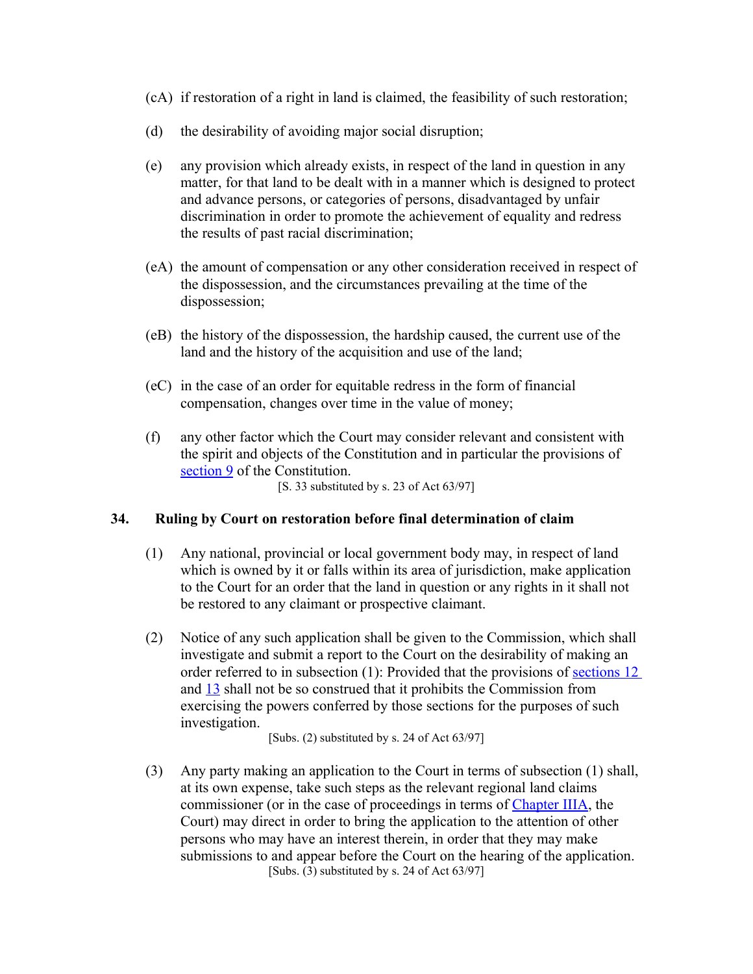- (cA) if restoration of a right in land is claimed, the feasibility of such restoration;
- (d) the desirability of avoiding major social disruption;
- (e) any provision which already exists, in respect of the land in question in any matter, for that land to be dealt with in a manner which is designed to protect and advance persons, or categories of persons, disadvantaged by unfair discrimination in order to promote the achievement of equality and redress the results of past racial discrimination;
- (eA) the amount of compensation or any other consideration received in respect of the dispossession, and the circumstances prevailing at the time of the dispossession;
- (eB) the history of the dispossession, the hardship caused, the current use of the land and the history of the acquisition and use of the land;
- (eC) in the case of an order for equitable redress in the form of financial compensation, changes over time in the value of money;
- (f) any other factor which the Court may consider relevant and consistent with the spirit and objects of the Constitution and in particular the provisions of [section 9](http://search.sabinet.co.za/netlawpdf/netlaw/CONSTITUTION%20OF%20THE%20REPUBLIC%20OF%20SOUTH%20AFRICA.htm#section9) of the Constitution.

[S. 33 substituted by s. 23 of Act 63/97]

### **34. Ruling by Court on restoration before final determination of claim**

- (1) Any national, provincial or local government body may, in respect of land which is owned by it or falls within its area of jurisdiction, make application to the Court for an order that the land in question or any rights in it shall not be restored to any claimant or prospective claimant.
- (2) Notice of any such application shall be given to the Commission, which shall investigate and submit a report to the Court on the desirability of making an order referred to in subsection (1): Provided that the provisions of [sections 12](http://search.sabinet.co.za/netlawpdf/netlaw/RESTITUTION%20OF%20LAND%20RIGHTS%20ACT.htm#section12%23section12) and [13](http://search.sabinet.co.za/netlawpdf/netlaw/RESTITUTION%20OF%20LAND%20RIGHTS%20ACT.htm#section13%23section13) shall not be so construed that it prohibits the Commission from exercising the powers conferred by those sections for the purposes of such investigation.

[Subs. (2) substituted by s. 24 of Act 63/97]

(3) Any party making an application to the Court in terms of subsection (1) shall, at its own expense, take such steps as the relevant regional land claims commissioner (or in the case of proceedings in terms of [Chapter IIIA,](http://search.sabinet.co.za/netlawpdf/netlaw/RESTITUTION%20OF%20LAND%20RIGHTS%20ACT.htm#chapter3A%23chapter3A) the Court) may direct in order to bring the application to the attention of other persons who may have an interest therein, in order that they may make submissions to and appear before the Court on the hearing of the application. [Subs. (3) substituted by s. 24 of Act 63/97]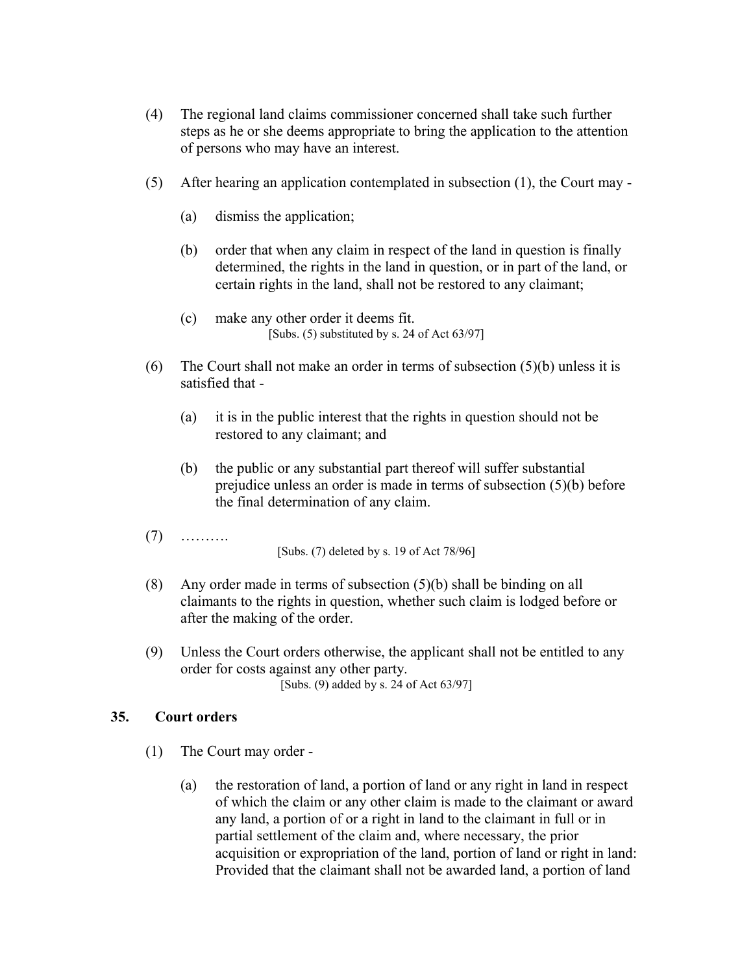- (4) The regional land claims commissioner concerned shall take such further steps as he or she deems appropriate to bring the application to the attention of persons who may have an interest.
- (5) After hearing an application contemplated in subsection (1), the Court may
	- (a) dismiss the application;
	- (b) order that when any claim in respect of the land in question is finally determined, the rights in the land in question, or in part of the land, or certain rights in the land, shall not be restored to any claimant;
	- (c) make any other order it deems fit. [Subs.  $(5)$  substituted by s. 24 of Act  $63/97$ ]
- (6) The Court shall not make an order in terms of subsection  $(5)(b)$  unless it is satisfied that -
	- (a) it is in the public interest that the rights in question should not be restored to any claimant; and
	- (b) the public or any substantial part thereof will suffer substantial prejudice unless an order is made in terms of subsection (5)(b) before the final determination of any claim.
- (7) ……….

[Subs. (7) deleted by s. 19 of Act 78/96]

- (8) Any order made in terms of subsection (5)(b) shall be binding on all claimants to the rights in question, whether such claim is lodged before or after the making of the order.
- (9) Unless the Court orders otherwise, the applicant shall not be entitled to any order for costs against any other party. [Subs. (9) added by s. 24 of Act 63/97]

### **35. Court orders**

- (1) The Court may order
	- (a) the restoration of land, a portion of land or any right in land in respect of which the claim or any other claim is made to the claimant or award any land, a portion of or a right in land to the claimant in full or in partial settlement of the claim and, where necessary, the prior acquisition or expropriation of the land, portion of land or right in land: Provided that the claimant shall not be awarded land, a portion of land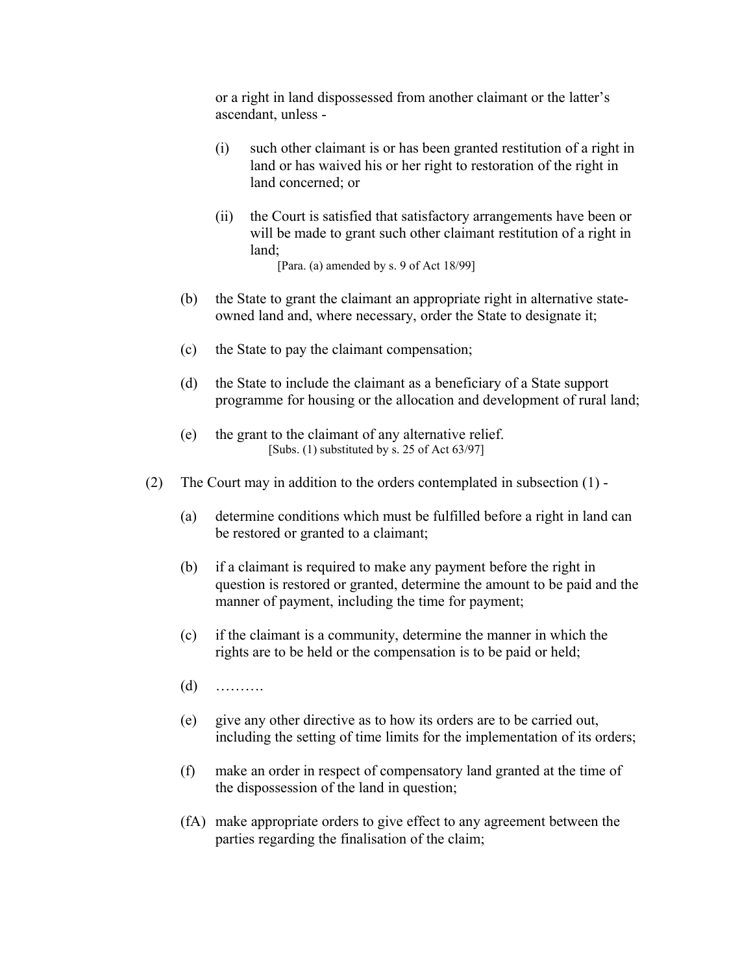or a right in land dispossessed from another claimant or the latter's ascendant, unless -

- (i) such other claimant is or has been granted restitution of a right in land or has waived his or her right to restoration of the right in land concerned; or
- (ii) the Court is satisfied that satisfactory arrangements have been or will be made to grant such other claimant restitution of a right in land;

[Para. (a) amended by s. 9 of Act 18/99]

- (b) the State to grant the claimant an appropriate right in alternative stateowned land and, where necessary, order the State to designate it;
- (c) the State to pay the claimant compensation;
- (d) the State to include the claimant as a beneficiary of a State support programme for housing or the allocation and development of rural land;
- (e) the grant to the claimant of any alternative relief. [Subs. (1) substituted by s. 25 of Act 63/97]
- (2) The Court may in addition to the orders contemplated in subsection (1)
	- (a) determine conditions which must be fulfilled before a right in land can be restored or granted to a claimant;
	- (b) if a claimant is required to make any payment before the right in question is restored or granted, determine the amount to be paid and the manner of payment, including the time for payment;
	- (c) if the claimant is a community, determine the manner in which the rights are to be held or the compensation is to be paid or held;
	- (d) ……….
	- (e) give any other directive as to how its orders are to be carried out, including the setting of time limits for the implementation of its orders;
	- (f) make an order in respect of compensatory land granted at the time of the dispossession of the land in question;
	- (fA) make appropriate orders to give effect to any agreement between the parties regarding the finalisation of the claim;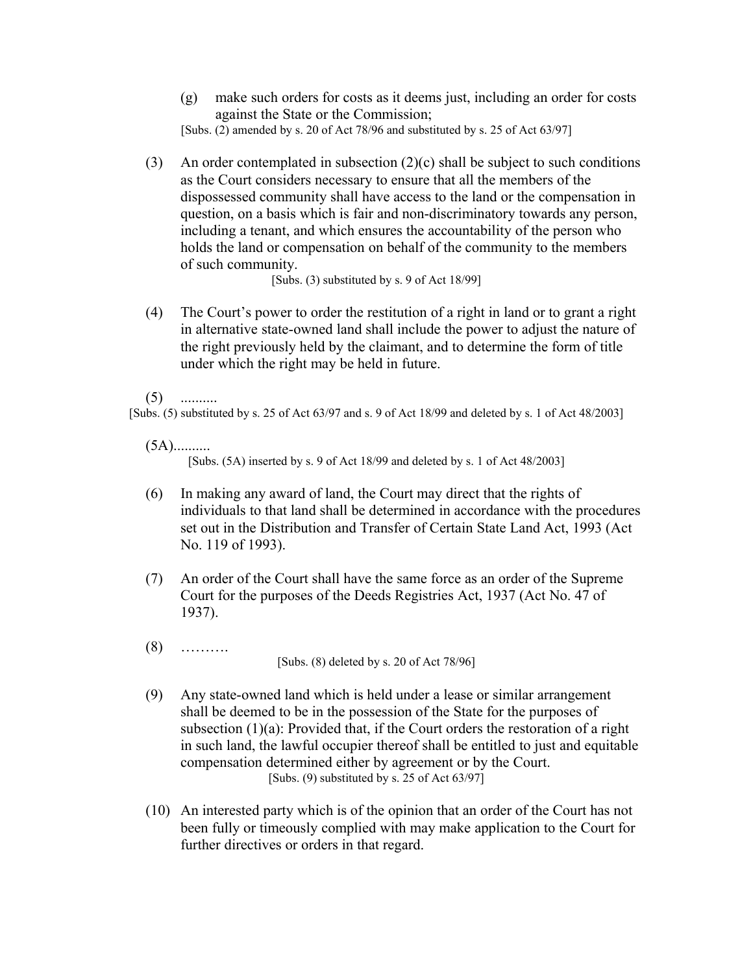(g) make such orders for costs as it deems just, including an order for costs against the State or the Commission;

[Subs.  $(2)$  amended by s. 20 of Act 78/96 and substituted by s. 25 of Act 63/97]

(3) An order contemplated in subsection  $(2)(c)$  shall be subject to such conditions as the Court considers necessary to ensure that all the members of the dispossessed community shall have access to the land or the compensation in question, on a basis which is fair and non-discriminatory towards any person, including a tenant, and which ensures the accountability of the person who holds the land or compensation on behalf of the community to the members of such community.

[Subs. (3) substituted by s. 9 of Act 18/99]

(4) The Court's power to order the restitution of a right in land or to grant a right in alternative state-owned land shall include the power to adjust the nature of the right previously held by the claimant, and to determine the form of title under which the right may be held in future.

 $(5)$  ..........

[Subs. (5) substituted by s. 25 of Act 63/97 and s. 9 of Act 18/99 and deleted by s. 1 of Act 48/2003]

(5A).......... [Subs. (5A) inserted by s. 9 of Act 18/99 and deleted by s. 1 of Act 48/2003]

- (6) In making any award of land, the Court may direct that the rights of individuals to that land shall be determined in accordance with the procedures set out in the Distribution and Transfer of Certain State Land Act, 1993 (Act No. 119 of 1993).
- (7) An order of the Court shall have the same force as an order of the Supreme Court for the purposes of the Deeds Registries Act, 1937 (Act No. 47 of 1937).
- (8) ………. [Subs. (8) deleted by s. 20 of Act 78/96]
- (9) Any state-owned land which is held under a lease or similar arrangement shall be deemed to be in the possession of the State for the purposes of subsection (1)(a): Provided that, if the Court orders the restoration of a right in such land, the lawful occupier thereof shall be entitled to just and equitable compensation determined either by agreement or by the Court. [Subs. (9) substituted by s. 25 of Act  $63/97$ ]
- (10) An interested party which is of the opinion that an order of the Court has not been fully or timeously complied with may make application to the Court for further directives or orders in that regard.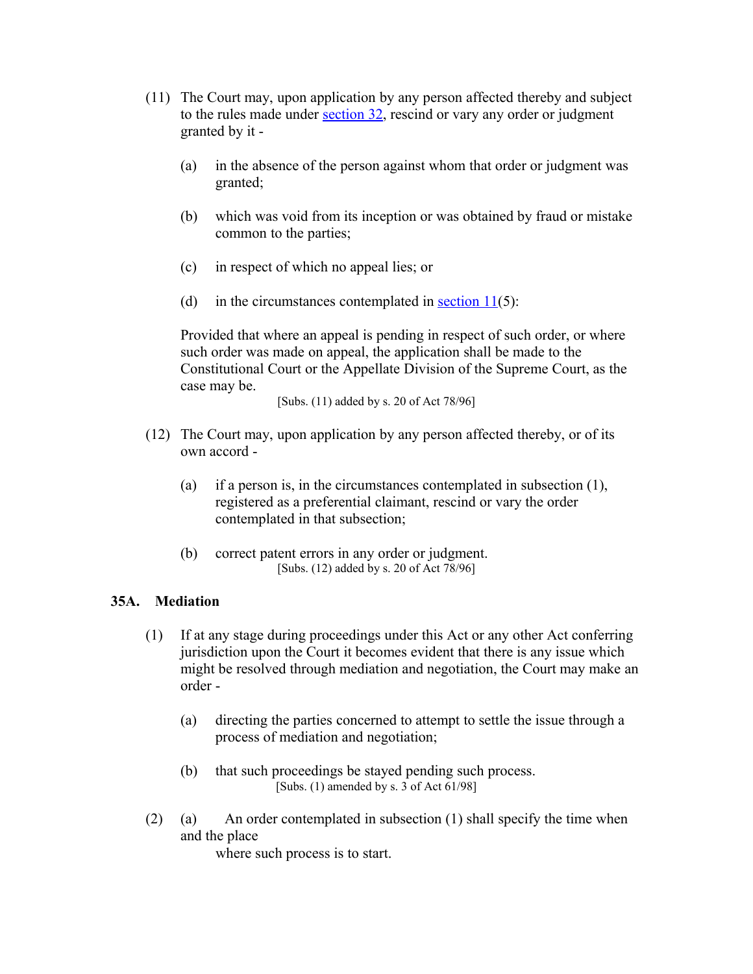- (11) The Court may, upon application by any person affected thereby and subject to the rules made under [section 32,](http://search.sabinet.co.za/netlawpdf/netlaw/RESTITUTION%20OF%20LAND%20RIGHTS%20ACT.htm#section32%23section32) rescind or vary any order or judgment granted by it -
	- (a) in the absence of the person against whom that order or judgment was granted;
	- (b) which was void from its inception or was obtained by fraud or mistake common to the parties;
	- (c) in respect of which no appeal lies; or
	- (d) in the circumstances contemplated in section  $11(5)$ :

Provided that where an appeal is pending in respect of such order, or where such order was made on appeal, the application shall be made to the Constitutional Court or the Appellate Division of the Supreme Court, as the case may be.

[Subs. (11) added by s. 20 of Act 78/96]

- (12) The Court may, upon application by any person affected thereby, or of its own accord -
	- (a) if a person is, in the circumstances contemplated in subsection (1), registered as a preferential claimant, rescind or vary the order contemplated in that subsection;
	- (b) correct patent errors in any order or judgment. [Subs. (12) added by s. 20 of Act 78/96]

### **35A. Mediation**

- (1) If at any stage during proceedings under this Act or any other Act conferring jurisdiction upon the Court it becomes evident that there is any issue which might be resolved through mediation and negotiation, the Court may make an order -
	- (a) directing the parties concerned to attempt to settle the issue through a process of mediation and negotiation;
	- (b) that such proceedings be stayed pending such process. [Subs.  $(1)$  amended by s. 3 of Act  $61/98$ ]
- (2) (a) An order contemplated in subsection  $(1)$  shall specify the time when and the place

where such process is to start.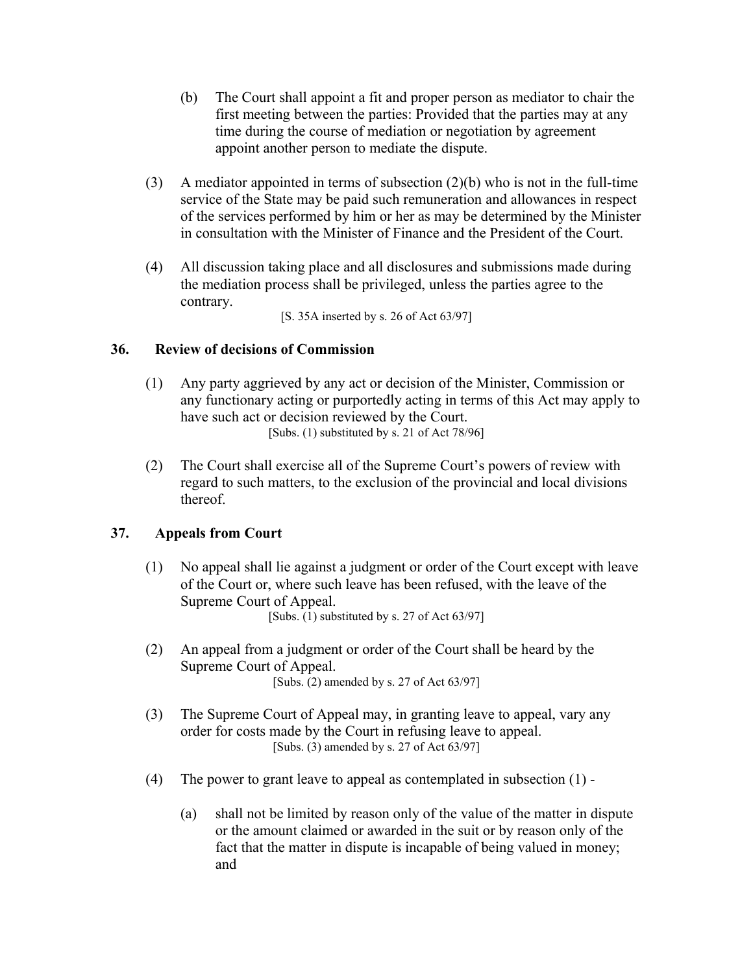- (b) The Court shall appoint a fit and proper person as mediator to chair the first meeting between the parties: Provided that the parties may at any time during the course of mediation or negotiation by agreement appoint another person to mediate the dispute.
- (3) A mediator appointed in terms of subsection (2)(b) who is not in the full-time service of the State may be paid such remuneration and allowances in respect of the services performed by him or her as may be determined by the Minister in consultation with the Minister of Finance and the President of the Court.
- (4) All discussion taking place and all disclosures and submissions made during the mediation process shall be privileged, unless the parties agree to the contrary.

[S. 35A inserted by s. 26 of Act 63/97]

# **36. Review of decisions of Commission**

- (1) Any party aggrieved by any act or decision of the Minister, Commission or any functionary acting or purportedly acting in terms of this Act may apply to have such act or decision reviewed by the Court. [Subs. (1) substituted by s. 21 of Act 78/96]
- (2) The Court shall exercise all of the Supreme Court's powers of review with regard to such matters, to the exclusion of the provincial and local divisions thereof.

# **37. Appeals from Court**

- (1) No appeal shall lie against a judgment or order of the Court except with leave of the Court or, where such leave has been refused, with the leave of the Supreme Court of Appeal. [Subs.  $(1)$  substituted by s. 27 of Act 63/97]
- (2) An appeal from a judgment or order of the Court shall be heard by the Supreme Court of Appeal. [Subs. (2) amended by s. 27 of Act 63/97]
- (3) The Supreme Court of Appeal may, in granting leave to appeal, vary any order for costs made by the Court in refusing leave to appeal. [Subs. (3) amended by s. 27 of Act 63/97]
- (4) The power to grant leave to appeal as contemplated in subsection (1)
	- (a) shall not be limited by reason only of the value of the matter in dispute or the amount claimed or awarded in the suit or by reason only of the fact that the matter in dispute is incapable of being valued in money; and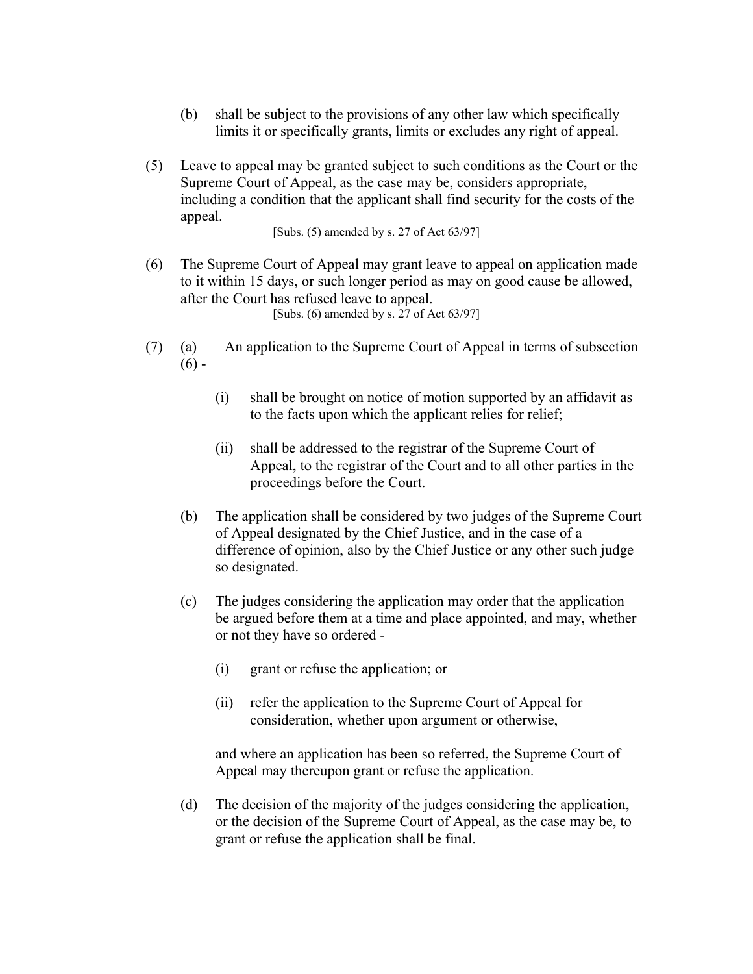- (b) shall be subject to the provisions of any other law which specifically limits it or specifically grants, limits or excludes any right of appeal.
- (5) Leave to appeal may be granted subject to such conditions as the Court or the Supreme Court of Appeal, as the case may be, considers appropriate, including a condition that the applicant shall find security for the costs of the appeal.

[Subs. (5) amended by s. 27 of Act 63/97]

- (6) The Supreme Court of Appeal may grant leave to appeal on application made to it within 15 days, or such longer period as may on good cause be allowed, after the Court has refused leave to appeal. [Subs. (6) amended by s. 27 of Act 63/97]
- (7) (a) An application to the Supreme Court of Appeal in terms of subsection  $(6) -$ 
	- (i) shall be brought on notice of motion supported by an affidavit as to the facts upon which the applicant relies for relief;
	- (ii) shall be addressed to the registrar of the Supreme Court of Appeal, to the registrar of the Court and to all other parties in the proceedings before the Court.
	- (b) The application shall be considered by two judges of the Supreme Court of Appeal designated by the Chief Justice, and in the case of a difference of opinion, also by the Chief Justice or any other such judge so designated.
	- (c) The judges considering the application may order that the application be argued before them at a time and place appointed, and may, whether or not they have so ordered -
		- (i) grant or refuse the application; or
		- (ii) refer the application to the Supreme Court of Appeal for consideration, whether upon argument or otherwise,

and where an application has been so referred, the Supreme Court of Appeal may thereupon grant or refuse the application.

(d) The decision of the majority of the judges considering the application, or the decision of the Supreme Court of Appeal, as the case may be, to grant or refuse the application shall be final.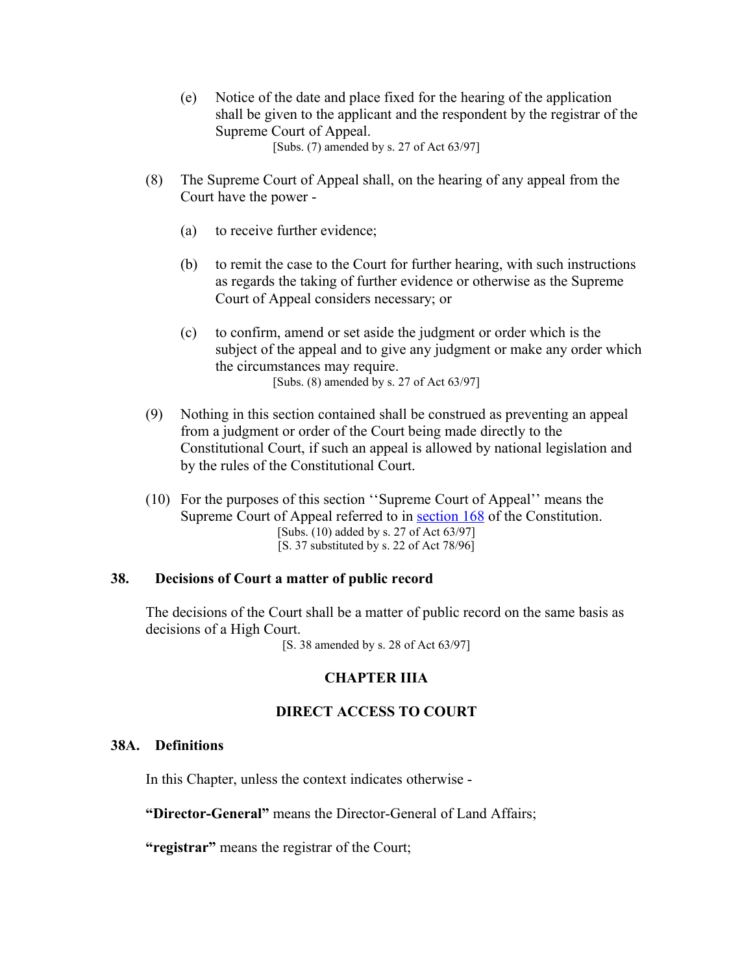- (e) Notice of the date and place fixed for the hearing of the application shall be given to the applicant and the respondent by the registrar of the Supreme Court of Appeal. [Subs. (7) amended by s. 27 of Act 63/97]
- (8) The Supreme Court of Appeal shall, on the hearing of any appeal from the Court have the power -
	- (a) to receive further evidence;
	- (b) to remit the case to the Court for further hearing, with such instructions as regards the taking of further evidence or otherwise as the Supreme Court of Appeal considers necessary; or
	- (c) to confirm, amend or set aside the judgment or order which is the subject of the appeal and to give any judgment or make any order which the circumstances may require. [Subs. (8) amended by s. 27 of Act 63/97]
- (9) Nothing in this section contained shall be construed as preventing an appeal from a judgment or order of the Court being made directly to the Constitutional Court, if such an appeal is allowed by national legislation and by the rules of the Constitutional Court.
- (10) For the purposes of this section ''Supreme Court of Appeal'' means the Supreme Court of Appeal referred to in [section 168](http://search.sabinet.co.za/netlawpdf/netlaw/CONSTITUTION%20OF%20THE%20REPUBLIC%20OF%20SOUTH%20AFRICA.htm#section168) of the Constitution. [Subs. (10) added by s. 27 of Act 63/97] [S. 37 substituted by s. 22 of Act 78/96]

#### **38. Decisions of Court a matter of public record**

The decisions of the Court shall be a matter of public record on the same basis as decisions of a High Court.

[S. 38 amended by s. 28 of Act 63/97]

### **CHAPTER IIIA**

#### **DIRECT ACCESS TO COURT**

### **38A. Definitions**

In this Chapter, unless the context indicates otherwise -

**"Director-General"** means the Director-General of Land Affairs;

**"registrar"** means the registrar of the Court;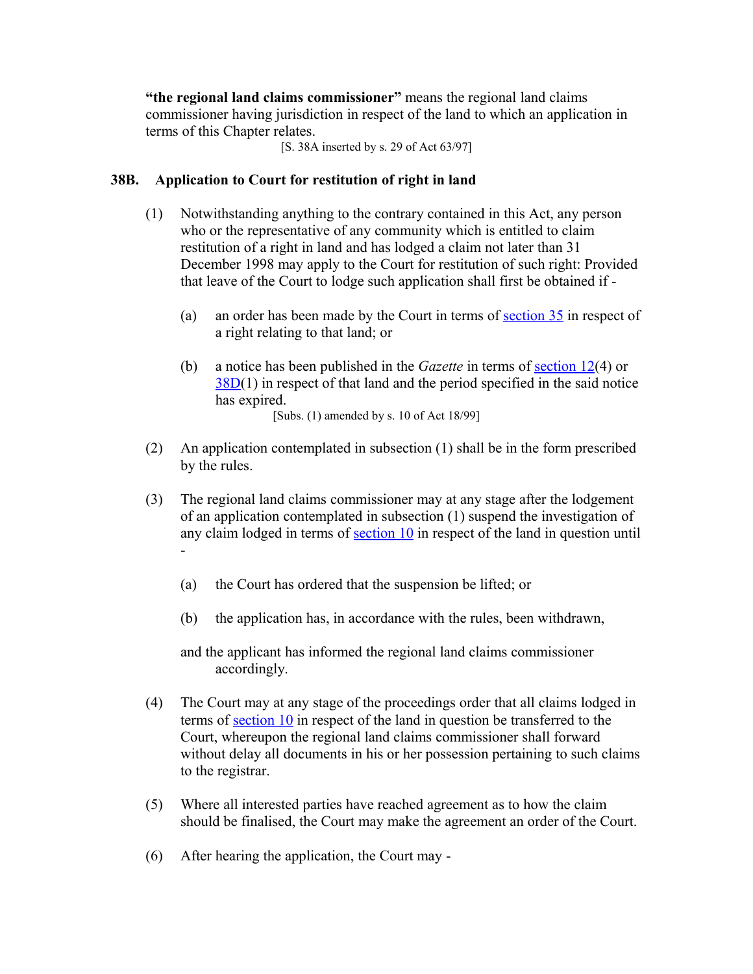**"the regional land claims commissioner"** means the regional land claims commissioner having jurisdiction in respect of the land to which an application in terms of this Chapter relates.

[S. 38A inserted by s. 29 of Act 63/97]

# **38B. Application to Court for restitution of right in land**

- (1) Notwithstanding anything to the contrary contained in this Act, any person who or the representative of any community which is entitled to claim restitution of a right in land and has lodged a claim not later than 31 December 1998 may apply to the Court for restitution of such right: Provided that leave of the Court to lodge such application shall first be obtained if -
	- (a) an order has been made by the Court in terms of  $section\ 35$  in respect of a right relating to that land; or
	- (b) a notice has been published in the *Gazette* in terms of [section 12\(](http://search.sabinet.co.za/netlawpdf/netlaw/RESTITUTION%20OF%20LAND%20RIGHTS%20ACT.htm#section12%23section12)4) or [38D\(](http://search.sabinet.co.za/netlawpdf/netlaw/RESTITUTION%20OF%20LAND%20RIGHTS%20ACT.htm#section38D%23section38D)1) in respect of that land and the period specified in the said notice has expired. [Subs. (1) amended by s. 10 of Act 18/99]
- (2) An application contemplated in subsection (1) shall be in the form prescribed by the rules.
- (3) The regional land claims commissioner may at any stage after the lodgement of an application contemplated in subsection (1) suspend the investigation of any claim lodged in terms of [section 10](http://search.sabinet.co.za/netlawpdf/netlaw/RESTITUTION%20OF%20LAND%20RIGHTS%20ACT.htm#section10%23section10) in respect of the land in question until -
	- (a) the Court has ordered that the suspension be lifted; or
	- (b) the application has, in accordance with the rules, been withdrawn,

and the applicant has informed the regional land claims commissioner accordingly.

- (4) The Court may at any stage of the proceedings order that all claims lodged in terms of [section 10](http://search.sabinet.co.za/netlawpdf/netlaw/RESTITUTION%20OF%20LAND%20RIGHTS%20ACT.htm#section10%23section10) in respect of the land in question be transferred to the Court, whereupon the regional land claims commissioner shall forward without delay all documents in his or her possession pertaining to such claims to the registrar.
- (5) Where all interested parties have reached agreement as to how the claim should be finalised, the Court may make the agreement an order of the Court.
- (6) After hearing the application, the Court may -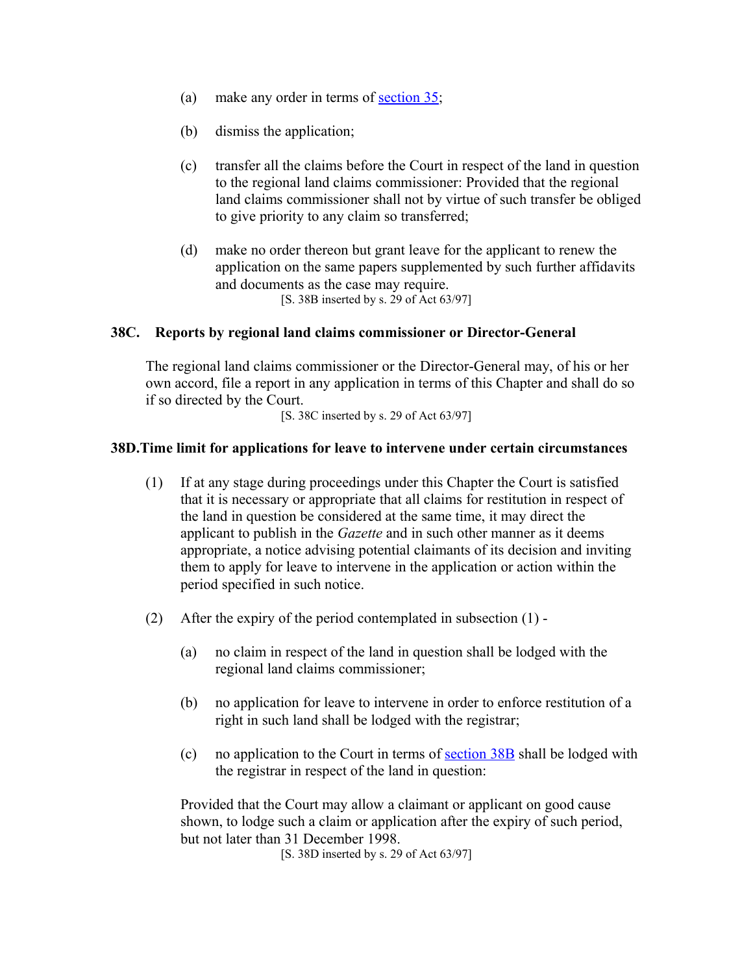- (a) make any order in terms of [section 35;](http://search.sabinet.co.za/netlawpdf/netlaw/RESTITUTION%20OF%20LAND%20RIGHTS%20ACT.htm#section35%23section35)
- (b) dismiss the application;
- (c) transfer all the claims before the Court in respect of the land in question to the regional land claims commissioner: Provided that the regional land claims commissioner shall not by virtue of such transfer be obliged to give priority to any claim so transferred;
- (d) make no order thereon but grant leave for the applicant to renew the application on the same papers supplemented by such further affidavits and documents as the case may require. [S. 38B inserted by s. 29 of Act 63/97]

### **38C. Reports by regional land claims commissioner or Director-General**

The regional land claims commissioner or the Director-General may, of his or her own accord, file a report in any application in terms of this Chapter and shall do so if so directed by the Court.

[S. 38C inserted by s. 29 of Act 63/97]

### **38D.Time limit for applications for leave to intervene under certain circumstances**

- (1) If at any stage during proceedings under this Chapter the Court is satisfied that it is necessary or appropriate that all claims for restitution in respect of the land in question be considered at the same time, it may direct the applicant to publish in the *Gazette* and in such other manner as it deems appropriate, a notice advising potential claimants of its decision and inviting them to apply for leave to intervene in the application or action within the period specified in such notice.
- (2) After the expiry of the period contemplated in subsection (1)
	- (a) no claim in respect of the land in question shall be lodged with the regional land claims commissioner;
	- (b) no application for leave to intervene in order to enforce restitution of a right in such land shall be lodged with the registrar;
	- (c) no application to the Court in terms of <u>section  $38B$ </u> shall be lodged with the registrar in respect of the land in question:

Provided that the Court may allow a claimant or applicant on good cause shown, to lodge such a claim or application after the expiry of such period, but not later than 31 December 1998.

[S. 38D inserted by s. 29 of Act 63/97]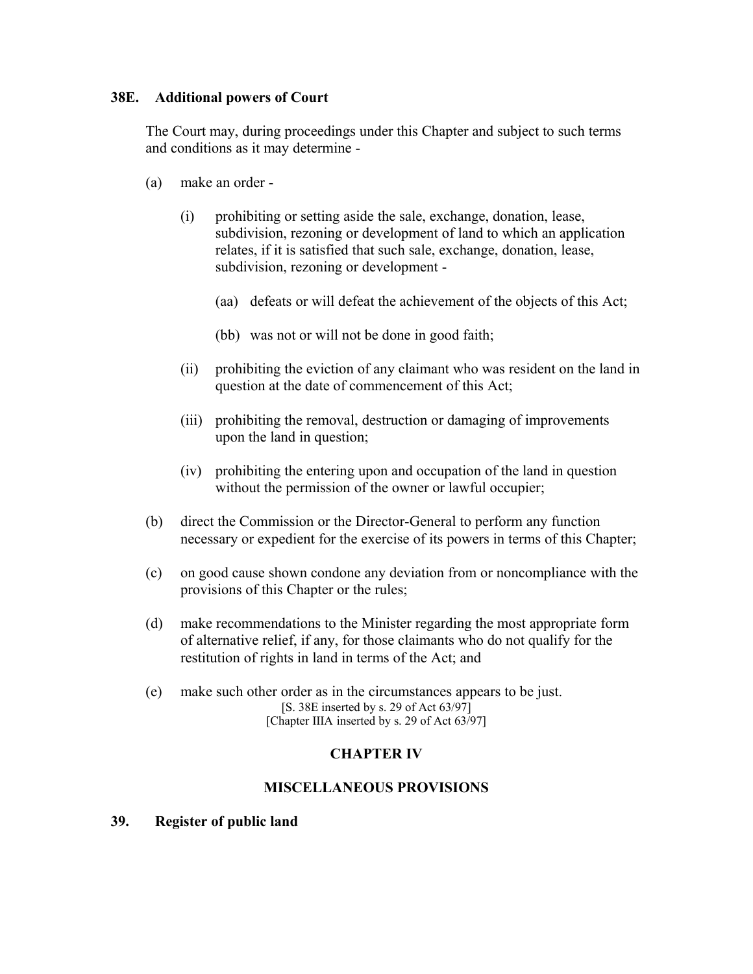# **38E. Additional powers of Court**

The Court may, during proceedings under this Chapter and subject to such terms and conditions as it may determine -

- (a) make an order
	- (i) prohibiting or setting aside the sale, exchange, donation, lease, subdivision, rezoning or development of land to which an application relates, if it is satisfied that such sale, exchange, donation, lease, subdivision, rezoning or development -
		- (aa) defeats or will defeat the achievement of the objects of this Act;
		- (bb) was not or will not be done in good faith;
	- (ii) prohibiting the eviction of any claimant who was resident on the land in question at the date of commencement of this Act;
	- (iii) prohibiting the removal, destruction or damaging of improvements upon the land in question;
	- (iv) prohibiting the entering upon and occupation of the land in question without the permission of the owner or lawful occupier;
- (b) direct the Commission or the Director-General to perform any function necessary or expedient for the exercise of its powers in terms of this Chapter;
- (c) on good cause shown condone any deviation from or noncompliance with the provisions of this Chapter or the rules;
- (d) make recommendations to the Minister regarding the most appropriate form of alternative relief, if any, for those claimants who do not qualify for the restitution of rights in land in terms of the Act; and
- (e) make such other order as in the circumstances appears to be just. [S. 38E inserted by s. 29 of Act 63/97] [Chapter IIIA inserted by s. 29 of Act 63/97]

# **CHAPTER IV**

# **MISCELLANEOUS PROVISIONS**

**39. Register of public land**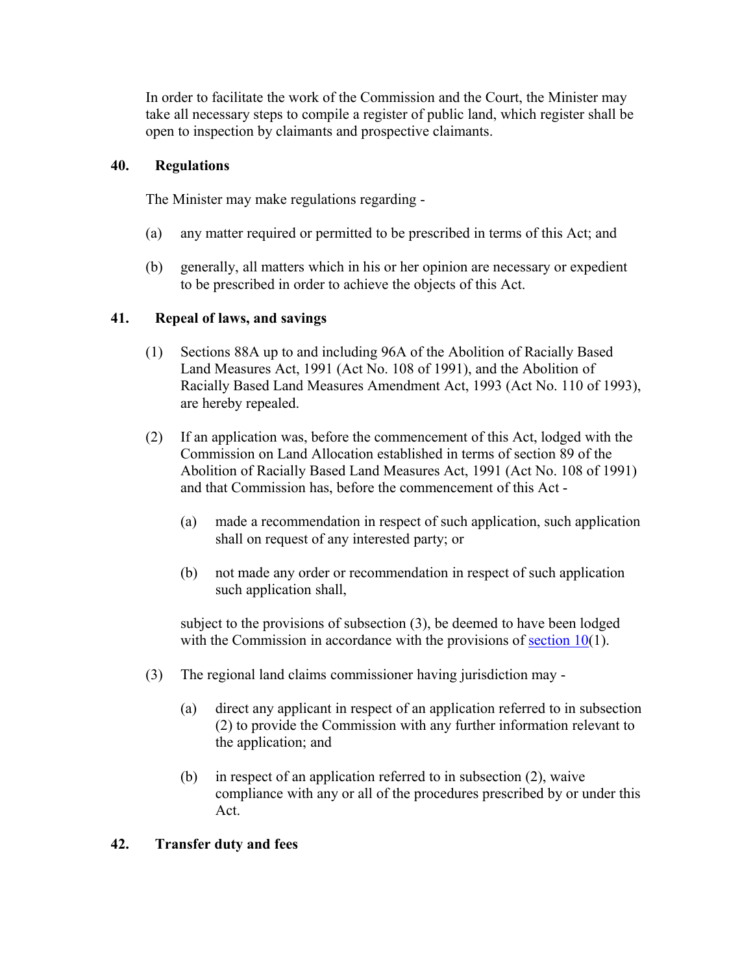In order to facilitate the work of the Commission and the Court, the Minister may take all necessary steps to compile a register of public land, which register shall be open to inspection by claimants and prospective claimants.

# **40. Regulations**

The Minister may make regulations regarding -

- (a) any matter required or permitted to be prescribed in terms of this Act; and
- (b) generally, all matters which in his or her opinion are necessary or expedient to be prescribed in order to achieve the objects of this Act.

# **41. Repeal of laws, and savings**

- (1) Sections 88A up to and including 96A of the Abolition of Racially Based Land Measures Act, 1991 (Act No. 108 of 1991), and the Abolition of Racially Based Land Measures Amendment Act, 1993 (Act No. 110 of 1993), are hereby repealed.
- (2) If an application was, before the commencement of this Act, lodged with the Commission on Land Allocation established in terms of section 89 of the Abolition of Racially Based Land Measures Act, 1991 (Act No. 108 of 1991) and that Commission has, before the commencement of this Act -
	- (a) made a recommendation in respect of such application, such application shall on request of any interested party; or
	- (b) not made any order or recommendation in respect of such application such application shall,

subject to the provisions of subsection (3), be deemed to have been lodged with the Commission in accordance with the provisions of [section 10\(](http://search.sabinet.co.za/netlawpdf/netlaw/RESTITUTION%20OF%20LAND%20RIGHTS%20ACT.htm#section10%23section10)1).

- (3) The regional land claims commissioner having jurisdiction may
	- (a) direct any applicant in respect of an application referred to in subsection (2) to provide the Commission with any further information relevant to the application; and
	- (b) in respect of an application referred to in subsection (2), waive compliance with any or all of the procedures prescribed by or under this Act.

### **42. Transfer duty and fees**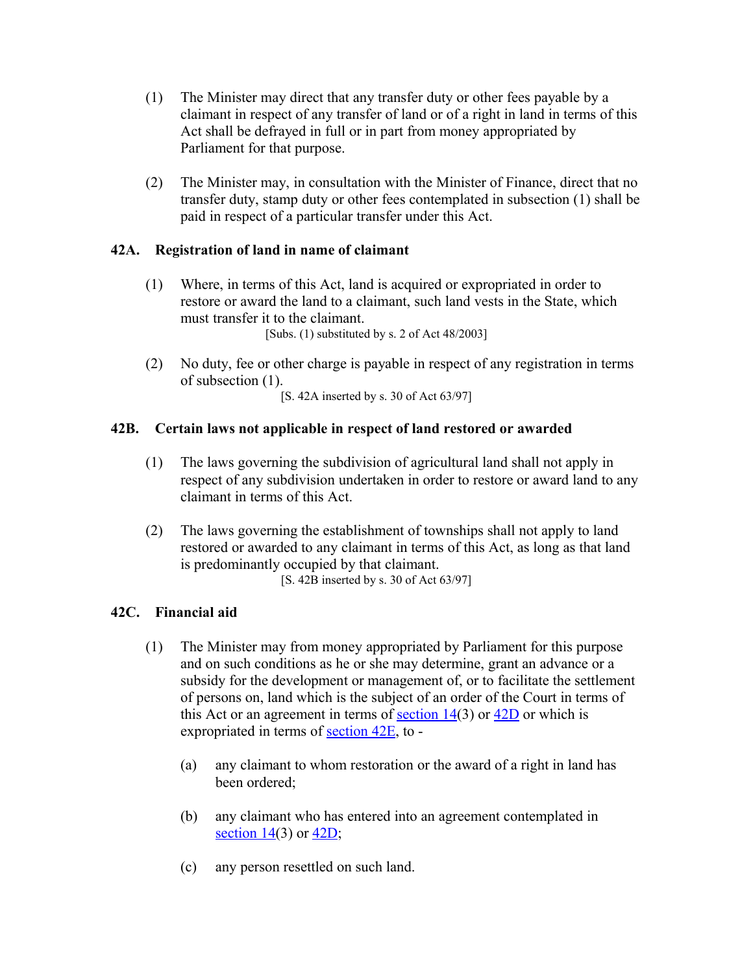- (1) The Minister may direct that any transfer duty or other fees payable by a claimant in respect of any transfer of land or of a right in land in terms of this Act shall be defrayed in full or in part from money appropriated by Parliament for that purpose.
- (2) The Minister may, in consultation with the Minister of Finance, direct that no transfer duty, stamp duty or other fees contemplated in subsection (1) shall be paid in respect of a particular transfer under this Act.

# **42A. Registration of land in name of claimant**

- (1) Where, in terms of this Act, land is acquired or expropriated in order to restore or award the land to a claimant, such land vests in the State, which must transfer it to the claimant. [Subs. (1) substituted by s. 2 of Act 48/2003]
- (2) No duty, fee or other charge is payable in respect of any registration in terms of subsection (1).

[S. 42A inserted by s. 30 of Act 63/97]

# **42B. Certain laws not applicable in respect of land restored or awarded**

- (1) The laws governing the subdivision of agricultural land shall not apply in respect of any subdivision undertaken in order to restore or award land to any claimant in terms of this Act.
- (2) The laws governing the establishment of townships shall not apply to land restored or awarded to any claimant in terms of this Act, as long as that land is predominantly occupied by that claimant. [S. 42B inserted by s. 30 of Act 63/97]

### **42C. Financial aid**

- (1) The Minister may from money appropriated by Parliament for this purpose and on such conditions as he or she may determine, grant an advance or a subsidy for the development or management of, or to facilitate the settlement of persons on, land which is the subject of an order of the Court in terms of this Act or an agreement in terms of section  $14(3)$  or  $42D$  or which is expropriated in terms of [section 42E,](http://search.sabinet.co.za/netlawpdf/netlaw/RESTITUTION%20OF%20LAND%20RIGHTS%20ACT.htm#section42E%23section42E) to -
	- (a) any claimant to whom restoration or the award of a right in land has been ordered;
	- (b) any claimant who has entered into an agreement contemplated in section  $14(3)$  or  $42D$ ;
	- (c) any person resettled on such land.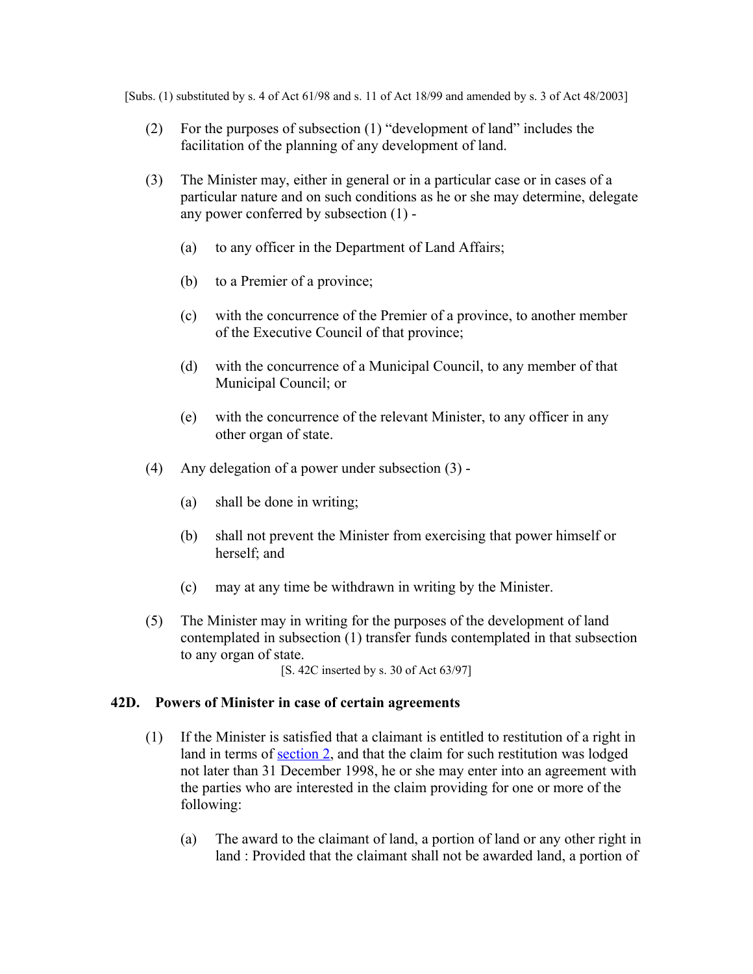[Subs. (1) substituted by s. 4 of Act 61/98 and s. 11 of Act 18/99 and amended by s. 3 of Act 48/2003]

- (2) For the purposes of subsection (1) "development of land" includes the facilitation of the planning of any development of land.
- (3) The Minister may, either in general or in a particular case or in cases of a particular nature and on such conditions as he or she may determine, delegate any power conferred by subsection (1) -
	- (a) to any officer in the Department of Land Affairs;
	- (b) to a Premier of a province;
	- (c) with the concurrence of the Premier of a province, to another member of the Executive Council of that province;
	- (d) with the concurrence of a Municipal Council, to any member of that Municipal Council; or
	- (e) with the concurrence of the relevant Minister, to any officer in any other organ of state.
- (4) Any delegation of a power under subsection (3)
	- (a) shall be done in writing;
	- (b) shall not prevent the Minister from exercising that power himself or herself; and
	- (c) may at any time be withdrawn in writing by the Minister.
- (5) The Minister may in writing for the purposes of the development of land contemplated in subsection (1) transfer funds contemplated in that subsection to any organ of state.
	- [S. 42C inserted by s. 30 of Act 63/97]

### **42D. Powers of Minister in case of certain agreements**

- (1) If the Minister is satisfied that a claimant is entitled to restitution of a right in land in terms of [section 2,](http://search.sabinet.co.za/netlawpdf/netlaw/RESTITUTION%20OF%20LAND%20RIGHTS%20ACT.htm#section2%23section2) and that the claim for such restitution was lodged not later than 31 December 1998, he or she may enter into an agreement with the parties who are interested in the claim providing for one or more of the following:
	- (a) The award to the claimant of land, a portion of land or any other right in land : Provided that the claimant shall not be awarded land, a portion of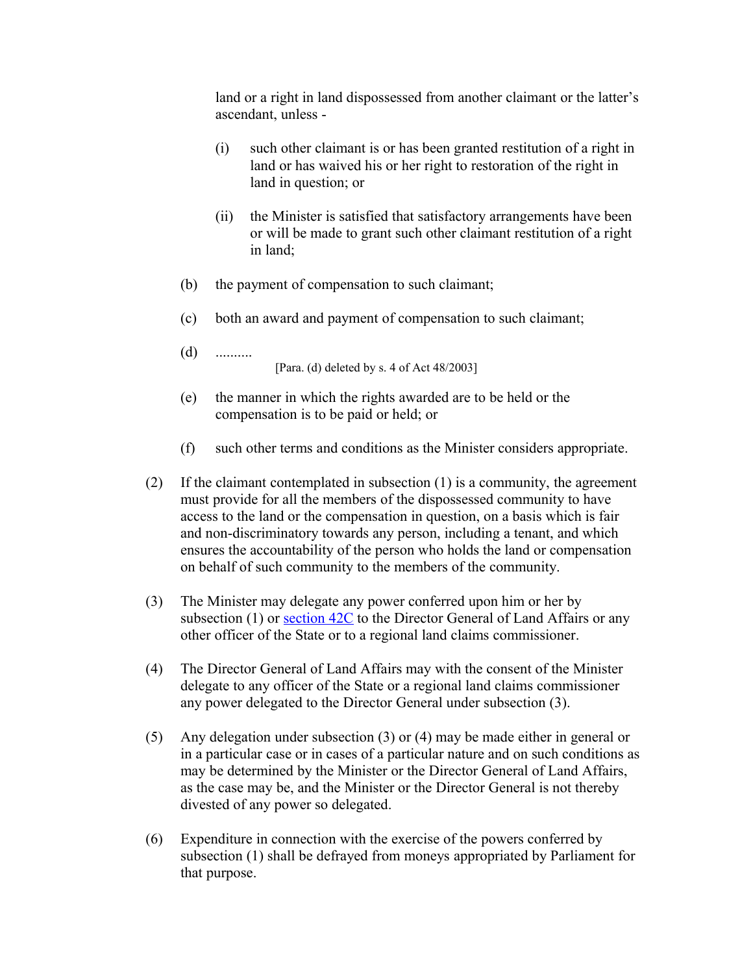land or a right in land dispossessed from another claimant or the latter's ascendant, unless -

- (i) such other claimant is or has been granted restitution of a right in land or has waived his or her right to restoration of the right in land in question; or
- (ii) the Minister is satisfied that satisfactory arrangements have been or will be made to grant such other claimant restitution of a right in land;
- (b) the payment of compensation to such claimant;
- (c) both an award and payment of compensation to such claimant;
- (d) ..........

[Para. (d) deleted by s. 4 of Act 48/2003]

- (e) the manner in which the rights awarded are to be held or the compensation is to be paid or held; or
- (f) such other terms and conditions as the Minister considers appropriate.
- (2) If the claimant contemplated in subsection (1) is a community, the agreement must provide for all the members of the dispossessed community to have access to the land or the compensation in question, on a basis which is fair and non-discriminatory towards any person, including a tenant, and which ensures the accountability of the person who holds the land or compensation on behalf of such community to the members of the community.
- (3) The Minister may delegate any power conferred upon him or her by subsection (1) or section  $42C$  to the Director General of Land Affairs or any other officer of the State or to a regional land claims commissioner.
- (4) The Director General of Land Affairs may with the consent of the Minister delegate to any officer of the State or a regional land claims commissioner any power delegated to the Director General under subsection (3).
- (5) Any delegation under subsection (3) or (4) may be made either in general or in a particular case or in cases of a particular nature and on such conditions as may be determined by the Minister or the Director General of Land Affairs, as the case may be, and the Minister or the Director General is not thereby divested of any power so delegated.
- (6) Expenditure in connection with the exercise of the powers conferred by subsection (1) shall be defrayed from moneys appropriated by Parliament for that purpose.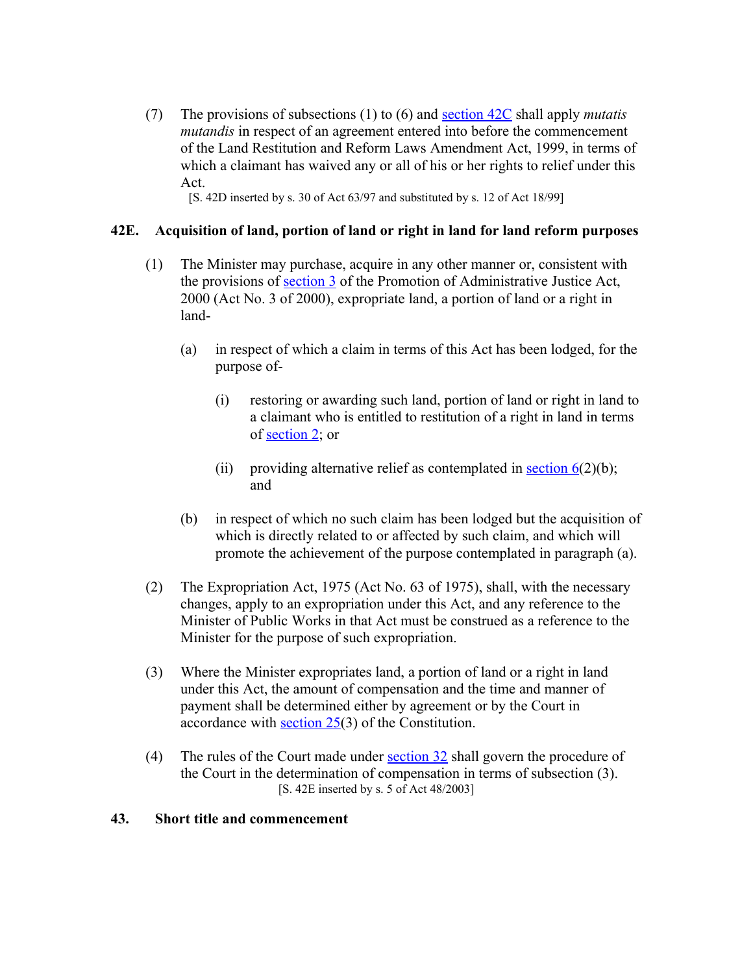(7) The provisions of subsections (1) to (6) and [section 42C](http://search.sabinet.co.za/netlawpdf/netlaw/RESTITUTION%20OF%20LAND%20RIGHTS%20ACT.htm#section42C%23section42C) shall apply *mutatis mutandis* in respect of an agreement entered into before the commencement of the Land Restitution and Reform Laws Amendment Act, 1999, in terms of which a claimant has waived any or all of his or her rights to relief under this Act.

[S. 42D inserted by s. 30 of Act 63/97 and substituted by s. 12 of Act 18/99]

### **42E. Acquisition of land, portion of land or right in land for land reform purposes**

- (1) The Minister may purchase, acquire in any other manner or, consistent with the provisions of [section 3](http://search.sabinet.co.za/netlawpdf/netlaw/PROMOTION%20OF%20ADMINISTRATIVE%20JUSTICE%20ACT.htm#section3) of the Promotion of Administrative Justice Act, 2000 (Act No. 3 of 2000), expropriate land, a portion of land or a right in land-
	- (a) in respect of which a claim in terms of this Act has been lodged, for the purpose of-
		- (i) restoring or awarding such land, portion of land or right in land to a claimant who is entitled to restitution of a right in land in terms of [section 2;](http://search.sabinet.co.za/netlawpdf/netlaw/RESTITUTION%20OF%20LAND%20RIGHTS%20ACT.htm#section2%23section2) or
		- (ii) providing alternative relief as contemplated in section  $6(2)(b)$ ; and
	- (b) in respect of which no such claim has been lodged but the acquisition of which is directly related to or affected by such claim, and which will promote the achievement of the purpose contemplated in paragraph (a).
- (2) The Expropriation Act, 1975 (Act No. 63 of 1975), shall, with the necessary changes, apply to an expropriation under this Act, and any reference to the Minister of Public Works in that Act must be construed as a reference to the Minister for the purpose of such expropriation.
- (3) Where the Minister expropriates land, a portion of land or a right in land under this Act, the amount of compensation and the time and manner of payment shall be determined either by agreement or by the Court in accordance with [section 25\(](http://search.sabinet.co.za/netlawpdf/netlaw/CONSTITUTION%20OF%20THE%20REPUBLIC%20OF%20SOUTH%20AFRICA.htm#section25)3) of the Constitution.
- (4) The rules of the Court made under [section 32](http://search.sabinet.co.za/netlawpdf/netlaw/RESTITUTION%20OF%20LAND%20RIGHTS%20ACT.htm#section32%23section32) shall govern the procedure of the Court in the determination of compensation in terms of subsection (3). [S. 42E inserted by s. 5 of Act 48/2003]

### **43. Short title and commencement**